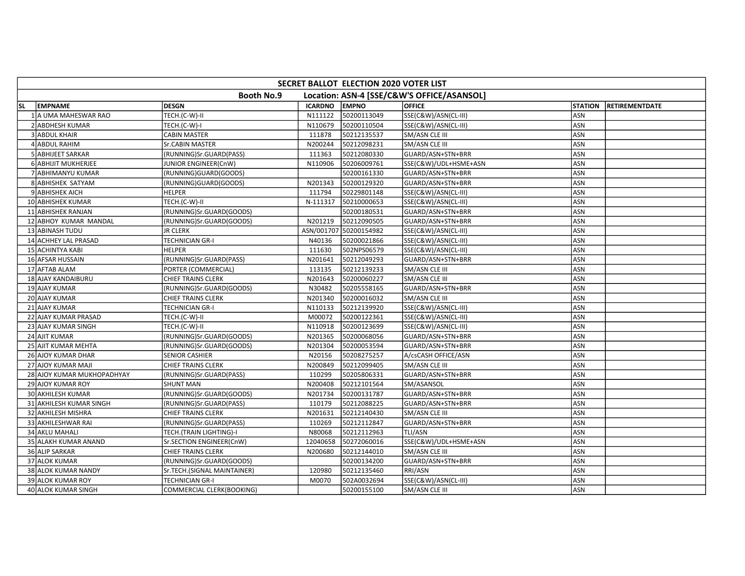|           | SECRET BALLOT ELECTION 2020 VOTER LIST |                             |                |                        |                                            |                |                       |  |  |  |
|-----------|----------------------------------------|-----------------------------|----------------|------------------------|--------------------------------------------|----------------|-----------------------|--|--|--|
|           |                                        | <b>Booth No.9</b>           |                |                        | Location: ASN-4 [SSE/C&W'S OFFICE/ASANSOL] |                |                       |  |  |  |
| <b>SL</b> | <b>EMPNAME</b>                         | <b>DESGN</b>                | <b>ICARDNO</b> | <b>EMPNO</b>           | <b>OFFICE</b>                              | <b>STATION</b> | <b>RETIREMENTDATE</b> |  |  |  |
|           | 1 A UMA MAHESWAR RAO                   | TECH.(C-W)-II               | N111122        | 50200113049            | SSE(C&W)/ASN(CL-III)                       | ASN            |                       |  |  |  |
|           | 2 ABDHESH KUMAR                        | TECH.(C-W)-I                | N110679        | 50200110504            | SSE(C&W)/ASN(CL-III)                       | ASN            |                       |  |  |  |
|           | 3 ABDUL KHAIR                          | <b>CABIN MASTER</b>         | 111878         | 50212135537            | SM/ASN CLE III                             | ASN            |                       |  |  |  |
|           | 4 ABDUL RAHIM                          | Sr.CABIN MASTER             | N200244        | 50212098231            | SM/ASN CLE III                             | ASN            |                       |  |  |  |
|           | 5 ABHIJEET SARKAR                      | (RUNNING)Sr.GUARD(PASS)     | 111363         | 50212080330            | GUARD/ASN+STN+BRR                          | ASN            |                       |  |  |  |
|           | 6 ABHIJIT MUKHERJEE                    | JUNIOR ENGINEER(CnW)        | N110906        | 50206009761            | SSE(C&W)/UDL+HSME+ASN                      | ASN            |                       |  |  |  |
|           | 7 ABHIMANYU KUMAR                      | (RUNNING)GUARD(GOODS)       |                | 50200161330            | GUARD/ASN+STN+BRR                          | ASN            |                       |  |  |  |
|           | 8 ABHISHEK SATYAM                      | (RUNNING)GUARD(GOODS)       | N201343        | 50200129320            | GUARD/ASN+STN+BRR                          | ASN            |                       |  |  |  |
|           | 9 ABHISHEK AICH                        | <b>HELPER</b>               | 111794         | 50229801148            | SSE(C&W)/ASN(CL-III)                       | ASN            |                       |  |  |  |
|           | 10 ABHISHEK KUMAR                      | TECH.(C-W)-II               | N-111317       | 50210000653            | SSE(C&W)/ASN(CL-III)                       | ASN            |                       |  |  |  |
|           | 11 ABHISHEK RANJAN                     | (RUNNING)Sr.GUARD(GOODS)    |                | 50200180531            | GUARD/ASN+STN+BRR                          | ASN            |                       |  |  |  |
|           | 12 ABHOY KUMAR MANDAL                  | (RUNNING)Sr.GUARD(GOODS)    | N201219        | 50212090505            | GUARD/ASN+STN+BRR                          | ASN            |                       |  |  |  |
|           | 13 ABINASH TUDU                        | <b>JR CLERK</b>             |                | ASN/001707 50200154982 | SSE(C&W)/ASN(CL-III)                       | ASN            |                       |  |  |  |
|           | 14 ACHHEY LAL PRASAD                   | <b>TECHNICIAN GR-I</b>      | N40136         | 50200021866            | SSE(C&W)/ASN(CL-III)                       | ASN            |                       |  |  |  |
|           | 15 ACHINTYA KABI                       | <b>HELPER</b>               | 111630         | 502NPS06579            | SSE(C&W)/ASN(CL-III)                       | ASN            |                       |  |  |  |
|           | 16 AFSAR HUSSAIN                       | (RUNNING)Sr.GUARD(PASS)     | N201641        | 50212049293            | GUARD/ASN+STN+BRR                          | ASN            |                       |  |  |  |
|           | 17 AFTAB ALAM                          | PORTER (COMMERCIAL)         | 113135         | 50212139233            | SM/ASN CLE III                             | ASN            |                       |  |  |  |
|           | 18 AJAY KANDAIBURU                     | <b>CHIEF TRAINS CLERK</b>   | N201643        | 50200060227            | SM/ASN CLE III                             | ASN            |                       |  |  |  |
|           | 19 AJAY KUMAR                          | (RUNNING)Sr.GUARD(GOODS)    | N30482         | 50205558165            | GUARD/ASN+STN+BRR                          | ASN            |                       |  |  |  |
|           | 20 AJAY KUMAR                          | <b>CHIEF TRAINS CLERK</b>   | N201340        | 50200016032            | <b>SM/ASN CLE III</b>                      | ASN            |                       |  |  |  |
|           | 21 AJAY KUMAR                          | <b>TECHNICIAN GR-I</b>      | N110133        | 50212139920            | SSE(C&W)/ASN(CL-III)                       | ASN            |                       |  |  |  |
|           | 22 AJAY KUMAR PRASAD                   | TECH.(C-W)-II               | M00072         | 50200122361            | SSE(C&W)/ASN(CL-III)                       | ASN            |                       |  |  |  |
|           | 23 AJAY KUMAR SINGH                    | TECH.(C-W)-II               | N110918        | 50200123699            | SSE(C&W)/ASN(CL-III)                       | ASN            |                       |  |  |  |
|           | 24 AJIT KUMAR                          | (RUNNING)Sr.GUARD(GOODS)    | N201365        | 50200068056            | GUARD/ASN+STN+BRR                          | ASN            |                       |  |  |  |
|           | 25 AJIT KUMAR MEHTA                    | (RUNNING)Sr.GUARD(GOODS)    | N201304        | 50200053594            | GUARD/ASN+STN+BRR                          | <b>ASN</b>     |                       |  |  |  |
|           | 26 AJOY KUMAR DHAR                     | <b>SENIOR CASHIER</b>       | N20156         | 50208275257            | A/csCASH OFFICE/ASN                        | ASN            |                       |  |  |  |
|           | 27 AJOY KUMAR MAJI                     | <b>CHIEF TRAINS CLERK</b>   | N200849        | 50212099405            | SM/ASN CLE III                             | ASN            |                       |  |  |  |
|           | 28 AJOY KUMAR MUKHOPADHYAY             | (RUNNING)Sr.GUARD(PASS)     | 110299         | 50205806331            | GUARD/ASN+STN+BRR                          | ASN            |                       |  |  |  |
|           | 29 AJOY KUMAR ROY                      | <b>SHUNT MAN</b>            | N200408        | 50212101564            | SM/ASANSOL                                 | ASN            |                       |  |  |  |
|           | 30 AKHILESH KUMAR                      | (RUNNING)Sr.GUARD(GOODS)    | N201734        | 50200131787            | GUARD/ASN+STN+BRR                          | <b>ASN</b>     |                       |  |  |  |
|           | 31 AKHILESH KUMAR SINGH                | (RUNNING)Sr.GUARD(PASS)     | 110179         | 50212088225            | GUARD/ASN+STN+BRR                          | <b>ASN</b>     |                       |  |  |  |
|           | 32 AKHILESH MISHRA                     | <b>CHIEF TRAINS CLERK</b>   | N201631        | 50212140430            | SM/ASN CLE III                             | ASN            |                       |  |  |  |
|           | 33 AKHILESHWAR RAI                     | (RUNNING)Sr.GUARD(PASS)     | 110269         | 50212112847            | GUARD/ASN+STN+BRR                          | ASN            |                       |  |  |  |
|           | <b>34 AKLU MAHALI</b>                  | TECH.(TRAIN LIGHTING)-I     | N80068         | 50212112963            | TLI/ASN                                    | ASN            |                       |  |  |  |
|           | 35 ALAKH KUMAR ANAND                   | Sr.SECTION ENGINEER(CnW)    | 12040658       | 50272060016            | SSE(C&W)/UDL+HSME+ASN                      | ASN            |                       |  |  |  |
|           | 36 ALIP SARKAR                         | <b>CHIEF TRAINS CLERK</b>   | N200680        | 50212144010            | SM/ASN CLE III                             | ASN            |                       |  |  |  |
|           | 37 ALOK KUMAR                          | (RUNNING)Sr.GUARD(GOODS)    |                | 50200134200            | GUARD/ASN+STN+BRR                          | ASN            |                       |  |  |  |
|           | 38 ALOK KUMAR NANDY                    | Sr.TECH.(SIGNAL MAINTAINER) | 120980         | 50212135460            | RRI/ASN                                    | ASN            |                       |  |  |  |
|           | 39 ALOK KUMAR ROY                      | <b>TECHNICIAN GR-I</b>      | M0070          | 502A0032694            | SSE(C&W)/ASN(CL-III)                       | ASN            |                       |  |  |  |
|           | 40 ALOK KUMAR SINGH                    | COMMERCIAL CLERK(BOOKING)   |                | 50200155100            | SM/ASN CLE III                             | ASN            |                       |  |  |  |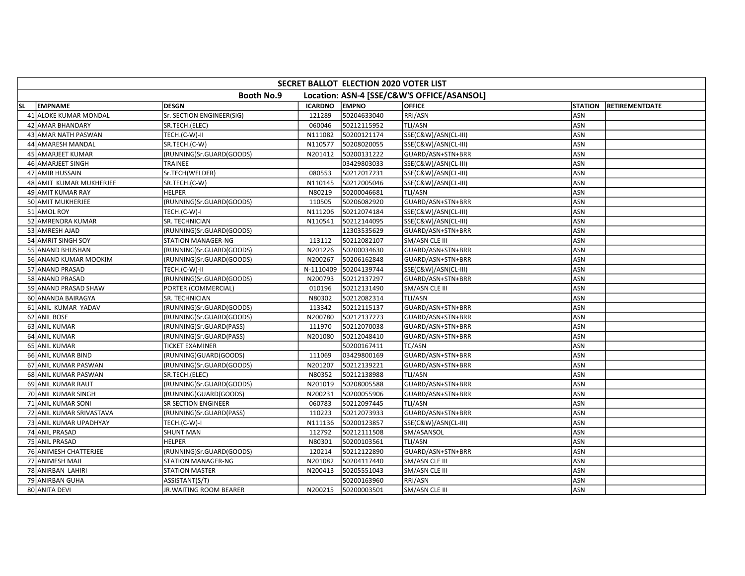|           | SECRET BALLOT ELECTION 2020 VOTER LIST |                           |                |              |                                            |                |                       |  |  |  |
|-----------|----------------------------------------|---------------------------|----------------|--------------|--------------------------------------------|----------------|-----------------------|--|--|--|
|           |                                        | <b>Booth No.9</b>         |                |              | Location: ASN-4 [SSE/C&W'S OFFICE/ASANSOL] |                |                       |  |  |  |
| <b>SL</b> | <b>EMPNAME</b>                         | <b>DESGN</b>              | <b>ICARDNO</b> | <b>EMPNO</b> | <b>OFFICE</b>                              | <b>STATION</b> | <b>RETIREMENTDATE</b> |  |  |  |
|           | 41 ALOKE KUMAR MONDAL                  | Sr. SECTION ENGINEER(SIG) | 121289         | 50204633040  | RRI/ASN                                    | ASN            |                       |  |  |  |
|           | 42 AMAR BHANDARY                       | SR.TECH.(ELEC)            | 060046         | 50212115952  | TLI/ASN                                    | <b>ASN</b>     |                       |  |  |  |
|           | 43 AMAR NATH PASWAN                    | TECH.(C-W)-II             | N111082        | 50200121174  | SSE(C&W)/ASN(CL-III)                       | <b>ASN</b>     |                       |  |  |  |
|           | 44 AMARESH MANDAL                      | SR.TECH.(C-W)             | N110577        | 50208020055  | SSE(C&W)/ASN(CL-III)                       | ASN            |                       |  |  |  |
|           | 45 AMARJEET KUMAR                      | (RUNNING)Sr.GUARD(GOODS)  | N201412        | 50200131222  | GUARD/ASN+STN+BRR                          | ASN            |                       |  |  |  |
|           | 46 AMARJEET SINGH                      | TRAINEE                   |                | 03429803033  | SSE(C&W)/ASN(CL-III)                       | ASN            |                       |  |  |  |
|           | 47 AMIR HUSSAIN                        | Sr.TECH(WELDER)           | 080553         | 50212017231  | SSE(C&W)/ASN(CL-III)                       | ASN            |                       |  |  |  |
|           | 48 AMIT KUMAR MUKHERJEE                | SR.TECH.(C-W)             | N110145        | 50212005046  | SSE(C&W)/ASN(CL-III)                       | ASN            |                       |  |  |  |
|           | 49 AMIT KUMAR RAY                      | <b>HELPER</b>             | N80219         | 50200046681  | TLI/ASN                                    | ASN            |                       |  |  |  |
|           | 50 AMIT MUKHERJEE                      | (RUNNING)Sr.GUARD(GOODS)  | 110505         | 50206082920  | GUARD/ASN+STN+BRR                          | ASN            |                       |  |  |  |
|           | 51 AMOL ROY                            | TECH.(C-W)-I              | N111206        | 50212074184  | SSE(C&W)/ASN(CL-III)                       | <b>ASN</b>     |                       |  |  |  |
|           | 52 AMRENDRA KUMAR                      | SR. TECHNICIAN            | N110541        | 50212144095  | SSE(C&W)/ASN(CL-III)                       | ASN            |                       |  |  |  |
|           | 53 AMRESH AJAD                         | (RUNNING)Sr.GUARD(GOODS)  |                | 12303535629  | GUARD/ASN+STN+BRR                          | ASN            |                       |  |  |  |
|           | 54 AMRIT SINGH SOY                     | STATION MANAGER-NG        | 113112         | 50212082107  | SM/ASN CLE III                             | ASN            |                       |  |  |  |
|           | 55 ANAND BHUSHAN                       | (RUNNING)Sr.GUARD(GOODS)  | N201226        | 50200034630  | GUARD/ASN+STN+BRR                          | <b>ASN</b>     |                       |  |  |  |
|           | 56 ANAND KUMAR MOOKIM                  | (RUNNING)Sr.GUARD(GOODS)  | N200267        | 50206162848  | GUARD/ASN+STN+BRR                          | <b>ASN</b>     |                       |  |  |  |
|           | 57 ANAND PRASAD                        | TECH.(C-W)-II             | N-1110409      | 50204139744  | SSE(C&W)/ASN(CL-III)                       | <b>ASN</b>     |                       |  |  |  |
|           | 58 ANAND PRASAD                        | (RUNNING)Sr.GUARD(GOODS)  | N200793        | 50212137297  | GUARD/ASN+STN+BRR                          | ASN            |                       |  |  |  |
|           | 59 ANAND PRASAD SHAW                   | PORTER (COMMERCIAL)       | 010196         | 50212131490  | SM/ASN CLE III                             | ASN            |                       |  |  |  |
|           | 60 ANANDA BAIRAGYA                     | SR. TECHNICIAN            | N80302         | 50212082314  | TLI/ASN                                    | ASN            |                       |  |  |  |
|           | 61 ANIL KUMAR YADAV                    | (RUNNING)Sr.GUARD(GOODS)  | 113342         | 50212115137  | GUARD/ASN+STN+BRR                          | <b>ASN</b>     |                       |  |  |  |
|           | 62 ANIL BOSE                           | (RUNNING)Sr.GUARD(GOODS)  | N200780        | 50212137273  | GUARD/ASN+STN+BRR                          | ASN            |                       |  |  |  |
|           | 63 ANIL KUMAR                          | (RUNNING)Sr.GUARD(PASS)   | 111970         | 50212070038  | GUARD/ASN+STN+BRR                          | ASN            |                       |  |  |  |
|           | 64 ANIL KUMAR                          | (RUNNING)Sr.GUARD(PASS)   | N201080        | 50212048410  | GUARD/ASN+STN+BRR                          | ASN            |                       |  |  |  |
|           | 65 ANIL KUMAR                          | <b>TICKET EXAMINER</b>    |                | 50200167411  | TC/ASN                                     | <b>ASN</b>     |                       |  |  |  |
|           | 66 ANIL KUMAR BIND                     | (RUNNING)GUARD(GOODS)     | 111069         | 03429800169  | GUARD/ASN+STN+BRR                          | <b>ASN</b>     |                       |  |  |  |
|           | 67 ANIL KUMAR PASWAN                   | (RUNNING)Sr.GUARD(GOODS)  | N201207        | 50212139221  | GUARD/ASN+STN+BRR                          | <b>ASN</b>     |                       |  |  |  |
|           | 68 ANIL KUMAR PASWAN                   | SR.TECH.(ELEC)            | N80352         | 50212138988  | TLI/ASN                                    | ASN            |                       |  |  |  |
|           | 69 ANIL KUMAR RAUT                     | (RUNNING)Sr.GUARD(GOODS)  | N201019        | 50208005588  | GUARD/ASN+STN+BRR                          | <b>ASN</b>     |                       |  |  |  |
|           | 70 ANIL KUMAR SINGH                    | (RUNNING)GUARD(GOODS)     | N200231        | 50200055906  | GUARD/ASN+STN+BRR                          | ASN            |                       |  |  |  |
|           | 71 ANIL KUMAR SONI                     | SR SECTION ENGINEER       | 060783         | 50212097445  | <b>TLI/ASN</b>                             | <b>ASN</b>     |                       |  |  |  |
|           | 72 ANIL KUMAR SRIVASTAVA               | (RUNNING)Sr.GUARD(PASS)   | 110223         | 50212073933  | GUARD/ASN+STN+BRR                          | ASN            |                       |  |  |  |
|           | 73 ANIL KUMAR UPADHYAY                 | TECH.(C-W)-I              | N111136        | 50200123857  | SSE(C&W)/ASN(CL-III)                       | ASN            |                       |  |  |  |
|           | 74 ANIL PRASAD                         | <b>SHUNT MAN</b>          | 112792         | 50212111508  | SM/ASANSOL                                 | ASN            |                       |  |  |  |
|           | 75 ANIL PRASAD                         | <b>HELPER</b>             | N80301         | 50200103561  | TLI/ASN                                    | ASN            |                       |  |  |  |
|           | 76 ANIMESH CHATTERJEE                  | (RUNNING)Sr.GUARD(GOODS)  | 120214         | 50212122890  | GUARD/ASN+STN+BRR                          | ASN            |                       |  |  |  |
|           | 77 ANIMESH MAJI                        | STATION MANAGER-NG        | N201082        | 50204117440  | SM/ASN CLE III                             | ASN            |                       |  |  |  |
|           | 78 ANIRBAN LAHIRI                      | <b>STATION MASTER</b>     | N200413        | 50205551043  | SM/ASN CLE III                             | ASN            |                       |  |  |  |
|           | 79 ANIRBAN GUHA                        | ASSISTANT(S/T)            |                | 50200163960  | RRI/ASN                                    | ASN            |                       |  |  |  |
|           | 80 ANITA DEVI                          | JR. WAITING ROOM BEARER   | N200215        | 50200003501  | SM/ASN CLE III                             | ASN            |                       |  |  |  |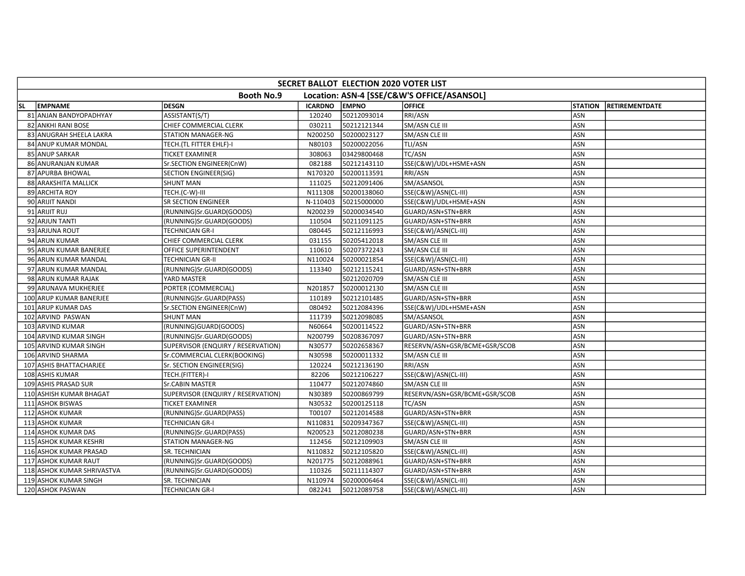|     | SECRET BALLOT ELECTION 2020 VOTER LIST |                                    |                |              |                                            |                |                       |  |  |  |
|-----|----------------------------------------|------------------------------------|----------------|--------------|--------------------------------------------|----------------|-----------------------|--|--|--|
|     |                                        | <b>Booth No.9</b>                  |                |              | Location: ASN-4 [SSE/C&W'S OFFICE/ASANSOL] |                |                       |  |  |  |
| SL. | <b>EMPNAME</b>                         | <b>DESGN</b>                       | <b>ICARDNO</b> | <b>EMPNO</b> | <b>OFFICE</b>                              | <b>STATION</b> | <b>RETIREMENTDATE</b> |  |  |  |
|     | 81 ANJAN BANDYOPADHYAY                 | ASSISTANT(S/T)                     | 120240         | 50212093014  | RRI/ASN                                    | ASN            |                       |  |  |  |
|     | 82 ANKHI RANI BOSE                     | CHIEF COMMERCIAL CLERK             | 030211         | 50212121344  | SM/ASN CLE III                             | ASN            |                       |  |  |  |
|     | 83 ANUGRAH SHEELA LAKRA                | <b>STATION MANAGER-NG</b>          | N200250        | 50200023127  | SM/ASN CLE III                             | ASN            |                       |  |  |  |
|     | 84 ANUP KUMAR MONDAL                   | TECH. (TL FITTER EHLF)-I           | N80103         | 50200022056  | TLI/ASN                                    | ASN            |                       |  |  |  |
|     | 85 ANUP SARKAR                         | <b>TICKET EXAMINER</b>             | 308063         | 03429800468  | TC/ASN                                     | ASN            |                       |  |  |  |
|     | 86 ANURANJAN KUMAR                     | Sr.SECTION ENGINEER(CnW)           | 082188         | 50212143110  | SSE(C&W)/UDL+HSME+ASN                      | ASN            |                       |  |  |  |
|     | 87 APURBA BHOWAL                       | <b>SECTION ENGINEER(SIG)</b>       | N170320        | 50200113591  | RRI/ASN                                    | ASN            |                       |  |  |  |
|     | 88 ARAKSHITA MALLICK                   | <b>SHUNT MAN</b>                   | 111025         | 50212091406  | SM/ASANSOL                                 | <b>ASN</b>     |                       |  |  |  |
|     | 89 ARCHITA ROY                         | TECH.(C-W)-III                     | N111308        | 50200138060  | SSE(C&W)/ASN(CL-III)                       | ASN            |                       |  |  |  |
|     | 90 ARIJIT NANDI                        | <b>SR SECTION ENGINEER</b>         | N-110403       | 50215000000  | SSE(C&W)/UDL+HSME+ASN                      | <b>ASN</b>     |                       |  |  |  |
|     | 91 ARIJIT RUJ                          | (RUNNING)Sr.GUARD(GOODS)           | N200239        | 50200034540  | GUARD/ASN+STN+BRR                          | ASN            |                       |  |  |  |
|     | 92 ARJUN TANTI                         | (RUNNING)Sr.GUARD(GOODS)           | 110504         | 50211091125  | GUARD/ASN+STN+BRR                          | ASN            |                       |  |  |  |
|     | 93 ARJUNA ROUT                         | <b>TECHNICIAN GR-I</b>             | 080445         | 50212116993  | SSE(C&W)/ASN(CL-III)                       | ASN            |                       |  |  |  |
|     | 94 ARUN KUMAR                          | CHIEF COMMERCIAL CLERK             | 031155         | 50205412018  | SM/ASN CLE III                             | ASN            |                       |  |  |  |
|     | 95 ARUN KUMAR BANERJEE                 | OFFICE SUPERINTENDENT              | 110610         | 50207372243  | SM/ASN CLE III                             | <b>ASN</b>     |                       |  |  |  |
|     | 96 ARUN KUMAR MANDAL                   | <b>TECHNICIAN GR-II</b>            | N110024        | 50200021854  | SSE(C&W)/ASN(CL-III)                       | <b>ASN</b>     |                       |  |  |  |
|     | 97 ARUN KUMAR MANDAL                   | (RUNNING)Sr.GUARD(GOODS)           | 113340         | 50212115241  | GUARD/ASN+STN+BRR                          | ASN            |                       |  |  |  |
|     | 98 ARUN KUMAR RAJAK                    | YARD MASTER                        |                | 50212020709  | SM/ASN CLE III                             | ASN            |                       |  |  |  |
|     | 99 ARUNAVA MUKHERJEE                   | PORTER (COMMERCIAL)                | N201857        | 50200012130  | SM/ASN CLE III                             | ASN            |                       |  |  |  |
|     | 100 ARUP KUMAR BANERJEE                | (RUNNING)Sr.GUARD(PASS)            | 110189         | 50212101485  | GUARD/ASN+STN+BRR                          | ASN            |                       |  |  |  |
|     | 101 ARUP KUMAR DAS                     | Sr.SECTION ENGINEER(CnW)           | 080492         | 50212084396  | SSE(C&W)/UDL+HSME+ASN                      | <b>ASN</b>     |                       |  |  |  |
|     | 102 ARVIND PASWAN                      | <b>SHUNT MAN</b>                   | 111739         | 50212098085  | SM/ASANSOL                                 | ASN            |                       |  |  |  |
|     | 103 ARVIND KUMAR                       | (RUNNING)GUARD(GOODS)              | N60664         | 50200114522  | GUARD/ASN+STN+BRR                          | ASN            |                       |  |  |  |
|     | 104 ARVIND KUMAR SINGH                 | (RUNNING)Sr.GUARD(GOODS)           | N200799        | 50208367097  | GUARD/ASN+STN+BRR                          | <b>ASN</b>     |                       |  |  |  |
|     | 105 ARVIND KUMAR SINGH                 | SUPERVISOR (ENQUIRY / RESERVATION) | N30577         | 50202658367  | RESERVN/ASN+GSR/BCME+GSR/SCOB              | ASN            |                       |  |  |  |
|     | 106 ARVIND SHARMA                      | Sr.COMMERCIAL CLERK(BOOKING)       | N30598         | 50200011332  | SM/ASN CLE III                             | ASN            |                       |  |  |  |
|     | 107 ASHIS BHATTACHARJEE                | Sr. SECTION ENGINEER(SIG)          | 120224         | 50212136190  | RRI/ASN                                    | ASN            |                       |  |  |  |
|     | 108 ASHIS KUMAR                        | TECH.(FITTER)-I                    | 82206          | 50212106227  | SSE(C&W)/ASN(CL-III)                       | <b>ASN</b>     |                       |  |  |  |
|     | 109 ASHIS PRASAD SUR                   | <b>Sr.CABIN MASTER</b>             | 110477         | 50212074860  | SM/ASN CLE III                             | ASN            |                       |  |  |  |
|     | 110 ASHISH KUMAR BHAGAT                | SUPERVISOR (ENQUIRY / RESERVATION) | N30389         | 50200869799  | RESERVN/ASN+GSR/BCME+GSR/SCOB              | ASN            |                       |  |  |  |
|     | 111 ASHOK BISWAS                       | <b>TICKET EXAMINER</b>             | N30532         | 50200125118  | <b>TC/ASN</b>                              | ASN            |                       |  |  |  |
|     | 112 ASHOK KUMAR                        | (RUNNING)Sr.GUARD(PASS)            | T00107         | 50212014588  | GUARD/ASN+STN+BRR                          | ASN            |                       |  |  |  |
|     | 113 ASHOK KUMAR                        | <b>TECHNICIAN GR-I</b>             | N110831        | 50209347367  | SSE(C&W)/ASN(CL-III)                       | ASN            |                       |  |  |  |
|     | 114 ASHOK KUMAR DAS                    | (RUNNING)Sr.GUARD(PASS)            | N200523        | 50212080238  | GUARD/ASN+STN+BRR                          | <b>ASN</b>     |                       |  |  |  |
|     | 115 ASHOK KUMAR KESHRI                 | STATION MANAGER-NG                 | 112456         | 50212109903  | SM/ASN CLE III                             | <b>ASN</b>     |                       |  |  |  |
|     | 116 ASHOK KUMAR PRASAD                 | SR. TECHNICIAN                     | N110832        | 50212105820  | SSE(C&W)/ASN(CL-III)                       | ASN            |                       |  |  |  |
|     | 117 ASHOK KUMAR RAUT                   | (RUNNING)Sr.GUARD(GOODS)           | N201775        | 50212088961  | GUARD/ASN+STN+BRR                          | ASN            |                       |  |  |  |
|     | 118 ASHOK KUMAR SHRIVASTVA             | (RUNNING)Sr.GUARD(GOODS)           | 110326         | 50211114307  | GUARD/ASN+STN+BRR                          | ASN            |                       |  |  |  |
|     | 119 ASHOK KUMAR SINGH                  | SR. TECHNICIAN                     | N110974        | 50200006464  | SSE(C&W)/ASN(CL-III)                       | ASN            |                       |  |  |  |
|     | 120 ASHOK PASWAN                       | <b>TECHNICIAN GR-I</b>             | 082241         | 50212089758  | SSE(C&W)/ASN(CL-III)                       | ASN            |                       |  |  |  |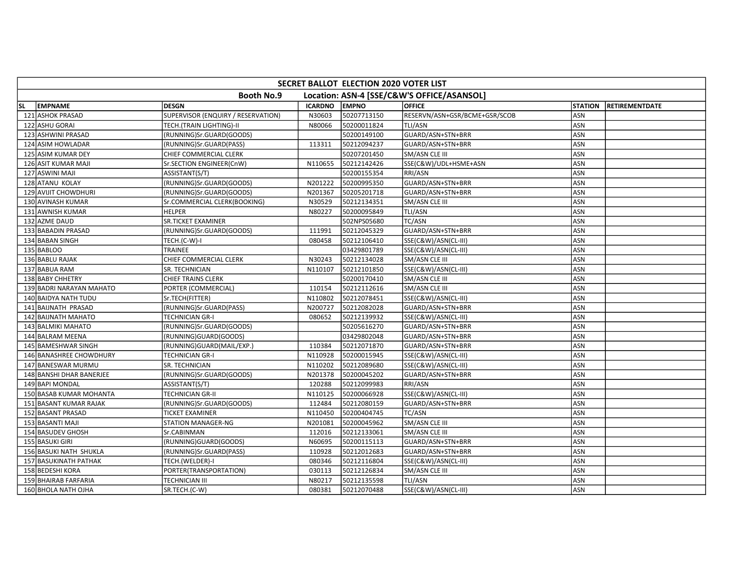|           | SECRET BALLOT ELECTION 2020 VOTER LIST |                                    |                |              |                                            |                |                       |  |  |  |
|-----------|----------------------------------------|------------------------------------|----------------|--------------|--------------------------------------------|----------------|-----------------------|--|--|--|
|           |                                        | <b>Booth No.9</b>                  |                |              | Location: ASN-4 [SSE/C&W'S OFFICE/ASANSOL] |                |                       |  |  |  |
| <b>SL</b> | <b>EMPNAME</b>                         | <b>DESGN</b>                       | <b>ICARDNO</b> | <b>EMPNO</b> | <b>OFFICE</b>                              | <b>STATION</b> | <b>RETIREMENTDATE</b> |  |  |  |
|           | 121 ASHOK PRASAD                       | SUPERVISOR (ENQUIRY / RESERVATION) | N30603         | 50207713150  | RESERVN/ASN+GSR/BCME+GSR/SCOB              | <b>ASN</b>     |                       |  |  |  |
|           | 122 ASHU GORAI                         | TECH.(TRAIN LIGHTING)-II           | N80066         | 50200011824  | <b>TLI/ASN</b>                             | ASN            |                       |  |  |  |
|           | 123 ASHWINI PRASAD                     | (RUNNING)Sr.GUARD(GOODS)           |                | 50200149100  | GUARD/ASN+STN+BRR                          | ASN            |                       |  |  |  |
|           | 124 ASIM HOWLADAR                      | (RUNNING)Sr.GUARD(PASS)            | 113311         | 50212094237  | GUARD/ASN+STN+BRR                          | <b>ASN</b>     |                       |  |  |  |
|           | 125 ASIM KUMAR DEY                     | CHIEF COMMERCIAL CLERK             |                | 50207201450  | SM/ASN CLE III                             | ASN            |                       |  |  |  |
|           | 126 ASIT KUMAR MAJI                    | Sr.SECTION ENGINEER(CnW)           | N110655        | 50212142426  | SSE(C&W)/UDL+HSME+ASN                      | <b>ASN</b>     |                       |  |  |  |
|           | 127 ASWINI MAJI                        | ASSISTANT(S/T)                     |                | 50200155354  | RRI/ASN                                    | ASN            |                       |  |  |  |
|           | 128 ATANU KOLAY                        | (RUNNING)Sr.GUARD(GOODS)           | N201222        | 50200995350  | GUARD/ASN+STN+BRR                          | ASN            |                       |  |  |  |
|           | 129 AVIJIT CHOWDHURI                   | (RUNNING)Sr.GUARD(GOODS)           | N201367        | 50205201718  | GUARD/ASN+STN+BRR                          | ASN            |                       |  |  |  |
|           | 130 AVINASH KUMAR                      | Sr.COMMERCIAL CLERK(BOOKING)       | N30529         | 50212134351  | SM/ASN CLE III                             | ASN            |                       |  |  |  |
|           | 131 AWNISH KUMAR                       | <b>HELPER</b>                      | N80227         | 50200095849  | TLI/ASN                                    | ASN            |                       |  |  |  |
|           | 132 AZME DAUD                          | SR.TICKET EXAMINER                 |                | 502NPS05680  | TC/ASN                                     | ASN            |                       |  |  |  |
|           | 133 BABADIN PRASAD                     | (RUNNING)Sr.GUARD(GOODS)           | 111991         | 50212045329  | GUARD/ASN+STN+BRR                          | ASN            |                       |  |  |  |
|           | 134 BABAN SINGH                        | TECH.(C-W)-I                       | 080458         | 50212106410  | SSE(C&W)/ASN(CL-III)                       | <b>ASN</b>     |                       |  |  |  |
|           | 135 BABLOO                             | <b>TRAINEE</b>                     |                | 03429801789  | SSE(C&W)/ASN(CL-III)                       | <b>ASN</b>     |                       |  |  |  |
|           | 136 BABLU RAJAK                        | CHIEF COMMERCIAL CLERK             | N30243         | 50212134028  | SM/ASN CLE III                             | ASN            |                       |  |  |  |
|           | 137 BABUA RAM                          | SR. TECHNICIAN                     | N110107        | 50212101850  | SSE(C&W)/ASN(CL-III)                       | ASN            |                       |  |  |  |
|           | 138 BABY CHHETRY                       | <b>CHIEF TRAINS CLERK</b>          |                | 50200170410  | SM/ASN CLE III                             | ASN            |                       |  |  |  |
|           | 139 BADRI NARAYAN MAHATO               | PORTER (COMMERCIAL)                | 110154         | 50212112616  | SM/ASN CLE III                             | ASN            |                       |  |  |  |
|           | <b>140 BAIDYA NATH TUDU</b>            | Sr.TECH(FITTER)                    | N110802        | 50212078451  | SSE(C&W)/ASN(CL-III)                       | <b>ASN</b>     |                       |  |  |  |
|           | 141 BAIJNATH PRASAD                    | (RUNNING)Sr.GUARD(PASS)            | N200727        | 50212082028  | GUARD/ASN+STN+BRR                          | ASN            |                       |  |  |  |
|           | 142 BAIJNATH MAHATO                    | <b>TECHNICIAN GR-I</b>             | 080652         | 50212139932  | SSE(C&W)/ASN(CL-III)                       | <b>ASN</b>     |                       |  |  |  |
|           | 143 BALMIKI MAHATO                     | (RUNNING)Sr.GUARD(GOODS)           |                | 50205616270  | GUARD/ASN+STN+BRR                          | <b>ASN</b>     |                       |  |  |  |
|           | 144 BALRAM MEENA                       | (RUNNING)GUARD(GOODS)              |                | 03429802048  | GUARD/ASN+STN+BRR                          | ASN            |                       |  |  |  |
|           | 145 BAMESHWAR SINGH                    | (RUNNING)GUARD(MAIL/EXP.)          | 110384         | 50212071870  | GUARD/ASN+STN+BRR                          | ASN            |                       |  |  |  |
|           | 146 BANASHREE CHOWDHURY                | <b>TECHNICIAN GR-I</b>             | N110928        | 50200015945  | SSE(C&W)/ASN(CL-III)                       | ASN            |                       |  |  |  |
|           | 147 BANESWAR MURMU                     | SR. TECHNICIAN                     | N110202        | 50212089680  | SSE(C&W)/ASN(CL-III)                       | ASN            |                       |  |  |  |
|           | 148 BANSHI DHAR BANERJEE               | (RUNNING)Sr.GUARD(GOODS)           | N201378        | 50200045202  | GUARD/ASN+STN+BRR                          | ASN            |                       |  |  |  |
|           | 149 BAPI MONDAL                        | ASSISTANT(S/T)                     | 120288         | 50212099983  | RRI/ASN                                    | <b>ASN</b>     |                       |  |  |  |
|           | 150 BASAB KUMAR MOHANTA                | <b>TECHNICIAN GR-II</b>            | N110125        | 50200066928  | SSE(C&W)/ASN(CL-III)                       | ASN            |                       |  |  |  |
|           | 151 BASANT KUMAR RAJAK                 | (RUNNING)Sr.GUARD(GOODS)           | 112484         | 50212080159  | GUARD/ASN+STN+BRR                          | ASN            |                       |  |  |  |
|           | 152 BASANT PRASAD                      | <b>TICKET EXAMINER</b>             | N110450        | 50200404745  | <b>TC/ASN</b>                              | ASN            |                       |  |  |  |
|           | 153 BASANTI MAJI                       | <b>STATION MANAGER-NG</b>          | N201081        | 50200045962  | SM/ASN CLE III                             | <b>ASN</b>     |                       |  |  |  |
|           | 154 BASUDEV GHOSH                      | Sr.CABINMAN                        | 112016         | 50212133061  | SM/ASN CLE III                             | <b>ASN</b>     |                       |  |  |  |
|           | 155 BASUKI GIRI                        | (RUNNING)GUARD(GOODS)              | N60695         | 50200115113  | GUARD/ASN+STN+BRR                          | ASN            |                       |  |  |  |
|           | 156 BASUKI NATH SHUKLA                 | (RUNNING)Sr.GUARD(PASS)            | 110928         | 50212012683  | GUARD/ASN+STN+BRR                          | <b>ASN</b>     |                       |  |  |  |
|           | <b>157 BASUKINATH PATHAK</b>           | TECH.(WELDER)-I                    | 080346         | 50212116804  | SSE(C&W)/ASN(CL-III)                       | ASN            |                       |  |  |  |
|           | 158 BEDESHI KORA                       | PORTER(TRANSPORTATION)             | 030113         | 50212126834  | SM/ASN CLE III                             | ASN            |                       |  |  |  |
|           | 159 BHAIRAB FARFARIA                   | <b>TECHNICIAN III</b>              | N80217         | 50212135598  | TLI/ASN                                    | <b>ASN</b>     |                       |  |  |  |
|           | 160 BHOLA NATH OJHA                    | SR.TECH.(C-W)                      | 080381         | 50212070488  | SSE(C&W)/ASN(CL-III)                       | ASN            |                       |  |  |  |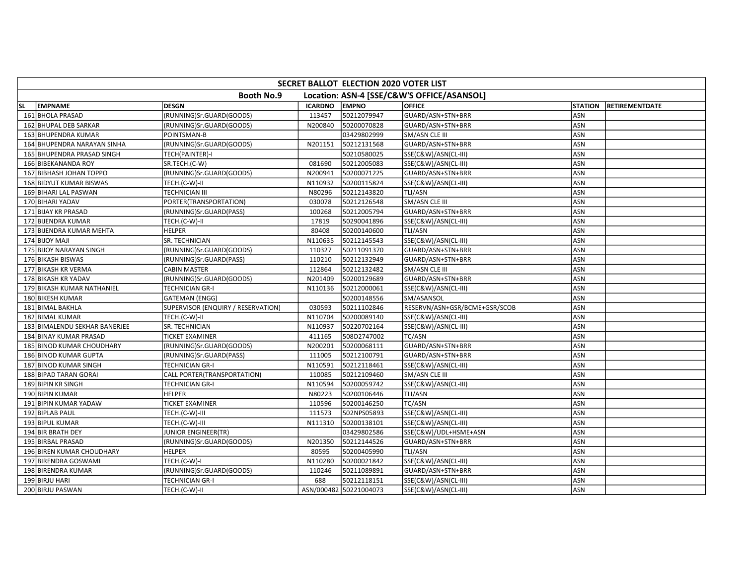|     | SECRET BALLOT ELECTION 2020 VOTER LIST |                                    |                |                        |                                            |                |                       |  |  |  |
|-----|----------------------------------------|------------------------------------|----------------|------------------------|--------------------------------------------|----------------|-----------------------|--|--|--|
|     |                                        | <b>Booth No.9</b>                  |                |                        | Location: ASN-4 [SSE/C&W'S OFFICE/ASANSOL] |                |                       |  |  |  |
| SL. | <b>EMPNAME</b>                         | <b>DESGN</b>                       | <b>ICARDNO</b> | <b>EMPNO</b>           | <b>OFFICE</b>                              | <b>STATION</b> | <b>RETIREMENTDATE</b> |  |  |  |
|     | 161 BHOLA PRASAD                       | (RUNNING)Sr.GUARD(GOODS)           | 113457         | 50212079947            | GUARD/ASN+STN+BRR                          | ASN            |                       |  |  |  |
|     | 162 BHUPAL DEB SARKAR                  | (RUNNING)Sr.GUARD(GOODS)           | N200840        | 50200070828            | GUARD/ASN+STN+BRR                          | ASN            |                       |  |  |  |
|     | 163 BHUPENDRA KUMAR                    | POINTSMAN-B                        |                | 03429802999            | SM/ASN CLE III                             | ASN            |                       |  |  |  |
|     | 164 BHUPENDRA NARAYAN SINHA            | (RUNNING)Sr.GUARD(GOODS)           | N201151        | 50212131568            | GUARD/ASN+STN+BRR                          | ASN            |                       |  |  |  |
|     | 165 BHUPENDRA PRASAD SINGH             | TECH(PAINTER)-I                    |                | 50210580025            | SSE(C&W)/ASN(CL-III)                       | ASN            |                       |  |  |  |
|     | 166 BIBEKANANDA ROY                    | SR.TECH.(C-W)                      | 081690         | 50212005083            | SSE(C&W)/ASN(CL-III)                       | ASN            |                       |  |  |  |
|     | 167 BIBHASH JOHAN TOPPO                | (RUNNING)Sr.GUARD(GOODS)           | N200941        | 50200071225            | GUARD/ASN+STN+BRR                          | ASN            |                       |  |  |  |
|     | 168 BIDYUT KUMAR BISWAS                | TECH.(C-W)-II                      | N110932        | 50200115824            | SSE(C&W)/ASN(CL-III)                       | ASN            |                       |  |  |  |
|     | 169 BIHARI LAL PASWAN                  | <b>TECHNICIAN III</b>              | N80296         | 50212143820            | TLI/ASN                                    | ASN            |                       |  |  |  |
|     | 170 BIHARI YADAV                       | PORTER(TRANSPORTATION)             | 030078         | 50212126548            | SM/ASN CLE III                             | ASN            |                       |  |  |  |
|     | 171 BIJAY KR PRASAD                    | (RUNNING)Sr.GUARD(PASS)            | 100268         | 50212005794            | GUARD/ASN+STN+BRR                          | ASN            |                       |  |  |  |
|     | 172 BIJENDRA KUMAR                     | TECH.(C-W)-II                      | 17819          | 50290041896            | SSE(C&W)/ASN(CL-III)                       | ASN            |                       |  |  |  |
|     | 173 BIJENDRA KUMAR MEHTA               | <b>HELPER</b>                      | 80408          | 50200140600            | TLI/ASN                                    | ASN            |                       |  |  |  |
|     | 174 BIJOY MAJI                         | SR. TECHNICIAN                     | N110635        | 50212145543            | SSE(C&W)/ASN(CL-III)                       | ASN            |                       |  |  |  |
|     | 175 BIJOY NARAYAN SINGH                | (RUNNING)Sr.GUARD(GOODS)           | 110327         | 50211091370            | GUARD/ASN+STN+BRR                          | ASN            |                       |  |  |  |
|     | 176 BIKASH BISWAS                      | (RUNNING)Sr.GUARD(PASS)            | 110210         | 50212132949            | GUARD/ASN+STN+BRR                          | ASN            |                       |  |  |  |
|     | 177 BIKASH KR VERMA                    | <b>CABIN MASTER</b>                | 112864         | 50212132482            | SM/ASN CLE III                             | ASN            |                       |  |  |  |
|     | 178 BIKASH KR YADAV                    | (RUNNING)Sr.GUARD(GOODS)           | N201409        | 50200129689            | GUARD/ASN+STN+BRR                          | <b>ASN</b>     |                       |  |  |  |
|     | 179 BIKASH KUMAR NATHANIEL             | <b>TECHNICIAN GR-I</b>             | N110136        | 50212000061            | SSE(C&W)/ASN(CL-III)                       | ASN            |                       |  |  |  |
|     | 180 BIKESH KUMAR                       | <b>GATEMAN (ENGG)</b>              |                | 50200148556            | SM/ASANSOL                                 | ASN            |                       |  |  |  |
|     | 181 BIMAL BAKHLA                       | SUPERVISOR (ENQUIRY / RESERVATION) | 030593         | 50211102846            | RESERVN/ASN+GSR/BCME+GSR/SCOB              | ASN            |                       |  |  |  |
|     | 182 BIMAL KUMAR                        | TECH.(C-W)-II                      | N110704        | 50200089140            | SSE(C&W)/ASN(CL-III)                       | ASN            |                       |  |  |  |
|     | 183 BIMALENDU SEKHAR BANERJEE          | SR. TECHNICIAN                     | N110937        | 50220702164            | SSE(C&W)/ASN(CL-III)                       | ASN            |                       |  |  |  |
|     | 184 BINAY KUMAR PRASAD                 | <b>TICKET EXAMINER</b>             | 411165         | 508D2747002            | <b>TC/ASN</b>                              | ASN            |                       |  |  |  |
|     | 185 BINOD KUMAR CHOUDHARY              | (RUNNING)Sr.GUARD(GOODS)           | N200201        | 50200068111            | GUARD/ASN+STN+BRR                          | ASN            |                       |  |  |  |
|     | 186 BINOD KUMAR GUPTA                  | (RUNNING)Sr.GUARD(PASS)            | 111005         | 50212100791            | GUARD/ASN+STN+BRR                          | ASN            |                       |  |  |  |
|     | 187 BINOD KUMAR SINGH                  | <b>TECHNICIAN GR-I</b>             | N110591        | 50212118461            | SSE(C&W)/ASN(CL-III)                       | ASN            |                       |  |  |  |
|     | 188 BIPAD TARAN GORAI                  | CALL PORTER(TRANSPORTATION)        | 110085         | 50212109460            | SM/ASN CLE III                             | ASN            |                       |  |  |  |
|     | 189 BIPIN KR SINGH                     | <b>TECHNICIAN GR-I</b>             | N110594        | 50200059742            | SSE(C&W)/ASN(CL-III)                       | ASN            |                       |  |  |  |
|     | 190 BIPIN KUMAR                        | <b>HELPER</b>                      | N80223         | 50200106446            | TLI/ASN                                    | ASN            |                       |  |  |  |
|     | 191 BIPIN KUMAR YADAW                  | <b>TICKET EXAMINER</b>             | 110596         | 50200146250            | TC/ASN                                     | <b>ASN</b>     |                       |  |  |  |
|     | 192 BIPLAB PAUL                        | TECH.(C-W)-III                     | 111573         | 502NPS05893            | SSE(C&W)/ASN(CL-III)                       | ASN            |                       |  |  |  |
|     | 193 BIPUL KUMAR                        | TECH.(C-W)-III                     | N111310        | 50200138101            | SSE(C&W)/ASN(CL-III)                       | ASN            |                       |  |  |  |
|     | 194 BIR BRATH DEY                      | JUNIOR ENGINEER(TR)                |                | 03429802586            | SSE(C&W)/UDL+HSME+ASN                      | ASN            |                       |  |  |  |
|     | 195 BIRBAL PRASAD                      | (RUNNING)Sr.GUARD(GOODS)           | N201350        | 50212144526            | GUARD/ASN+STN+BRR                          | ASN            |                       |  |  |  |
|     | 196 BIREN KUMAR CHOUDHARY              | <b>HELPER</b>                      | 80595          | 50200405990            | <b>TLI/ASN</b>                             | ASN            |                       |  |  |  |
|     | 197 BIRENDRA GOSWAMI                   | TECH.(C-W)-I                       | N110280        | 50200021842            | SSE(C&W)/ASN(CL-III)                       | ASN            |                       |  |  |  |
|     | 198 BIRENDRA KUMAR                     | (RUNNING)Sr.GUARD(GOODS)           | 110246         | 50211089891            | GUARD/ASN+STN+BRR                          | ASN            |                       |  |  |  |
|     | 199 BIRJU HARI                         | <b>TECHNICIAN GR-I</b>             | 688            | 50212118151            | SSE(C&W)/ASN(CL-III)                       | ASN            |                       |  |  |  |
|     | 200 BIRJU PASWAN                       | TECH.(C-W)-II                      |                | ASN/000482 50221004073 | SSE(C&W)/ASN(CL-III)                       | ASN            |                       |  |  |  |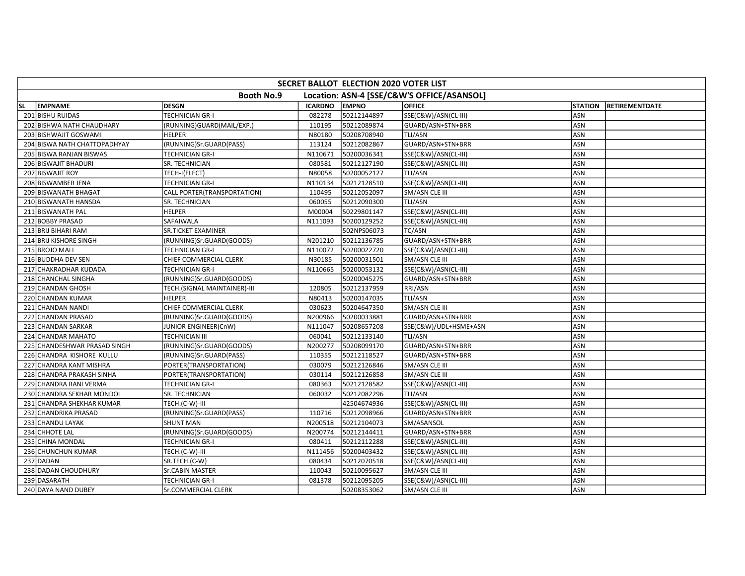| SECRET BALLOT ELECTION 2020 VOTER LIST |                              |                |              |                                            |                |                       |  |  |  |
|----------------------------------------|------------------------------|----------------|--------------|--------------------------------------------|----------------|-----------------------|--|--|--|
|                                        | <b>Booth No.9</b>            |                |              | Location: ASN-4 [SSE/C&W'S OFFICE/ASANSOL] |                |                       |  |  |  |
| <b>EMPNAME</b><br>lsl.                 | <b>DESGN</b>                 | <b>ICARDNO</b> | <b>EMPNO</b> | <b>OFFICE</b>                              | <b>STATION</b> | <b>RETIREMENTDATE</b> |  |  |  |
| 201 BISHU RUIDAS                       | <b>TECHNICIAN GR-I</b>       | 082278         | 50212144897  | SSE(C&W)/ASN(CL-III)                       | ASN            |                       |  |  |  |
| 202 BISHWA NATH CHAUDHARY              | (RUNNING)GUARD(MAIL/EXP.)    | 110195         | 50212089874  | GUARD/ASN+STN+BRR                          | ASN            |                       |  |  |  |
| 203 BISHWAJIT GOSWAMI                  | <b>HELPER</b>                | N80180         | 50208708940  | TLI/ASN                                    | ASN            |                       |  |  |  |
| 204 BISWA NATH CHATTOPADHYAY           | (RUNNING)Sr.GUARD(PASS)      | 113124         | 50212082867  | GUARD/ASN+STN+BRR                          | ASN            |                       |  |  |  |
| 205 BISWA RANJAN BISWAS                | <b>TECHNICIAN GR-I</b>       | N110671        | 50200036341  | SSE(C&W)/ASN(CL-III)                       | <b>ASN</b>     |                       |  |  |  |
| 206 BISWAJIT BHADURI                   | SR. TECHNICIAN               | 080581         | 50212127190  | SSE(C&W)/ASN(CL-III)                       | ASN            |                       |  |  |  |
| 207 BISWAJIT ROY                       | TECH-I(ELECT)                | N80058         | 50200052127  | TLI/ASN                                    | ASN            |                       |  |  |  |
| 208 BISWAMBER JENA                     | <b>TECHNICIAN GR-I</b>       | N110134        | 50212128510  | SSE(C&W)/ASN(CL-III)                       | ASN            |                       |  |  |  |
| 209 BISWANATH BHAGAT                   | CALL PORTER(TRANSPORTATION)  | 110495         | 50212052097  | SM/ASN CLE III                             | ASN            |                       |  |  |  |
| 210 BISWANATH HANSDA                   | SR. TECHNICIAN               | 060055         | 50212090300  | TLI/ASN                                    | ASN            |                       |  |  |  |
| 211 BISWANATH PAL                      | <b>HELPER</b>                | M00004         | 50229801147  | SSE(C&W)/ASN(CL-III)                       | ASN            |                       |  |  |  |
| 212 BOBBY PRASAD                       | SAFAIWALA                    | N111093        | 50200129252  | SSE(C&W)/ASN(CL-III)                       | ASN            |                       |  |  |  |
| 213 BRIJ BIHARI RAM                    | <b>SR.TICKET EXAMINER</b>    |                | 502NPS06073  | TC/ASN                                     | ASN            |                       |  |  |  |
| 214 BRIJ KISHORE SINGH                 | (RUNNING)Sr.GUARD(GOODS)     | N201210        | 50212136785  | GUARD/ASN+STN+BRR                          | ASN            |                       |  |  |  |
| 215 BROJO MALI                         | <b>TECHNICIAN GR-I</b>       | N110072        | 50200022720  | SSE(C&W)/ASN(CL-III)                       | <b>ASN</b>     |                       |  |  |  |
| 216 BUDDHA DEV SEN                     | CHIEF COMMERCIAL CLERK       | N30185         | 50200031501  | SM/ASN CLE III                             | ASN            |                       |  |  |  |
| 217 CHAKRADHAR KUDADA                  | <b>TECHNICIAN GR-I</b>       | N110665        | 50200053132  | SSE(C&W)/ASN(CL-III)                       | ASN            |                       |  |  |  |
| 218 CHANCHAL SINGHA                    | (RUNNING)Sr.GUARD(GOODS)     |                | 50200045275  | GUARD/ASN+STN+BRR                          | ASN            |                       |  |  |  |
| 219 CHANDAN GHOSH                      | TECH.(SIGNAL MAINTAINER)-III | 120805         | 50212137959  | RRI/ASN                                    | ASN            |                       |  |  |  |
| 220 CHANDAN KUMAR                      | <b>HELPER</b>                | N80413         | 50200147035  | TLI/ASN                                    | ASN            |                       |  |  |  |
| 221 CHANDAN NANDI                      | CHIEF COMMERCIAL CLERK       | 030623         | 50204647350  | SM/ASN CLE III                             | ASN            |                       |  |  |  |
| 222 CHANDAN PRASAD                     | (RUNNING)Sr.GUARD(GOODS)     | N200966        | 50200033881  | GUARD/ASN+STN+BRR                          | ASN            |                       |  |  |  |
| 223 CHANDAN SARKAR                     | JUNIOR ENGINEER(CnW)         | N111047        | 50208657208  | SSE(C&W)/UDL+HSME+ASN                      | <b>ASN</b>     |                       |  |  |  |
| 224 CHANDAR MAHATO                     | <b>TECHNICIAN III</b>        | 060041         | 50212133140  | <b>TLI/ASN</b>                             | <b>ASN</b>     |                       |  |  |  |
| 225 CHANDESHWAR PRASAD SINGH           | (RUNNING)Sr.GUARD(GOODS)     | N200277        | 50208099170  | GUARD/ASN+STN+BRR                          | ASN            |                       |  |  |  |
| 226 CHANDRA KISHORE KULLU              | (RUNNING)Sr.GUARD(PASS)      | 110355         | 50212118527  | GUARD/ASN+STN+BRR                          | ASN            |                       |  |  |  |
| 227 CHANDRA KANT MISHRA                | PORTER(TRANSPORTATION)       | 030079         | 50212126846  | SM/ASN CLE III                             | ASN            |                       |  |  |  |
| 228 CHANDRA PRAKASH SINHA              | PORTER(TRANSPORTATION)       | 030114         | 50212126858  | SM/ASN CLE III                             | ASN            |                       |  |  |  |
| 229 CHANDRA RANI VERMA                 | <b>TECHNICIAN GR-I</b>       | 080363         | 50212128582  | SSE(C&W)/ASN(CL-III)                       | ASN            |                       |  |  |  |
| 230 CHANDRA SEKHAR MONDOL              | SR. TECHNICIAN               | 060032         | 50212082296  | TLI/ASN                                    | ASN            |                       |  |  |  |
| 231 CHANDRA SHEKHAR KUMAR              | TECH.(C-W)-III               |                | 42504674936  | SSE(C&W)/ASN(CL-III)                       | <b>ASN</b>     |                       |  |  |  |
| 232 CHANDRIKA PRASAD                   | (RUNNING)Sr.GUARD(PASS)      | 110716         | 50212098966  | GUARD/ASN+STN+BRR                          | ASN            |                       |  |  |  |
| 233 CHANDU LAYAK                       | <b>SHUNT MAN</b>             | N200518        | 50212104073  | SM/ASANSOL                                 | ASN            |                       |  |  |  |
| 234 CHHOTE LAL                         | (RUNNING)Sr.GUARD(GOODS)     | N200774        | 50212144411  | GUARD/ASN+STN+BRR                          | ASN            |                       |  |  |  |
| 235 CHINA MONDAL                       | <b>TECHNICIAN GR-I</b>       | 080411         | 50212112288  | SSE(C&W)/ASN(CL-III)                       | ASN            |                       |  |  |  |
| 236 CHUNCHUN KUMAR                     | TECH.(C-W)-III               | N111456        | 50200403432  | SSE(C&W)/ASN(CL-III)                       | <b>ASN</b>     |                       |  |  |  |
| 237 DADAN                              | SR.TECH.(C-W)                | 080434         | 50212070518  | SSE(C&W)/ASN(CL-III)                       | ASN            |                       |  |  |  |
| 238 DADAN CHOUDHURY                    | Sr.CABIN MASTER              | 110043         | 50210095627  | SM/ASN CLE III                             | ASN            |                       |  |  |  |
| 239 DASARATH                           | <b>TECHNICIAN GR-I</b>       | 081378         | 50212095205  | SSE(C&W)/ASN(CL-III)                       | ASN            |                       |  |  |  |
| 240 DAYA NAND DUBEY                    | Sr.COMMERCIAL CLERK          |                | 50208353062  | SM/ASN CLE III                             | ASN            |                       |  |  |  |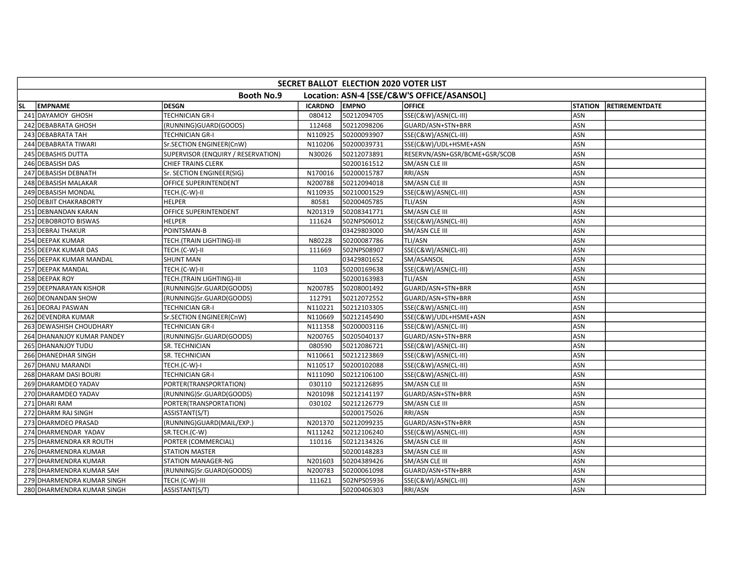| SECRET BALLOT ELECTION 2020 VOTER LIST                          |                                    |                |              |                               |                |                       |  |  |  |
|-----------------------------------------------------------------|------------------------------------|----------------|--------------|-------------------------------|----------------|-----------------------|--|--|--|
| Location: ASN-4 [SSE/C&W'S OFFICE/ASANSOL]<br><b>Booth No.9</b> |                                    |                |              |                               |                |                       |  |  |  |
| <b>EMPNAME</b><br><b>SL</b>                                     | <b>DESGN</b>                       | <b>ICARDNO</b> | <b>EMPNO</b> | <b>OFFICE</b>                 | <b>STATION</b> | <b>RETIREMENTDATE</b> |  |  |  |
| 241 DAYAMOY GHOSH                                               | <b>TECHNICIAN GR-I</b>             | 080412         | 50212094705  | SSE(C&W)/ASN(CL-III)          | ASN            |                       |  |  |  |
| 242 DEBABRATA GHOSH                                             | (RUNNING)GUARD(GOODS)              | 112468         | 50212098206  | GUARD/ASN+STN+BRR             | ASN            |                       |  |  |  |
| 243 DEBABRATA TAH                                               | <b>TECHNICIAN GR-I</b>             | N110925        | 50200093907  | SSE(C&W)/ASN(CL-III)          | <b>ASN</b>     |                       |  |  |  |
| 244 DEBABRATA TIWARI                                            | Sr.SECTION ENGINEER(CnW)           | N110206        | 50200039731  | SSE(C&W)/UDL+HSME+ASN         | <b>ASN</b>     |                       |  |  |  |
| 245 DEBASHIS DUTTA                                              | SUPERVISOR (ENQUIRY / RESERVATION) | N30026         | 50212073891  | RESERVN/ASN+GSR/BCME+GSR/SCOB | ASN            |                       |  |  |  |
| 246 DEBASISH DAS                                                | <b>CHIEF TRAINS CLERK</b>          |                | 50200161512  | SM/ASN CLE III                | ASN            |                       |  |  |  |
| 247 DEBASISH DEBNATH                                            | Sr. SECTION ENGINEER(SIG)          | N170016        | 50200015787  | RRI/ASN                       | ASN            |                       |  |  |  |
| 248 DEBASISH MALAKAR                                            | OFFICE SUPERINTENDENT              | N200788        | 50212094018  | SM/ASN CLE III                | <b>ASN</b>     |                       |  |  |  |
| 249 DEBASISH MONDAL                                             | TECH.(C-W)-II                      | N110935        | 50210001529  | SSE(C&W)/ASN(CL-III)          | ASN            |                       |  |  |  |
| 250 DEBJIT CHAKRABORTY                                          | <b>HELPER</b>                      | 80581          | 50200405785  | TLI/ASN                       | <b>ASN</b>     |                       |  |  |  |
| 251 DEBNANDAN KARAN                                             | OFFICE SUPERINTENDENT              | N201319        | 50208341771  | SM/ASN CLE III                | ASN            |                       |  |  |  |
| 252 DEBOBROTO BISWAS                                            | <b>HELPER</b>                      | 111624         | 502NPS06012  | SSE(C&W)/ASN(CL-III)          | ASN            |                       |  |  |  |
| 253 DEBRAJ THAKUR                                               | POINTSMAN-B                        |                | 03429803000  | SM/ASN CLE III                | ASN            |                       |  |  |  |
| 254 DEEPAK KUMAR                                                | TECH.(TRAIN LIGHTING)-III          | N80228         | 50200087786  | TLI/ASN                       | ASN            |                       |  |  |  |
| 255 DEEPAK KUMAR DAS                                            | TECH.(C-W)-II                      | 111669         | 502NPS08907  | SSE(C&W)/ASN(CL-III)          | ASN            |                       |  |  |  |
| 256 DEEPAK KUMAR MANDAL                                         | <b>SHUNT MAN</b>                   |                | 03429801652  | SM/ASANSOL                    | <b>ASN</b>     |                       |  |  |  |
| 257 DEEPAK MANDAL                                               | TECH.(C-W)-II                      | 1103           | 50200169638  | SSE(C&W)/ASN(CL-III)          | <b>ASN</b>     |                       |  |  |  |
| 258 DEEPAK ROY                                                  | TECH.(TRAIN LIGHTING)-III          |                | 50200163983  | <b>TLI/ASN</b>                | ASN            |                       |  |  |  |
| 259 DEEPNARAYAN KISHOR                                          | (RUNNING)Sr.GUARD(GOODS)           | N200785        | 50208001492  | GUARD/ASN+STN+BRR             | ASN            |                       |  |  |  |
| 260 DEONANDAN SHOW                                              | (RUNNING)Sr.GUARD(GOODS)           | 112791         | 50212072552  | GUARD/ASN+STN+BRR             | ASN            |                       |  |  |  |
| 261 DEORAJ PASWAN                                               | <b>TECHNICIAN GR-I</b>             | N110221        | 50212103305  | SSE(C&W)/ASN(CL-III)          | <b>ASN</b>     |                       |  |  |  |
| 262 DEVENDRA KUMAR                                              | Sr.SECTION ENGINEER(CnW)           | N110669        | 50212145490  | SSE(C&W)/UDL+HSME+ASN         | <b>ASN</b>     |                       |  |  |  |
| 263 DEWASHISH CHOUDHARY                                         | <b>TECHNICIAN GR-I</b>             | N111358        | 50200003116  | SSE(C&W)/ASN(CL-III)          | ASN            |                       |  |  |  |
| 264 DHANANJOY KUMAR PANDEY                                      | (RUNNING)Sr.GUARD(GOODS)           | N200765        | 50205040137  | GUARD/ASN+STN+BRR             | <b>ASN</b>     |                       |  |  |  |
| 265 DHANANJOY TUDU                                              | SR. TECHNICIAN                     | 080590         | 50212086721  | SSE(C&W)/ASN(CL-III)          | ASN            |                       |  |  |  |
| 266 DHANEDHAR SINGH                                             | SR. TECHNICIAN                     | N110661        | 50212123869  | SSE(C&W)/ASN(CL-III)          | ASN            |                       |  |  |  |
| 267 DHANU MARANDI                                               | TECH.(C-W)-I                       | N110517        | 50200102088  | SSE(C&W)/ASN(CL-III)          | ASN            |                       |  |  |  |
| 268 DHARAM DASI BOURI                                           | <b>TECHNICIAN GR-I</b>             | N111090        | 50212106100  | SSE(C&W)/ASN(CL-III)          | ASN            |                       |  |  |  |
| 269 DHARAMDEO YADAV                                             | PORTER(TRANSPORTATION)             | 030110         | 50212126895  | SM/ASN CLE III                | ASN            |                       |  |  |  |
| 270 DHARAMDEO YADAV                                             | (RUNNING)Sr.GUARD(GOODS)           | N201098        | 50212141197  | GUARD/ASN+STN+BRR             | ASN            |                       |  |  |  |
| 271 DHARI RAM                                                   | PORTER(TRANSPORTATION)             | 030102         | 50212126779  | SM/ASN CLE III                | ASN            |                       |  |  |  |
| 272 DHARM RAJ SINGH                                             | ASSISTANT(S/T)                     |                | 50200175026  | <b>RRI/ASN</b>                | ASN            |                       |  |  |  |
| 273 DHARMDEO PRASAD                                             | (RUNNING)GUARD(MAIL/EXP.)          | N201370        | 50212099235  | GUARD/ASN+STN+BRR             | <b>ASN</b>     |                       |  |  |  |
| 274 DHARMENDAR YADAV                                            | SR.TECH.(C-W)                      | N111242        | 50212106240  | SSE(C&W)/ASN(CL-III)          | <b>ASN</b>     |                       |  |  |  |
| 275 DHARMENDRA KR ROUTH                                         | PORTER (COMMERCIAL)                | 110116         | 50212134326  | SM/ASN CLE III                | <b>ASN</b>     |                       |  |  |  |
| 276 DHARMENDRA KUMAR                                            | <b>STATION MASTER</b>              |                | 50200148283  | SM/ASN CLE III                | ASN            |                       |  |  |  |
| 277 DHARMENDRA KUMAR                                            | <b>STATION MANAGER-NG</b>          | N201603        | 50204389426  | SM/ASN CLE III                | ASN            |                       |  |  |  |
| 278 DHARMENDRA KUMAR SAH                                        | (RUNNING)Sr.GUARD(GOODS)           | N200783        | 50200061098  | GUARD/ASN+STN+BRR             | ASN            |                       |  |  |  |
| 279 DHARMENDRA KUMAR SINGH                                      | TECH.(C-W)-III                     | 111621         | 502NPS05936  | SSE(C&W)/ASN(CL-III)          | ASN            |                       |  |  |  |
| 280 DHARMENDRA KUMAR SINGH                                      | ASSISTANT(S/T)                     |                | 50200406303  | RRI/ASN                       | <b>ASN</b>     |                       |  |  |  |
|                                                                 |                                    |                |              |                               |                |                       |  |  |  |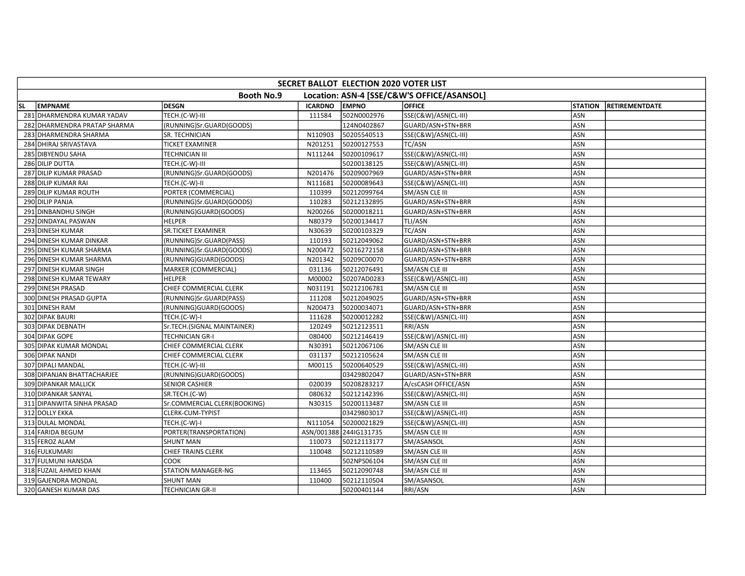| SECRET BALLOT ELECTION 2020 VOTER LIST |                              |                |                        |                                            |                |                       |  |  |  |
|----------------------------------------|------------------------------|----------------|------------------------|--------------------------------------------|----------------|-----------------------|--|--|--|
|                                        | <b>Booth No.9</b>            |                |                        | Location: ASN-4 [SSE/C&W'S OFFICE/ASANSOL] |                |                       |  |  |  |
| <b>EMPNAME</b><br><b>SL</b>            | <b>DESGN</b>                 | <b>ICARDNO</b> | <b>EMPNO</b>           | <b>OFFICE</b>                              | <b>STATION</b> | <b>RETIREMENTDATE</b> |  |  |  |
| 281 DHARMENDRA KUMAR YADAV             | TECH.(C-W)-III               | 111584         | 502N0002976            | SSE(C&W)/ASN(CL-III)                       | ASN            |                       |  |  |  |
| 282 DHARMENDRA PRATAP SHARMA           | (RUNNING)Sr.GUARD(GOODS)     |                | 124N0402867            | GUARD/ASN+STN+BRR                          | <b>ASN</b>     |                       |  |  |  |
| 283 DHARMENDRA SHARMA                  | SR. TECHNICIAN               | N110903        | 50205540513            | SSE(C&W)/ASN(CL-III)                       | <b>ASN</b>     |                       |  |  |  |
| 284 DHIRAJ SRIVASTAVA                  | <b>TICKET EXAMINER</b>       | N201251        | 50200127553            | TC/ASN                                     | ASN            |                       |  |  |  |
| 285 DIBYENDU SAHA                      | <b>TECHNICIAN III</b>        | N111244        | 50200109617            | SSE(C&W)/ASN(CL-III)                       | ASN            |                       |  |  |  |
| 286 DILIP DUTTA                        | TECH.(C-W)-III               |                | 50200138125            | SSE(C&W)/ASN(CL-III)                       | ASN            |                       |  |  |  |
| 287 DILIP KUMAR PRASAD                 | (RUNNING)Sr.GUARD(GOODS)     | N201476        | 50209007969            | GUARD/ASN+STN+BRR                          | ASN            |                       |  |  |  |
| 288 DILIP KUMAR RAI                    | TECH.(C-W)-II                | N111681        | 50200089643            | SSE(C&W)/ASN(CL-III)                       | <b>ASN</b>     |                       |  |  |  |
| 289 DILIP KUMAR ROUTH                  | PORTER (COMMERCIAL)          | 110399         | 50212099764            | SM/ASN CLE III                             | ASN            |                       |  |  |  |
| 290 DILIP PANJA                        | (RUNNING)Sr.GUARD(GOODS)     | 110283         | 50212132895            | GUARD/ASN+STN+BRR                          | <b>ASN</b>     |                       |  |  |  |
| 291 DINBANDHU SINGH                    | (RUNNING)GUARD(GOODS)        | N200266        | 50200018211            | GUARD/ASN+STN+BRR                          | <b>ASN</b>     |                       |  |  |  |
| 292 DINDAYAL PASWAN                    | <b>HELPER</b>                | N80379         | 50200134417            | TLI/ASN                                    | ASN            |                       |  |  |  |
| 293 DINESH KUMAR                       | SR.TICKET EXAMINER           | N30639         | 50200103329            | TC/ASN                                     | ASN            |                       |  |  |  |
| 294 DINESH KUMAR DINKAR                | (RUNNING)Sr.GUARD(PASS)      | 110193         | 50212049062            | GUARD/ASN+STN+BRR                          | ASN            |                       |  |  |  |
| 295 DINESH KUMAR SHARMA                | (RUNNING)Sr.GUARD(GOODS)     | N200472        | 50216272158            | GUARD/ASN+STN+BRR                          | ASN            |                       |  |  |  |
| 296 DINESH KUMAR SHARMA                | (RUNNING)GUARD(GOODS)        | N201342        | 50209C00070            | GUARD/ASN+STN+BRR                          | <b>ASN</b>     |                       |  |  |  |
| 297 DINESH KUMAR SINGH                 | MARKER (COMMERCIAL)          | 031136         | 50212076491            | SM/ASN CLE III                             | <b>ASN</b>     |                       |  |  |  |
| 298 DINESH KUMAR TEWARY                | <b>HELPER</b>                | M00002         | 50207AD0283            | SSE(C&W)/ASN(CL-III)                       | ASN            |                       |  |  |  |
| 299 DINESH PRASAD                      | CHIEF COMMERCIAL CLERK       | N031191        | 50212106781            | SM/ASN CLE III                             | ASN            |                       |  |  |  |
| 300 DINESH PRASAD GUPTA                | (RUNNING)Sr.GUARD(PASS)      | 111208         | 50212049025            | GUARD/ASN+STN+BRR                          | ASN            |                       |  |  |  |
| 301 DINESH RAM                         | (RUNNING)GUARD(GOODS)        | N200473        | 50200034071            | GUARD/ASN+STN+BRR                          | ASN            |                       |  |  |  |
| 302 DIPAK BAURI                        | TECH.(C-W)-I                 | 111628         | 50200012282            | SSE(C&W)/ASN(CL-III)                       | ASN            |                       |  |  |  |
| 303 DIPAK DEBNATH                      | Sr.TECH.(SIGNAL MAINTAINER)  | 120249         | 50212123511            | RRI/ASN                                    | ASN            |                       |  |  |  |
| 304 DIPAK GOPE                         | <b>TECHNICIAN GR-I</b>       | 080400         | 50212146419            | SSE(C&W)/ASN(CL-III)                       | <b>ASN</b>     |                       |  |  |  |
| 305 DIPAK KUMAR MONDAL                 | CHIEF COMMERCIAL CLERK       | N30391         | 50212067106            | SM/ASN CLE III                             | <b>ASN</b>     |                       |  |  |  |
| 306 DIPAK NANDI                        | CHIEF COMMERCIAL CLERK       | 031137         | 50212105624            | SM/ASN CLE III                             | ASN            |                       |  |  |  |
| 307 DIPALI MANDAL                      | TECH.(C-W)-III               | M00115         | 50200640529            | SSE(C&W)/ASN(CL-III)                       | ASN            |                       |  |  |  |
| 308 DIPANJAN BHATTACHARJEE             | (RUNNING)GUARD(GOODS)        |                | 03429802047            | GUARD/ASN+STN+BRR                          | <b>ASN</b>     |                       |  |  |  |
| 309 DIPANKAR MALLICK                   | <b>SENIOR CASHIER</b>        | 020039         | 50208283217            | A/csCASH OFFICE/ASN                        | <b>ASN</b>     |                       |  |  |  |
| 310 DIPANKAR SANYAL                    | SR.TECH.(C-W)                | 080632         | 50212142396            | SSE(C&W)/ASN(CL-III)                       | ASN            |                       |  |  |  |
| 311 DIPANWITA SINHA PRASAD             | Sr.COMMERCIAL CLERK(BOOKING) | N30315         | 50200113487            | SM/ASN CLE III                             | <b>ASN</b>     |                       |  |  |  |
| 312 DOLLY EKKA                         | CLERK-CUM-TYPIST             |                | 03429803017            | SSE(C&W)/ASN(CL-III)                       | ASN            |                       |  |  |  |
| 313 DULAL MONDAL                       | TECH.(C-W)-I                 | N111054        | 50200021829            | SSE(C&W)/ASN(CL-III)                       | ASN            |                       |  |  |  |
| 314 FARIDA BEGUM                       | PORTER(TRANSPORTATION)       |                | ASN/001388 244IG131735 | SM/ASN CLE III                             | ASN            |                       |  |  |  |
| 315 FEROZ ALAM                         | <b>SHUNT MAN</b>             | 110073         | 50212113177            | SM/ASANSOL                                 | ASN            |                       |  |  |  |
| 316 FULKUMARI                          | <b>CHIEF TRAINS CLERK</b>    | 110048         | 50212110589            | SM/ASN CLE III                             | ASN            |                       |  |  |  |
| 317 FULMUNI HANSDA                     | <b>COOK</b>                  |                | 502NPS06104            | SM/ASN CLE III                             | ASN            |                       |  |  |  |
| 318 FUZAIL AHMED KHAN                  | <b>STATION MANAGER-NG</b>    | 113465         | 50212090748            | SM/ASN CLE III                             | ASN            |                       |  |  |  |
| 319 GAJENDRA MONDAL                    | <b>SHUNT MAN</b>             | 110400         | 50212110504            | SM/ASANSOL                                 | ASN            |                       |  |  |  |
| 320 GANESH KUMAR DAS                   | <b>TECHNICIAN GR-II</b>      |                | 50200401144            | <b>RRI/ASN</b>                             | ASN            |                       |  |  |  |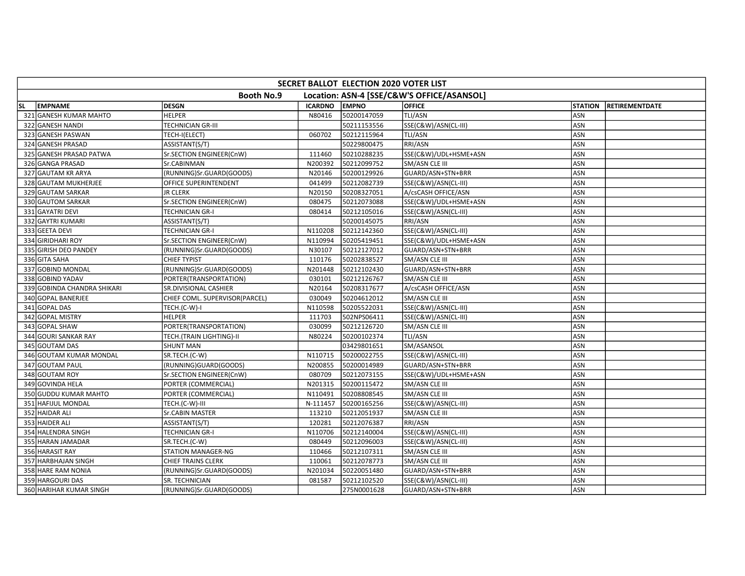|           | SECRET BALLOT ELECTION 2020 VOTER LIST                          |                                |                |              |                       |                |                       |  |  |  |
|-----------|-----------------------------------------------------------------|--------------------------------|----------------|--------------|-----------------------|----------------|-----------------------|--|--|--|
|           | Location: ASN-4 [SSE/C&W'S OFFICE/ASANSOL]<br><b>Booth No.9</b> |                                |                |              |                       |                |                       |  |  |  |
| <b>SL</b> | <b>EMPNAME</b>                                                  | <b>DESGN</b>                   | <b>ICARDNO</b> | <b>EMPNO</b> | <b>OFFICE</b>         | <b>STATION</b> | <b>RETIREMENTDATE</b> |  |  |  |
|           | 321 GANESH KUMAR MAHTO                                          | <b>HELPER</b>                  | N80416         | 50200147059  | TLI/ASN               | <b>ASN</b>     |                       |  |  |  |
|           | 322 GANESH NANDI                                                | TECHNICIAN GR-III              |                | 50211153556  | SSE(C&W)/ASN(CL-III)  | <b>ASN</b>     |                       |  |  |  |
|           | 323 GANESH PASWAN                                               | TECH-I(ELECT)                  | 060702         | 50212115964  | TLI/ASN               | ASN            |                       |  |  |  |
|           | 324 GANESH PRASAD                                               | ASSISTANT(S/T)                 |                | 50229800475  | RRI/ASN               | ASN            |                       |  |  |  |
|           | 325 GANESH PRASAD PATWA                                         | Sr.SECTION ENGINEER(CnW)       | 111460         | 50210288235  | SSE(C&W)/UDL+HSME+ASN | ASN            |                       |  |  |  |
|           | 326 GANGA PRASAD                                                | Sr.CABINMAN                    | N200392        | 50212099752  | SM/ASN CLE III        | ASN            |                       |  |  |  |
|           | 327 GAUTAM KR ARYA                                              | (RUNNING)Sr.GUARD(GOODS)       | N20146         | 50200129926  | GUARD/ASN+STN+BRR     | ASN            |                       |  |  |  |
|           | 328 GAUTAM MUKHERJEE                                            | OFFICE SUPERINTENDENT          | 041499         | 50212082739  | SSE(C&W)/ASN(CL-III)  | <b>ASN</b>     |                       |  |  |  |
|           | 329 GAUTAM SARKAR                                               | <b>JR CLERK</b>                | N20150         | 50208327051  | A/csCASH OFFICE/ASN   | ASN            |                       |  |  |  |
|           | 330 GAUTOM SARKAR                                               | Sr.SECTION ENGINEER(CnW)       | 080475         | 50212073088  | SSE(C&W)/UDL+HSME+ASN | ASN            |                       |  |  |  |
|           | 331 GAYATRI DEVI                                                | TECHNICIAN GR-I                | 080414         | 50212105016  | SSE(C&W)/ASN(CL-III)  | ASN            |                       |  |  |  |
|           | 332 GAYTRI KUMARI                                               | ASSISTANT(S/T)                 |                | 50200145075  | RRI/ASN               | <b>ASN</b>     |                       |  |  |  |
|           | 333 GEETA DEVI                                                  | <b>TECHNICIAN GR-I</b>         | N110208        | 50212142360  | SSE(C&W)/ASN(CL-III)  | ASN            |                       |  |  |  |
|           | 334 GIRIDHARI ROY                                               | Sr.SECTION ENGINEER(CnW)       | N110994        | 50205419451  | SSE(C&W)/UDL+HSME+ASN | <b>ASN</b>     |                       |  |  |  |
|           | 335 GIRISH DEO PANDEY                                           | (RUNNING)Sr.GUARD(GOODS)       | N30107         | 50212127012  | GUARD/ASN+STN+BRR     | ASN            |                       |  |  |  |
|           | 336 GITA SAHA                                                   | <b>CHIEF TYPIST</b>            | 110176         | 50202838527  | SM/ASN CLE III        | ASN            |                       |  |  |  |
|           | 337 GOBIND MONDAL                                               | (RUNNING)Sr.GUARD(GOODS)       | N201448        | 50212102430  | GUARD/ASN+STN+BRR     | ASN            |                       |  |  |  |
|           | 338 GOBIND YADAV                                                | PORTER(TRANSPORTATION)         | 030101         | 50212126767  | SM/ASN CLE III        | ASN            |                       |  |  |  |
|           | 339 GOBINDA CHANDRA SHIKARI                                     | SR.DIVISIONAL CASHIER          | N20164         | 50208317677  | A/csCASH OFFICE/ASN   | ASN            |                       |  |  |  |
|           | 340 GOPAL BANERJEE                                              | CHIEF COML. SUPERVISOR(PARCEL) | 030049         | 50204612012  | SM/ASN CLE III        | ASN            |                       |  |  |  |
|           | 341 GOPAL DAS                                                   | TECH.(C-W)-I                   | N110598        | 50205522031  | SSE(C&W)/ASN(CL-III)  | ASN            |                       |  |  |  |
|           | 342 GOPAL MISTRY                                                | <b>HELPER</b>                  | 111703         | 502NPS06411  | SSE(C&W)/ASN(CL-III)  | ASN            |                       |  |  |  |
|           | 343 GOPAL SHAW                                                  | PORTER(TRANSPORTATION)         | 030099         | 50212126720  | SM/ASN CLE III        | ASN            |                       |  |  |  |
|           | 344 GOURI SANKAR RAY                                            | TECH.(TRAIN LIGHTING)-II       | N80224         | 50200102374  | TLI/ASN               | ASN            |                       |  |  |  |
|           | 345 GOUTAM DAS                                                  | <b>SHUNT MAN</b>               |                | 03429801651  | SM/ASANSOL            | ASN            |                       |  |  |  |
|           | 346 GOUTAM KUMAR MONDAL                                         | SR.TECH.(C-W)                  | N110715        | 50200022755  | SSE(C&W)/ASN(CL-III)  | <b>ASN</b>     |                       |  |  |  |
|           | 347 GOUTAM PAUL                                                 | (RUNNING)GUARD(GOODS)          | N200855        | 50200014989  | GUARD/ASN+STN+BRR     | ASN            |                       |  |  |  |
|           | 348 GOUTAM ROY                                                  | Sr.SECTION ENGINEER(CnW)       | 080709         | 50212073155  | SSE(C&W)/UDL+HSME+ASN | ASN            |                       |  |  |  |
|           | 349 GOVINDA HELA                                                | PORTER (COMMERCIAL)            | N201315        | 50200115472  | SM/ASN CLE III        | ASN            |                       |  |  |  |
|           | 350 GUDDU KUMAR MAHTO                                           | PORTER (COMMERCIAL)            | N110491        | 50208808545  | SM/ASN CLE III        | <b>ASN</b>     |                       |  |  |  |
|           | 351 HAFIJUL MONDAL                                              | TECH.(C-W)-III                 | N-111457       | 50200165256  | SSE(C&W)/ASN(CL-III)  | ASN            |                       |  |  |  |
|           | 352 HAIDAR ALI                                                  | Sr.CABIN MASTER                | 113210         | 50212051937  | SM/ASN CLE III        | ASN            |                       |  |  |  |
|           | 353 HAIDER ALI                                                  | ASSISTANT(S/T)                 | 120281         | 50212076387  | RRI/ASN               | ASN            |                       |  |  |  |
|           | 354 HALENDRA SINGH                                              | <b>TECHNICIAN GR-I</b>         | N110706        | 50212140004  | SSE(C&W)/ASN(CL-III)  | ASN            |                       |  |  |  |
|           | 355 HARAN JAMADAR                                               | SR.TECH.(C-W)                  | 080449         | 50212096003  | SSE(C&W)/ASN(CL-III)  | ASN            |                       |  |  |  |
|           | 356 HARASIT RAY                                                 | <b>STATION MANAGER-NG</b>      | 110466         | 50212107311  | SM/ASN CLE III        | ASN            |                       |  |  |  |
|           | 357 HARBHAJAN SINGH                                             | <b>CHIEF TRAINS CLERK</b>      | 110061         | 50212078773  | SM/ASN CLE III        | ASN            |                       |  |  |  |
|           | 358 HARE RAM NONIA                                              | (RUNNING)Sr.GUARD(GOODS)       | N201034        | 50220051480  | GUARD/ASN+STN+BRR     | ASN            |                       |  |  |  |
|           | 359 HARGOURI DAS                                                | SR. TECHNICIAN                 | 081587         | 50212102520  | SSE(C&W)/ASN(CL-III)  | ASN            |                       |  |  |  |
|           | 360 HARIHAR KUMAR SINGH                                         | (RUNNING)Sr.GUARD(GOODS)       |                | 275N0001628  | GUARD/ASN+STN+BRR     | ASN            |                       |  |  |  |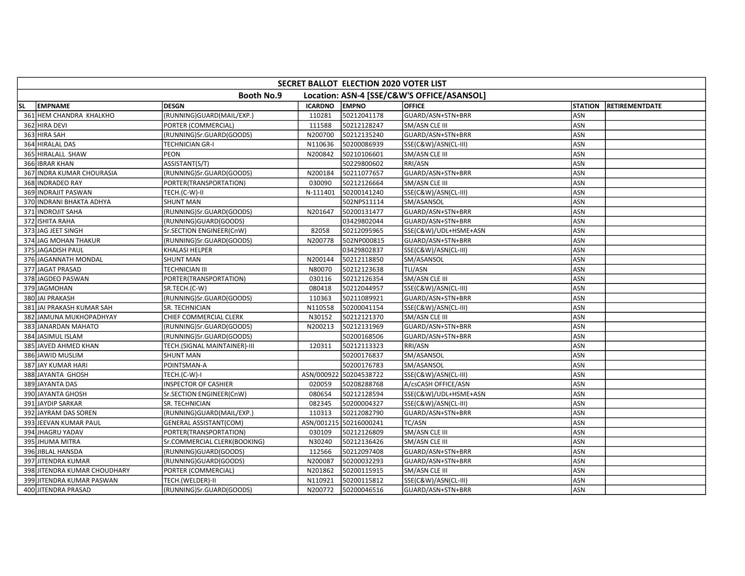|           | SECRET BALLOT ELECTION 2020 VOTER LIST |                               |                |                        |                                            |                |                       |  |  |  |
|-----------|----------------------------------------|-------------------------------|----------------|------------------------|--------------------------------------------|----------------|-----------------------|--|--|--|
|           |                                        | <b>Booth No.9</b>             |                |                        | Location: ASN-4 [SSE/C&W'S OFFICE/ASANSOL] |                |                       |  |  |  |
| <b>SL</b> | <b>EMPNAME</b>                         | <b>DESGN</b>                  | <b>ICARDNO</b> | <b>EMPNO</b>           | <b>OFFICE</b>                              | <b>STATION</b> | <b>RETIREMENTDATE</b> |  |  |  |
|           | 361 HEM CHANDRA KHALKHO                | (RUNNING)GUARD(MAIL/EXP.)     | 110281         | 50212041178            | GUARD/ASN+STN+BRR                          | ASN            |                       |  |  |  |
|           | 362 HIRA DEVI                          | PORTER (COMMERCIAL)           | 111588         | 50212128247            | SM/ASN CLE III                             | ASN            |                       |  |  |  |
|           | 363 HIRA SAH                           | (RUNNING)Sr.GUARD(GOODS)      | N200700        | 50212135240            | GUARD/ASN+STN+BRR                          | ASN            |                       |  |  |  |
|           | 364 HIRALAL DAS                        | <b>TECHNICIAN GR-I</b>        | N110636        | 50200086939            | SSE(C&W)/ASN(CL-III)                       | ASN            |                       |  |  |  |
|           | 365 HIRALALL SHAW                      | PEON                          | N200842        | 50210106601            | SM/ASN CLE III                             | ASN            |                       |  |  |  |
|           | 366 IBRAR KHAN                         | ASSISTANT(S/T)                |                | 50229800602            | RRI/ASN                                    | ASN            |                       |  |  |  |
|           | 367 INDRA KUMAR CHOURASIA              | (RUNNING)Sr.GUARD(GOODS)      | N200184        | 50211077657            | GUARD/ASN+STN+BRR                          | ASN            |                       |  |  |  |
|           | 368 INDRADEO RAY                       | PORTER(TRANSPORTATION)        | 030090         | 50212126664            | <b>SM/ASN CLE III</b>                      | ASN            |                       |  |  |  |
|           | 369 INDRAJIT PASWAN                    | TECH.(C-W)-II                 | N-111401       | 50200141240            | SSE(C&W)/ASN(CL-III)                       | ASN            |                       |  |  |  |
|           | 370 INDRANI BHAKTA ADHYA               | <b>SHUNT MAN</b>              |                | 502NPS11114            | SM/ASANSOL                                 | ASN            |                       |  |  |  |
|           | 371 INDROJIT SAHA                      | (RUNNING)Sr.GUARD(GOODS)      | N201647        | 50200131477            | GUARD/ASN+STN+BRR                          | <b>ASN</b>     |                       |  |  |  |
|           | 372 ISHITA RAHA                        | (RUNNING)GUARD(GOODS)         |                | 03429802044            | GUARD/ASN+STN+BRR                          | ASN            |                       |  |  |  |
|           | 373 JAG JEET SINGH                     | Sr.SECTION ENGINEER(CnW)      | 82058          | 50212095965            | SSE(C&W)/UDL+HSME+ASN                      | ASN            |                       |  |  |  |
|           | 374 JAG MOHAN THAKUR                   | (RUNNING)Sr.GUARD(GOODS)      | N200778        | 502NP000815            | GUARD/ASN+STN+BRR                          | ASN            |                       |  |  |  |
|           | 375 JAGADISH PAUL                      | KHALASI HELPER                |                | 03429802837            | SSE(C&W)/ASN(CL-III)                       | ASN            |                       |  |  |  |
|           | 376 JAGANNATH MONDAL                   | <b>SHUNT MAN</b>              | N200144        | 50212118850            | SM/ASANSOL                                 | ASN            |                       |  |  |  |
|           | 377 JAGAT PRASAD                       | <b>TECHNICIAN III</b>         | N80070         | 50212123638            | TLI/ASN                                    | <b>ASN</b>     |                       |  |  |  |
|           | 378 JAGDEO PASWAN                      | PORTER(TRANSPORTATION)        | 030116         | 50212126354            | SM/ASN CLE III                             | ASN            |                       |  |  |  |
|           | 379 JAGMOHAN                           | SR.TECH.(C-W)                 | 080418         | 50212044957            | SSE(C&W)/ASN(CL-III)                       | ASN            |                       |  |  |  |
|           | 380 JAI PRAKASH                        | (RUNNING)Sr.GUARD(GOODS)      | 110363         | 50211089921            | GUARD/ASN+STN+BRR                          | ASN            |                       |  |  |  |
|           | 381 JAI PRAKASH KUMAR SAH              | SR. TECHNICIAN                | N110558        | 50200041154            | SSE(C&W)/ASN(CL-III)                       | ASN            |                       |  |  |  |
|           | 382 JAMUNA MUKHOPADHYAY                | CHIEF COMMERCIAL CLERK        | N30152         | 50212121370            | SM/ASN CLE III                             | ASN            |                       |  |  |  |
|           | 383 JANARDAN MAHATO                    | (RUNNING)Sr.GUARD(GOODS)      | N200213        | 50212131969            | GUARD/ASN+STN+BRR                          | ASN            |                       |  |  |  |
|           | 384 JASIMUL ISLAM                      | (RUNNING)Sr.GUARD(GOODS)      |                | 50200168506            | GUARD/ASN+STN+BRR                          | ASN            |                       |  |  |  |
|           | 385 JAVED AHMED KHAN                   | TECH.(SIGNAL MAINTAINER)-III  | 120311         | 50212113323            | RRI/ASN                                    | ASN            |                       |  |  |  |
|           | 386 JAWID MUSLIM                       | <b>SHUNT MAN</b>              |                | 50200176837            | SM/ASANSOL                                 | ASN            |                       |  |  |  |
|           | 387 JAY KUMAR HARI                     | POINTSMAN-A                   |                | 50200176783            | SM/ASANSOL                                 | ASN            |                       |  |  |  |
|           | 388 JAYANTA GHOSH                      | TECH.(C-W)-I                  | ASN/000922     | 50204538722            | SSE(C&W)/ASN(CL-III)                       | ASN            |                       |  |  |  |
|           | 389 JAYANTA DAS                        | <b>INSPECTOR OF CASHIER</b>   | 020059         | 50208288768            | A/csCASH OFFICE/ASN                        | ASN            |                       |  |  |  |
|           | 390 JAYANTA GHOSH                      | Sr.SECTION ENGINEER(CnW)      | 080654         | 50212128594            | SSE(C&W)/UDL+HSME+ASN                      | <b>ASN</b>     |                       |  |  |  |
|           | 391 JAYDIP SARKAR                      | SR. TECHNICIAN                | 082345         | 50200004327            | SSE(C&W)/ASN(CL-III)                       | <b>ASN</b>     |                       |  |  |  |
|           | 392 JAYRAM DAS SOREN                   | (RUNNING)GUARD(MAIL/EXP.)     | 110313         | 50212082790            | GUARD/ASN+STN+BRR                          | ASN            |                       |  |  |  |
|           | 393 JEEVAN KUMAR PAUL                  | <b>GENERAL ASSISTANT(COM)</b> |                | ASN/001215 50216000241 | TC/ASN                                     | ASN            |                       |  |  |  |
|           | 394 JHAGRU YADAV                       | PORTER(TRANSPORTATION)        | 030109         | 50212126809            | SM/ASN CLE III                             | ASN            |                       |  |  |  |
|           | 395 JHUMA MITRA                        | Sr.COMMERCIAL CLERK(BOOKING)  | N30240         | 50212136426            | SM/ASN CLE III                             | ASN            |                       |  |  |  |
|           | 396 JIBLAL HANSDA                      | (RUNNING)GUARD(GOODS)         | 112566         | 50212097408            | GUARD/ASN+STN+BRR                          | ASN            |                       |  |  |  |
|           | 397 JITENDRA KUMAR                     | (RUNNING)GUARD(GOODS)         | N200087        | 50200032293            | GUARD/ASN+STN+BRR                          | ASN            |                       |  |  |  |
|           | 398 JITENDRA KUMAR CHOUDHARY           | PORTER (COMMERCIAL)           | N201862        | 50200115915            | SM/ASN CLE III                             | ASN            |                       |  |  |  |
|           | 399 JITENDRA KUMAR PASWAN              | TECH.(WELDER)-II              | N110921        | 50200115812            | SSE(C&W)/ASN(CL-III)                       | ASN            |                       |  |  |  |
|           | 400 JITENDRA PRASAD                    | (RUNNING)Sr.GUARD(GOODS)      | N200772        | 50200046516            | GUARD/ASN+STN+BRR                          | ASN            |                       |  |  |  |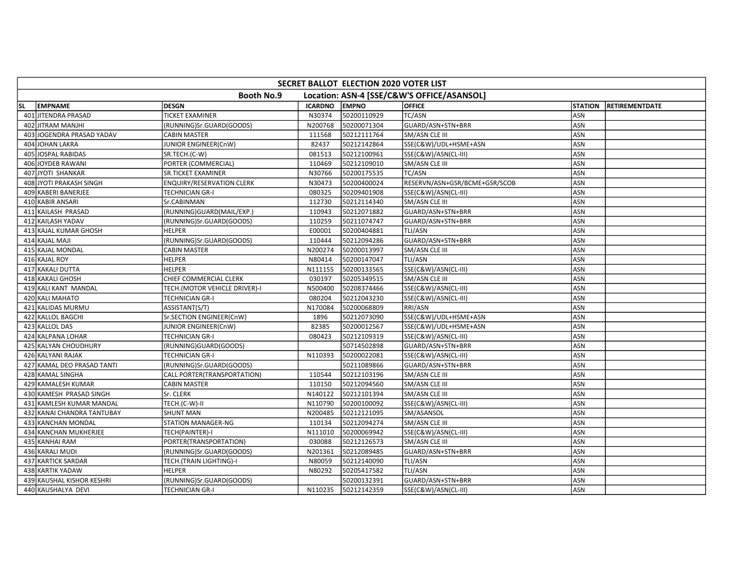|     | SECRET BALLOT ELECTION 2020 VOTER LIST                          |                                  |                |              |                               |                |                       |  |  |  |  |
|-----|-----------------------------------------------------------------|----------------------------------|----------------|--------------|-------------------------------|----------------|-----------------------|--|--|--|--|
|     | <b>Booth No.9</b><br>Location: ASN-4 [SSE/C&W'S OFFICE/ASANSOL] |                                  |                |              |                               |                |                       |  |  |  |  |
| SL. | <b>EMPNAME</b>                                                  | <b>DESGN</b>                     | <b>ICARDNO</b> | <b>EMPNO</b> | <b>OFFICE</b>                 | <b>STATION</b> | <b>RETIREMENTDATE</b> |  |  |  |  |
|     | 401 JITENDRA PRASAD                                             | <b>TICKET EXAMINER</b>           | N30374         | 50200110929  | TC/ASN                        | ASN            |                       |  |  |  |  |
|     | 402 JITRAM MANJHI                                               | (RUNNING)Sr.GUARD(GOODS)         | N200768        | 50200071304  | GUARD/ASN+STN+BRR             | ASN            |                       |  |  |  |  |
|     | 403 JOGENDRA PRASAD YADAV                                       | <b>CABIN MASTER</b>              | 111568         | 50212111764  | SM/ASN CLE III                | ASN            |                       |  |  |  |  |
|     | 404 JOHAN LAKRA                                                 | JUNIOR ENGINEER(CnW)             | 82437          | 50212142864  | SSE(C&W)/UDL+HSME+ASN         | <b>ASN</b>     |                       |  |  |  |  |
|     | 405 JOSPAL RABIDAS                                              | SR.TECH.(C-W)                    | 081513         | 50212100961  | SSE(C&W)/ASN(CL-III)          | ASN            |                       |  |  |  |  |
|     | 406 JOYDEB RAWANI                                               | PORTER (COMMERCIAL)              | 110469         | 50212109010  | SM/ASN CLE III                | ASN            |                       |  |  |  |  |
|     | 407 JYOTI SHANKAR                                               | <b>SR.TICKET EXAMINER</b>        | N30766         | 50200175535  | <b>TC/ASN</b>                 | ASN            |                       |  |  |  |  |
|     | 408 JYOTI PRAKASH SINGH                                         | <b>ENQUIRY/RESERVATION CLERK</b> | N30473         | 50200400024  | RESERVN/ASN+GSR/BCME+GSR/SCOB | ASN            |                       |  |  |  |  |
|     | 409 KABERI BANERJEE                                             | <b>TECHNICIAN GR-I</b>           | 080325         | 50209401908  | SSE(C&W)/ASN(CL-III)          | ASN            |                       |  |  |  |  |
|     | 410 KABIR ANSARI                                                | Sr.CABINMAN                      | 112730         | 50212114340  | SM/ASN CLE III                | <b>ASN</b>     |                       |  |  |  |  |
|     | 411 KAILASH PRASAD                                              | (RUNNING)GUARD(MAIL/EXP.)        | 110943         | 50212071882  | GUARD/ASN+STN+BRR             | <b>ASN</b>     |                       |  |  |  |  |
|     | 412 KAILASH YADAV                                               | (RUNNING)Sr.GUARD(GOODS)         | 110259         | 50211074747  | GUARD/ASN+STN+BRR             | ASN            |                       |  |  |  |  |
|     | 413 KAJAL KUMAR GHOSH                                           | <b>HELPER</b>                    | E00001         | 50200404881  | TLI/ASN                       | ASN            |                       |  |  |  |  |
|     | 414 KAJAL MAJI                                                  | (RUNNING)Sr.GUARD(GOODS)         | 110444         | 50212094286  | GUARD/ASN+STN+BRR             | ASN            |                       |  |  |  |  |
|     | 415 KAJAL MONDAL                                                | <b>CABIN MASTER</b>              | N200274        | 50200013997  | SM/ASN CLE III                | ASN            |                       |  |  |  |  |
|     | 416 KAJAL ROY                                                   | <b>HELPER</b>                    | N80414         | 50200147047  | TLI/ASN                       | ASN            |                       |  |  |  |  |
|     | 417 KAKALI DUTTA                                                | <b>HELPER</b>                    | N111155        | 50200133565  | SSE(C&W)/ASN(CL-III)          | <b>ASN</b>     |                       |  |  |  |  |
|     | 418 KAKALI GHOSH                                                | CHIEF COMMERCIAL CLERK           | 030197         | 50205349515  | SM/ASN CLE III                | ASN            |                       |  |  |  |  |
|     | 419 KALI KANT MANDAL                                            | TECH.(MOTOR VEHICLE DRIVER)-I    | N500400        | 50208374466  | SSE(C&W)/ASN(CL-III)          | ASN            |                       |  |  |  |  |
|     | 420 KALI MAHATO                                                 | <b>TECHNICIAN GR-I</b>           | 080204         | 50212043230  | SSE(C&W)/ASN(CL-III)          | ASN            |                       |  |  |  |  |
|     | 421 KALIDAS MURMU                                               | ASSISTANT(S/T)                   | N170084        | 50200068809  | RRI/ASN                       | ASN            |                       |  |  |  |  |
|     | 422 KALLOL BAGCHI                                               | Sr.SECTION ENGINEER(CnW)         | 1896           | 50212073090  | SSE(C&W)/UDL+HSME+ASN         | <b>ASN</b>     |                       |  |  |  |  |
|     | 423 KALLOL DAS                                                  | JUNIOR ENGINEER(CnW)             | 82385          | 50200012567  | SSE(C&W)/UDL+HSME+ASN         | ASN            |                       |  |  |  |  |
|     | 424 KALPANA LOHAR                                               | <b>TECHNICIAN GR-I</b>           | 080423         | 50212109319  | SSE(C&W)/ASN(CL-III)          | <b>ASN</b>     |                       |  |  |  |  |
|     | 425 KALYAN CHOUDHURY                                            | (RUNNING)GUARD(GOODS)            |                | 50714502898  | GUARD/ASN+STN+BRR             | ASN            |                       |  |  |  |  |
|     | 426 KALYANI RAJAK                                               | <b>TECHNICIAN GR-I</b>           | N110393        | 50200022081  | SSE(C&W)/ASN(CL-III)          | ASN            |                       |  |  |  |  |
|     | 427 KAMAL DEO PRASAD TANTI                                      | (RUNNING)Sr.GUARD(GOODS)         |                | 50211089866  | GUARD/ASN+STN+BRR             | ASN            |                       |  |  |  |  |
|     | 428 KAMAL SINGHA                                                | CALL PORTER(TRANSPORTATION)      | 110544         | 50212103196  | SM/ASN CLE III                | ASN            |                       |  |  |  |  |
|     | 429 KAMALESH KUMAR                                              | <b>CABIN MASTER</b>              | 110150         | 50212094560  | SM/ASN CLE III                | ASN            |                       |  |  |  |  |
|     | 430 KAMESH PRASAD SINGH                                         | Sr. CLERK                        | N140122        | 50212101394  | SM/ASN CLE III                | ASN            |                       |  |  |  |  |
|     | 431 KAMLESH KUMAR MANDAL                                        | TECH.(C-W)-II                    | N110790        | 50200100092  | SSE(C&W)/ASN(CL-III)          | <b>ASN</b>     |                       |  |  |  |  |
|     | 432 KANAI CHANDRA TANTUBAY                                      | <b>SHUNT MAN</b>                 | N200485        | 50212121095  | SM/ASANSOL                    | ASN            |                       |  |  |  |  |
|     | 433 KANCHAN MONDAL                                              | <b>STATION MANAGER-NG</b>        | 110134         | 50212094274  | SM/ASN CLE III                | ASN            |                       |  |  |  |  |
|     | 434 KANCHAN MUKHERJEE                                           | TECH(PAINTER)-I                  | N111010        | 50200069942  | SSE(C&W)/ASN(CL-III)          | ASN            |                       |  |  |  |  |
|     | 435 KANHAI RAM                                                  | PORTER(TRANSPORTATION)           | 030088         | 50212126573  | SM/ASN CLE III                | ASN            |                       |  |  |  |  |
|     | 436 KARALI MUDI                                                 | (RUNNING)Sr.GUARD(GOODS)         | N201361        | 50212089485  | GUARD/ASN+STN+BRR             | <b>ASN</b>     |                       |  |  |  |  |
|     | 437 KARTICK SARDAR                                              | TECH.(TRAIN LIGHTING)-I          | N80059         | 50212140090  | TLI/ASN                       | ASN            |                       |  |  |  |  |
|     | 438 KARTIK YADAW                                                | <b>HELPER</b>                    | N80292         | 50205417582  | TLI/ASN                       | ASN            |                       |  |  |  |  |
|     | 439 KAUSHAL KISHOR KESHRI                                       | (RUNNING)Sr.GUARD(GOODS)         |                | 50200132391  | GUARD/ASN+STN+BRR             | ASN            |                       |  |  |  |  |
|     | 440 KAUSHALYA DEVI                                              | <b>TECHNICIAN GR-I</b>           | N110235        | 50212142359  | SSE(C&W)/ASN(CL-III)          | ASN            |                       |  |  |  |  |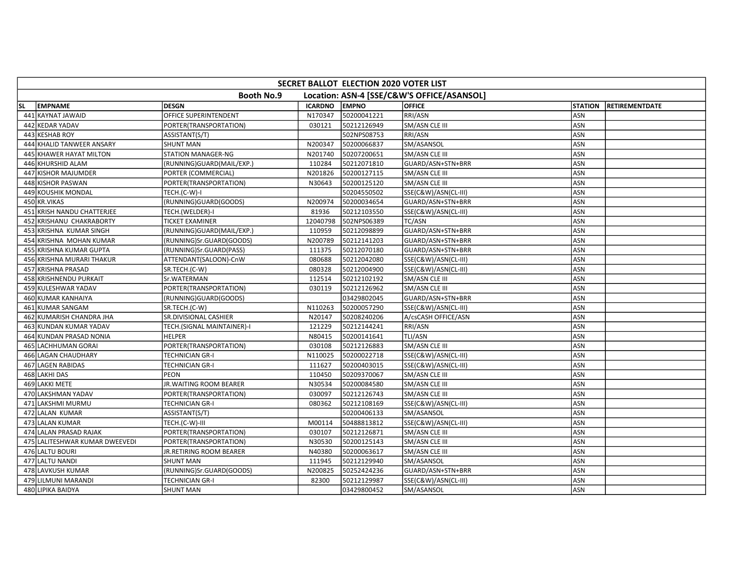| SECRET BALLOT ELECTION 2020 VOTER LIST |                               |                |              |                                            |                |                       |  |  |  |
|----------------------------------------|-------------------------------|----------------|--------------|--------------------------------------------|----------------|-----------------------|--|--|--|
|                                        | <b>Booth No.9</b>             |                |              | Location: ASN-4 [SSE/C&W'S OFFICE/ASANSOL] |                |                       |  |  |  |
| <b>EMPNAME</b><br>lsl.                 | <b>DESGN</b>                  | <b>ICARDNO</b> | <b>EMPNO</b> | <b>OFFICE</b>                              | <b>STATION</b> | <b>RETIREMENTDATE</b> |  |  |  |
| 441 KAYNAT JAWAID                      | OFFICE SUPERINTENDENT         | N170347        | 50200041221  | RRI/ASN                                    | ASN            |                       |  |  |  |
| 442 KEDAR YADAV                        | PORTER(TRANSPORTATION)        | 030121         | 50212126949  | SM/ASN CLE III                             | ASN            |                       |  |  |  |
| 443 KESHAB ROY                         | ASSISTANT(S/T)                |                | 502NPS08753  | <b>RRI/ASN</b>                             | <b>ASN</b>     |                       |  |  |  |
| 444 KHALID TANWEER ANSARY              | <b>SHUNT MAN</b>              | N200347        | 50200066837  | SM/ASANSOL                                 | ASN            |                       |  |  |  |
| 445 KHAWER HAYAT MILTON                | <b>STATION MANAGER-NG</b>     | N201740        | 50207200651  | SM/ASN CLE III                             | <b>ASN</b>     |                       |  |  |  |
| 446 KHURSHID ALAM                      | (RUNNING)GUARD(MAIL/EXP.)     | 110284         | 50212071810  | GUARD/ASN+STN+BRR                          | ASN            |                       |  |  |  |
| 447 KISHOR MAJUMDER                    | PORTER (COMMERCIAL)           | N201826        | 50200127115  | SM/ASN CLE III                             | ASN            |                       |  |  |  |
| 448 KISHOR PASWAN                      | PORTER(TRANSPORTATION)        | N30643         | 50200125120  | SM/ASN CLE III                             | ASN            |                       |  |  |  |
| 449 KOUSHIK MONDAL                     | TECH.(C-W)-I                  |                | 50204550502  | SSE(C&W)/ASN(CL-III)                       | ASN            |                       |  |  |  |
| 450 KR.VIKAS                           | (RUNNING)GUARD(GOODS)         | N200974        | 50200034654  | GUARD/ASN+STN+BRR                          | <b>ASN</b>     |                       |  |  |  |
| 451 KRISH NANDU CHATTERJEE             | TECH.(WELDER)-I               | 81936          | 50212103550  | SSE(C&W)/ASN(CL-III)                       | <b>ASN</b>     |                       |  |  |  |
| 452 KRISHANU CHAKRABORTY               | <b>TICKET EXAMINER</b>        | 12040798       | 502NPS06389  | TC/ASN                                     | ASN            |                       |  |  |  |
| 453 KRISHNA KUMAR SINGH                | (RUNNING)GUARD(MAIL/EXP.)     | 110959         | 50212098899  | GUARD/ASN+STN+BRR                          | ASN            |                       |  |  |  |
| 454 KRISHNA MOHAN KUMAR                | (RUNNING)Sr.GUARD(GOODS)      | N200789        | 50212141203  | GUARD/ASN+STN+BRR                          | ASN            |                       |  |  |  |
| 455 KRISHNA KUMAR GUPTA                | (RUNNING)Sr.GUARD(PASS)       | 111375         | 50212070180  | GUARD/ASN+STN+BRR                          | ASN            |                       |  |  |  |
| 456 KRISHNA MURARI THAKUR              | ATTENDANT(SALOON)-CnW         | 080688         | 50212042080  | SSE(C&W)/ASN(CL-III)                       | <b>ASN</b>     |                       |  |  |  |
| 457 KRISHNA PRASAD                     | SR.TECH.(C-W)                 | 080328         | 50212004900  | SSE(C&W)/ASN(CL-III)                       | ASN            |                       |  |  |  |
| 458 KRISHNENDU PURKAIT                 | Sr.WATERMAN                   | 112514         | 50212102192  | SM/ASN CLE III                             | ASN            |                       |  |  |  |
| 459 KULESHWAR YADAV                    | PORTER(TRANSPORTATION)        | 030119         | 50212126962  | SM/ASN CLE III                             | ASN            |                       |  |  |  |
| 460 KUMAR KANHAIYA                     | (RUNNING)GUARD(GOODS)         |                | 03429802045  | GUARD/ASN+STN+BRR                          | ASN            |                       |  |  |  |
| 461 KUMAR SANGAM                       | SR.TECH.(C-W)                 | N110263        | 50200057290  | SSE(C&W)/ASN(CL-III)                       | ASN            |                       |  |  |  |
| 462 KUMARISH CHANDRA JHA               | SR.DIVISIONAL CASHIER         | N20147         | 50208240206  | A/csCASH OFFICE/ASN                        | <b>ASN</b>     |                       |  |  |  |
| 463 KUNDAN KUMAR YADAV                 | TECH.(SIGNAL MAINTAINER)-I    | 121229         | 50212144241  | RRI/ASN                                    | <b>ASN</b>     |                       |  |  |  |
| 464 KUNDAN PRASAD NONIA                | <b>HELPER</b>                 | N80415         | 50200141641  | TLI/ASN                                    | <b>ASN</b>     |                       |  |  |  |
| 465 LACHHUMAN GORAI                    | PORTER(TRANSPORTATION)        | 030108         | 50212126883  | SM/ASN CLE III                             | ASN            |                       |  |  |  |
| 466 LAGAN CHAUDHARY                    | <b>TECHNICIAN GR-I</b>        | N110025        | 50200022718  | SSE(C&W)/ASN(CL-III)                       | ASN            |                       |  |  |  |
| 467 LAGEN RABIDAS                      | <b>TECHNICIAN GR-I</b>        | 111627         | 50200403015  | SSE(C&W)/ASN(CL-III)                       | ASN            |                       |  |  |  |
| 468 LAKHI DAS                          | <b>PEON</b>                   | 110450         | 50209370067  | SM/ASN CLE III                             | <b>ASN</b>     |                       |  |  |  |
| 469 LAKKI METE                         | <b>JR.WAITING ROOM BEARER</b> | N30534         | 50200084580  | SM/ASN CLE III                             | ASN            |                       |  |  |  |
| 470 LAKSHMAN YADAV                     | PORTER(TRANSPORTATION)        | 030097         | 50212126743  | SM/ASN CLE III                             | <b>ASN</b>     |                       |  |  |  |
| 471 LAKSHMI MURMU                      | <b>TECHNICIAN GR-I</b>        | 080362         | 50212108169  | SSE(C&W)/ASN(CL-III)                       | ASN            |                       |  |  |  |
| 472 LALAN KUMAR                        | ASSISTANT(S/T)                |                | 50200406133  | SM/ASANSOL                                 | ASN            |                       |  |  |  |
| 473 LALAN KUMAR                        | TECH.(C-W)-III                | M00114         | 50488813812  | SSE(C&W)/ASN(CL-III)                       | ASN            |                       |  |  |  |
| 474 LALAN PRASAD RAJAK                 | PORTER(TRANSPORTATION)        | 030107         | 50212126871  | SM/ASN CLE III                             | ASN            |                       |  |  |  |
| 475 LALITESHWAR KUMAR DWEEVEDI         | PORTER(TRANSPORTATION)        | N30530         | 50200125143  | SM/ASN CLE III                             | <b>ASN</b>     |                       |  |  |  |
| 476 LALTU BOURI                        | JR.RETIRING ROOM BEARER       | N40380         | 50200063617  | SM/ASN CLE III                             | ASN            |                       |  |  |  |
| 477 LALTU NANDI                        | <b>SHUNT MAN</b>              | 111945         | 50212129940  | SM/ASANSOL                                 | ASN            |                       |  |  |  |
| 478 LAVKUSH KUMAR                      | (RUNNING)Sr.GUARD(GOODS)      | N200825        | 50252424236  | GUARD/ASN+STN+BRR                          | <b>ASN</b>     |                       |  |  |  |
| 479 LILMUNI MARANDI                    | <b>TECHNICIAN GR-I</b>        | 82300          | 50212129987  | SSE(C&W)/ASN(CL-III)                       | ASN            |                       |  |  |  |
| <b>480 LIPIKA BAIDYA</b>               | <b>SHUNT MAN</b>              |                | 03429800452  | SM/ASANSOL                                 | ASN            |                       |  |  |  |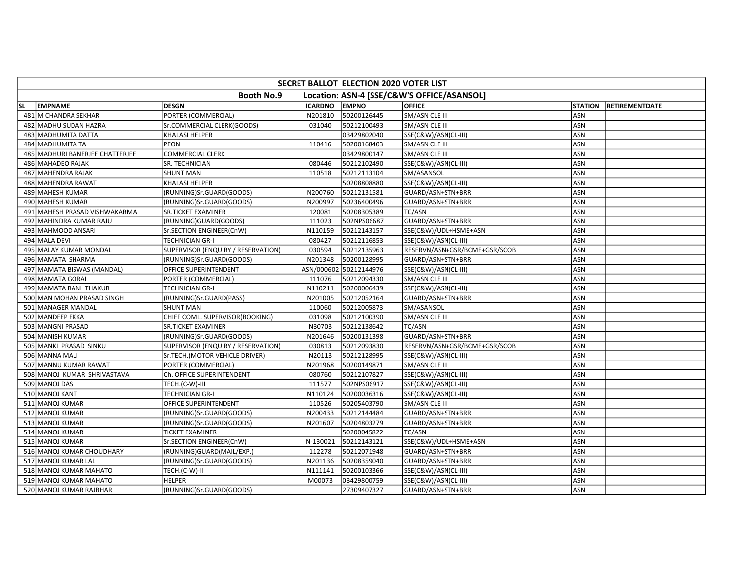| SECRET BALLOT ELECTION 2020 VOTER LIST |                                    |                |                        |                                            |                |                       |  |  |  |
|----------------------------------------|------------------------------------|----------------|------------------------|--------------------------------------------|----------------|-----------------------|--|--|--|
|                                        | <b>Booth No.9</b>                  |                |                        | Location: ASN-4 [SSE/C&W'S OFFICE/ASANSOL] |                |                       |  |  |  |
| <b>EMPNAME</b><br>lsL.                 | <b>DESGN</b>                       | <b>ICARDNO</b> | <b>EMPNO</b>           | <b>OFFICE</b>                              | <b>STATION</b> | <b>RETIREMENTDATE</b> |  |  |  |
| 481 M CHANDRA SEKHAR                   | PORTER (COMMERCIAL)                | N201810        | 50200126445            | SM/ASN CLE III                             | ASN            |                       |  |  |  |
| 482 MADHU SUDAN HAZRA                  | Sr.COMMERCIAL CLERK(GOODS)         | 031040         | 50212100493            | SM/ASN CLE III                             | <b>ASN</b>     |                       |  |  |  |
| 483 MADHUMITA DATTA                    | <b>KHALASI HELPER</b>              |                | 03429802040            | SSE(C&W)/ASN(CL-III)                       | <b>ASN</b>     |                       |  |  |  |
| 484 MADHUMITA TA                       | PEON                               | 110416         | 50200168403            | SM/ASN CLE III                             | ASN            |                       |  |  |  |
| 485 MADHURI BANERJEE CHATTERJEE        | <b>COMMERCIAL CLERK</b>            |                | 03429800147            | SM/ASN CLE III                             | ASN            |                       |  |  |  |
| 486 MAHADEO RAJAK                      | SR. TECHNICIAN                     | 080446         | 50212102490            | SSE(C&W)/ASN(CL-III)                       | ASN            |                       |  |  |  |
| 487 MAHENDRA RAJAK                     | <b>SHUNT MAN</b>                   | 110518         | 50212113104            | SM/ASANSOL                                 | ASN            |                       |  |  |  |
| 488 MAHENDRA RAWAT                     | <b>KHALASI HELPER</b>              |                | 50208808880            | SSE(C&W)/ASN(CL-III)                       | <b>ASN</b>     |                       |  |  |  |
| 489 MAHESH KUMAR                       | (RUNNING)Sr.GUARD(GOODS)           | N200760        | 50212131581            | GUARD/ASN+STN+BRR                          | ASN            |                       |  |  |  |
| 490 MAHESH KUMAR                       | (RUNNING)Sr.GUARD(GOODS)           | N200997        | 50236400496            | GUARD/ASN+STN+BRR                          | <b>ASN</b>     |                       |  |  |  |
| 491 MAHESH PRASAD VISHWAKARMA          | <b>SR.TICKET EXAMINER</b>          | 120081         | 50208305389            | TC/ASN                                     | ASN            |                       |  |  |  |
| 492 MAHINDRA KUMAR RAJU                | (RUNNING)GUARD(GOODS)              | 111023         | 502NPS06687            | GUARD/ASN+STN+BRR                          | ASN            |                       |  |  |  |
| 493 MAHMOOD ANSARI                     | Sr.SECTION ENGINEER(CnW)           | N110159        | 50212143157            | SSE(C&W)/UDL+HSME+ASN                      | ASN            |                       |  |  |  |
| 494 MALA DEVI                          | <b>TECHNICIAN GR-I</b>             | 080427         | 50212116853            | SSE(C&W)/ASN(CL-III)                       | ASN            |                       |  |  |  |
| 495 MALAY KUMAR MONDAL                 | SUPERVISOR (ENQUIRY / RESERVATION) | 030594         | 50212135963            | RESERVN/ASN+GSR/BCME+GSR/SCOB              | <b>ASN</b>     |                       |  |  |  |
| 496 MAMATA SHARMA                      | (RUNNING)Sr.GUARD(GOODS)           | N201348        | 50200128995            | GUARD/ASN+STN+BRR                          | <b>ASN</b>     |                       |  |  |  |
| 497 MAMATA BISWAS (MANDAL)             | OFFICE SUPERINTENDENT              |                | ASN/000602 50212144976 | SSE(C&W)/ASN(CL-III)                       | <b>ASN</b>     |                       |  |  |  |
| 498 MAMATA GORAI                       | PORTER (COMMERCIAL)                | 111076         | 50212094330            | SM/ASN CLE III                             | ASN            |                       |  |  |  |
| 499 MAMATA RANI THAKUR                 | TECHNICIAN GR-I                    | N110211        | 50200006439            | SSE(C&W)/ASN(CL-III)                       | ASN            |                       |  |  |  |
| 500 MAN MOHAN PRASAD SINGH             | (RUNNING)Sr.GUARD(PASS)            | N201005        | 50212052164            | GUARD/ASN+STN+BRR                          | ASN            |                       |  |  |  |
| 501 MANAGER MANDAL                     | <b>SHUNT MAN</b>                   | 110060         | 50212005873            | SM/ASANSOL                                 | ASN            |                       |  |  |  |
| 502 MANDEEP EKKA                       | CHIEF COML. SUPERVISOR(BOOKING)    | 031098         | 50212100390            | SM/ASN CLE III                             | <b>ASN</b>     |                       |  |  |  |
| 503 MANGNI PRASAD                      | SR.TICKET EXAMINER                 | N30703         | 50212138642            | TC/ASN                                     | ASN            |                       |  |  |  |
| 504 MANISH KUMAR                       | (RUNNING)Sr.GUARD(GOODS)           | N201646        | 50200131398            | GUARD/ASN+STN+BRR                          | <b>ASN</b>     |                       |  |  |  |
| 505 MANKI PRASAD SINKU                 | SUPERVISOR (ENQUIRY / RESERVATION) | 030813         | 50212093830            | RESERVN/ASN+GSR/BCME+GSR/SCOB              | <b>ASN</b>     |                       |  |  |  |
| 506 MANNA MALI                         | Sr.TECH.(MOTOR VEHICLE DRIVER)     | N20113         | 50212128995            | SSE(C&W)/ASN(CL-III)                       | ASN            |                       |  |  |  |
| 507 MANNU KUMAR RAWAT                  | PORTER (COMMERCIAL)                | N201968        | 50200149871            | SM/ASN CLE III                             | ASN            |                       |  |  |  |
| 508 MANOJ KUMAR SHRIVASTAVA            | Ch. OFFICE SUPERINTENDENT          | 080760         | 50212107827            | SSE(C&W)/ASN(CL-III)                       | <b>ASN</b>     |                       |  |  |  |
| 509 MANOJ DAS                          | TECH.(C-W)-III                     | 111577         | 502NPS06917            | SSE(C&W)/ASN(CL-III)                       | ASN            |                       |  |  |  |
| 510 MANOJ KANT                         | <b>TECHNICIAN GR-I</b>             | N110124        | 50200036316            | SSE(C&W)/ASN(CL-III)                       | <b>ASN</b>     |                       |  |  |  |
| 511 MANOJ KUMAR                        | OFFICE SUPERINTENDENT              | 110526         | 50205403790            | SM/ASN CLE III                             | <b>ASN</b>     |                       |  |  |  |
| 512 MANOJ KUMAR                        | (RUNNING)Sr.GUARD(GOODS)           | N200433        | 50212144484            | GUARD/ASN+STN+BRR                          | ASN            |                       |  |  |  |
| 513 MANOJ KUMAR                        | (RUNNING)Sr.GUARD(GOODS)           | N201607        | 50204803279            | GUARD/ASN+STN+BRR                          | ASN            |                       |  |  |  |
| 514 MANOJ KUMAR                        | <b>TICKET EXAMINER</b>             |                | 50200045822            | TC/ASN                                     | ASN            |                       |  |  |  |
| 515 MANOJ KUMAR                        | Sr.SECTION ENGINEER(CnW)           | N-130021       | 50212143121            | SSE(C&W)/UDL+HSME+ASN                      | ASN            |                       |  |  |  |
| 516 MANOJ KUMAR CHOUDHARY              | (RUNNING)GUARD(MAIL/EXP.)          | 112278         | 50212071948            | GUARD/ASN+STN+BRR                          | <b>ASN</b>     |                       |  |  |  |
| 517 MANOJ KUMAR LAL                    | (RUNNING)Sr.GUARD(GOODS)           | N201136        | 50208359040            | GUARD/ASN+STN+BRR                          | <b>ASN</b>     |                       |  |  |  |
| 518 MANOJ KUMAR MAHATO                 | TECH.(C-W)-II                      | N111141        | 50200103366            | SSE(C&W)/ASN(CL-III)                       | ASN            |                       |  |  |  |
| 519 MANOJ KUMAR MAHATO                 | <b>HELPER</b>                      | M00073         | 03429800759            | SSE(C&W)/ASN(CL-III)                       | ASN            |                       |  |  |  |
| 520 MANOJ KUMAR RAJBHAR                | (RUNNING)Sr.GUARD(GOODS)           |                | 27309407327            | GUARD/ASN+STN+BRR                          | ASN            |                       |  |  |  |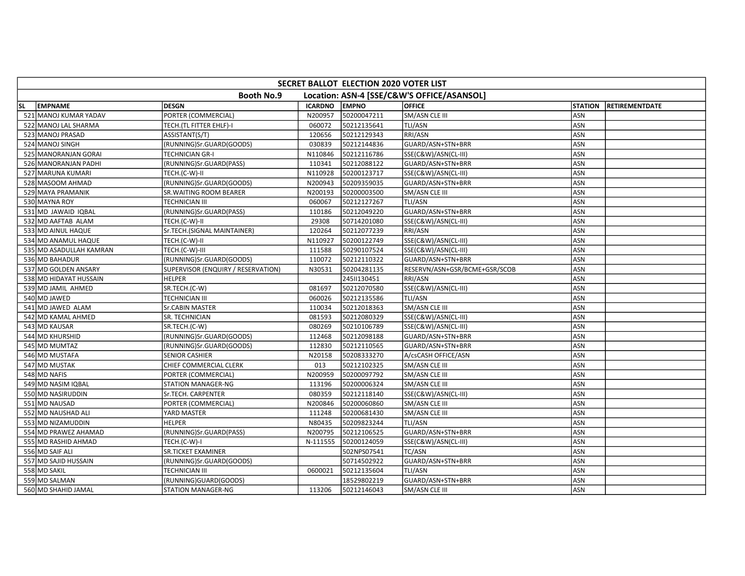|           | SECRET BALLOT ELECTION 2020 VOTER LIST |                                    |                |              |                                            |                |                       |  |  |  |
|-----------|----------------------------------------|------------------------------------|----------------|--------------|--------------------------------------------|----------------|-----------------------|--|--|--|
|           |                                        | <b>Booth No.9</b>                  |                |              | Location: ASN-4 [SSE/C&W'S OFFICE/ASANSOL] |                |                       |  |  |  |
| <b>SL</b> | <b>EMPNAME</b>                         | <b>DESGN</b>                       | <b>ICARDNO</b> | <b>EMPNO</b> | <b>OFFICE</b>                              | <b>STATION</b> | <b>RETIREMENTDATE</b> |  |  |  |
|           | 521 MANOJ KUMAR YADAV                  | PORTER (COMMERCIAL)                | N200957        | 50200047211  | SM/ASN CLE III                             | ASN            |                       |  |  |  |
|           | 522 MANOJ LAL SHARMA                   | TECH.(TL FITTER EHLF)-I            | 060072         | 50212135641  | TLI/ASN                                    | ASN            |                       |  |  |  |
|           | 523 MANOJ PRASAD                       | ASSISTANT(S/T)                     | 120656         | 50212129343  | RRI/ASN                                    | ASN            |                       |  |  |  |
|           | 524 MANOJ SINGH                        | (RUNNING)Sr.GUARD(GOODS)           | 030839         | 50212144836  | GUARD/ASN+STN+BRR                          | ASN            |                       |  |  |  |
|           | 525 MANORANJAN GORAI                   | TECHNICIAN GR-I                    | N110846        | 50212116786  | SSE(C&W)/ASN(CL-III)                       | ASN            |                       |  |  |  |
|           | 526 MANORANJAN PADHI                   | (RUNNING)Sr.GUARD(PASS)            | 110341         | 50212088122  | GUARD/ASN+STN+BRR                          | ASN            |                       |  |  |  |
|           | 527 MARUNA KUMARI                      | TECH.(C-W)-II                      | N110928        | 50200123717  | SSE(C&W)/ASN(CL-III)                       | <b>ASN</b>     |                       |  |  |  |
|           | 528 MASOOM AHMAD                       | (RUNNING)Sr.GUARD(GOODS)           | N200943        | 50209359035  | GUARD/ASN+STN+BRR                          | ASN            |                       |  |  |  |
|           | 529 MAYA PRAMANIK                      | SR. WAITING ROOM BEARER            | N200193        | 50200003500  | SM/ASN CLE III                             | ASN            |                       |  |  |  |
|           | 530 MAYNA ROY                          | <b>TECHNICIAN III</b>              | 060067         | 50212127267  | TLI/ASN                                    | ASN            |                       |  |  |  |
|           | 531 MD JAWAID IQBAL                    | (RUNNING)Sr.GUARD(PASS)            | 110186         | 50212049220  | GUARD/ASN+STN+BRR                          | <b>ASN</b>     |                       |  |  |  |
|           | 532 MD AAFTAB ALAM                     | TECH.(C-W)-II                      | 29308          | 50714201080  | SSE(C&W)/ASN(CL-III)                       | ASN            |                       |  |  |  |
|           | 533 MD AINUL HAQUE                     | Sr.TECH.(SIGNAL MAINTAINER)        | 120264         | 50212077239  | RRI/ASN                                    | ASN            |                       |  |  |  |
|           | 534 MD ANAMUL HAQUE                    | TECH.(C-W)-II                      | N110927        | 50200122749  | SSE(C&W)/ASN(CL-III)                       | ASN            |                       |  |  |  |
|           | 535 MD ASADULLAH KAMRAN                | TECH.(C-W)-III                     | 111588         | 50290107524  | SSE(C&W)/ASN(CL-III)                       | ASN            |                       |  |  |  |
|           | 536 MD BAHADUR                         | (RUNNING)Sr.GUARD(GOODS)           | 110072         | 50212110322  | GUARD/ASN+STN+BRR                          | <b>ASN</b>     |                       |  |  |  |
|           | 537 MD GOLDEN ANSARY                   | SUPERVISOR (ENQUIRY / RESERVATION) | N30531         | 50204281135  | RESERVN/ASN+GSR/BCME+GSR/SCOB              | <b>ASN</b>     |                       |  |  |  |
|           | 538 MD HIDAYAT HUSSAIN                 | <b>HELPER</b>                      |                | 2451130451   | RRI/ASN                                    | ASN            |                       |  |  |  |
|           | 539 MD JAMIL AHMED                     | SR.TECH.(C-W)                      | 081697         | 50212070580  | SSE(C&W)/ASN(CL-III)                       | ASN            |                       |  |  |  |
|           | 540 MD JAWED                           | <b>TECHNICIAN III</b>              | 060026         | 50212135586  | TLI/ASN                                    | ASN            |                       |  |  |  |
|           | 541 MD JAWED ALAM                      | Sr.CABIN MASTER                    | 110034         | 50212018363  | SM/ASN CLE III                             | <b>ASN</b>     |                       |  |  |  |
|           | 542 MD KAMAL AHMED                     | SR. TECHNICIAN                     | 081593         | 50212080329  | SSE(C&W)/ASN(CL-III)                       | ASN            |                       |  |  |  |
|           | 543 MD KAUSAR                          | SR.TECH.(C-W)                      | 080269         | 50210106789  | SSE(C&W)/ASN(CL-III)                       | ASN            |                       |  |  |  |
|           | 544 MD KHURSHID                        | (RUNNING)Sr.GUARD(GOODS)           | 112468         | 50212098188  | GUARD/ASN+STN+BRR                          | ASN            |                       |  |  |  |
|           | 545 MD MUMTAZ                          | (RUNNING)Sr.GUARD(GOODS)           | 112830         | 50212110565  | GUARD/ASN+STN+BRR                          | ASN            |                       |  |  |  |
|           | 546 MD MUSTAFA                         | <b>SENIOR CASHIER</b>              | N20158         | 50208333270  | A/csCASH OFFICE/ASN                        | <b>ASN</b>     |                       |  |  |  |
|           | 547 MD MUSTAK                          | CHIEF COMMERCIAL CLERK             | 013            | 50212102325  | SM/ASN CLE III                             | ASN            |                       |  |  |  |
|           | 548 MD NAFIS                           | PORTER (COMMERCIAL)                | N200959        | 50200097792  | SM/ASN CLE III                             | ASN            |                       |  |  |  |
|           | 549 MD NASIM IQBAL                     | STATION MANAGER-NG                 | 113196         | 50200006324  | SM/ASN CLE III                             | ASN            |                       |  |  |  |
|           | 550 MD NASIRUDDIN                      | Sr.TECH. CARPENTER                 | 080359         | 50212118140  | SSE(C&W)/ASN(CL-III)                       | ASN            |                       |  |  |  |
|           | 551 MD NAUSAD                          | PORTER (COMMERCIAL)                | N200846        | 50200060860  | SM/ASN CLE III                             | <b>ASN</b>     |                       |  |  |  |
|           | 552 MD NAUSHAD ALI                     | YARD MASTER                        | 111248         | 50200681430  | SM/ASN CLE III                             | ASN            |                       |  |  |  |
|           | 553 MD NIZAMUDDIN                      | <b>HELPER</b>                      | N80435         | 50209823244  | TLI/ASN                                    | ASN            |                       |  |  |  |
|           | 554 MD PRAWEZ AHAMAD                   | (RUNNING)Sr.GUARD(PASS)            | N200795        | 50212106525  | GUARD/ASN+STN+BRR                          | ASN            |                       |  |  |  |
|           | 555 MD RASHID AHMAD                    | TECH.(C-W)-I                       | N-111555       | 50200124059  | SSE(C&W)/ASN(CL-III)                       | ASN            |                       |  |  |  |
|           | 556 MD SAIF ALI                        | <b>SR.TICKET EXAMINER</b>          |                | 502NPS07541  | TC/ASN                                     | ASN            |                       |  |  |  |
|           | 557 MD SAJID HUSSAIN                   | (RUNNING)Sr.GUARD(GOODS)           |                | 50714502922  | GUARD/ASN+STN+BRR                          | ASN            |                       |  |  |  |
|           | 558 MD SAKIL                           | <b>TECHNICIAN III</b>              | 0600021        | 50212135604  | TLI/ASN                                    | ASN            |                       |  |  |  |
|           | 559 MD SALMAN                          | (RUNNING)GUARD(GOODS)              |                | 18529802219  | GUARD/ASN+STN+BRR                          | ASN            |                       |  |  |  |
|           | 560 MD SHAHID JAMAL                    | <b>STATION MANAGER-NG</b>          | 113206         | 50212146043  | SM/ASN CLE III                             | ASN            |                       |  |  |  |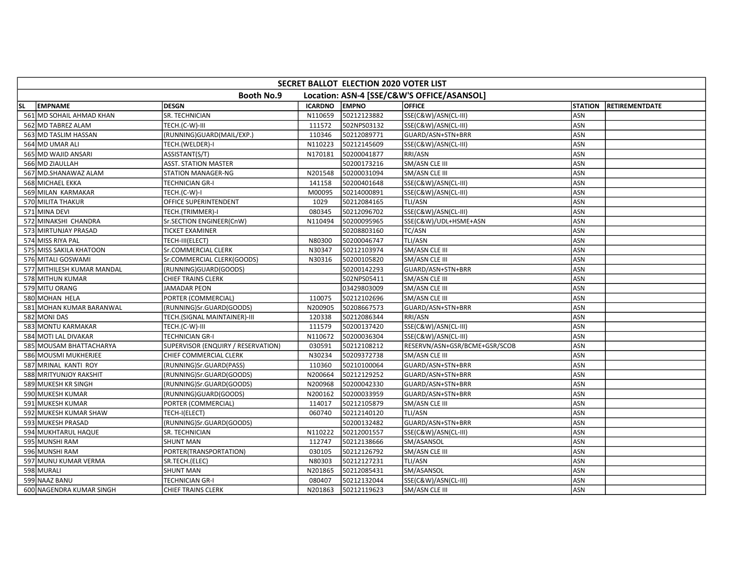| SECRET BALLOT ELECTION 2020 VOTER LIST |                                    |                |              |                                            |                |                       |  |  |  |
|----------------------------------------|------------------------------------|----------------|--------------|--------------------------------------------|----------------|-----------------------|--|--|--|
|                                        | <b>Booth No.9</b>                  |                |              | Location: ASN-4 [SSE/C&W'S OFFICE/ASANSOL] |                |                       |  |  |  |
| <b>EMPNAME</b><br>lsl.                 | <b>DESGN</b>                       | <b>ICARDNO</b> | <b>EMPNO</b> | <b>OFFICE</b>                              | <b>STATION</b> | <b>RETIREMENTDATE</b> |  |  |  |
| 561 MD SOHAIL AHMAD KHAN               | SR. TECHNICIAN                     | N110659        | 50212123882  | SSE(C&W)/ASN(CL-III)                       | ASN            |                       |  |  |  |
| 562 MD TABREZ ALAM                     | TECH.(C-W)-III                     | 111572         | 502NPS03132  | SSE(C&W)/ASN(CL-III)                       | ASN            |                       |  |  |  |
| 563 MD TASLIM HASSAN                   | (RUNNING)GUARD(MAIL/EXP.)          | 110346         | 50212089771  | GUARD/ASN+STN+BRR                          | <b>ASN</b>     |                       |  |  |  |
| 564 MD UMAR ALI                        | TECH.(WELDER)-I                    | N110223        | 50212145609  | SSE(C&W)/ASN(CL-III)                       | ASN            |                       |  |  |  |
| 565 MD WAJID ANSARI                    | ASSISTANT(S/T)                     | N170181        | 50200041877  | RRI/ASN                                    | ASN            |                       |  |  |  |
| 566 MD ZIAULLAH                        | <b>ASST. STATION MASTER</b>        |                | 50200173216  | SM/ASN CLE III                             | ASN            |                       |  |  |  |
| 567 MD.SHANAWAZ ALAM                   | <b>STATION MANAGER-NG</b>          | N201548        | 50200031094  | SM/ASN CLE III                             | ASN            |                       |  |  |  |
| 568 MICHAEL EKKA                       | <b>TECHNICIAN GR-I</b>             | 141158         | 50200401648  | SSE(C&W)/ASN(CL-III)                       | ASN            |                       |  |  |  |
| 569 MILAN KARMAKAR                     | TECH.(C-W)-I                       | M00095         | 50214000891  | SSE(C&W)/ASN(CL-III)                       | ASN            |                       |  |  |  |
| 570 MILITA THAKUR                      | <b>OFFICE SUPERINTENDENT</b>       | 1029           | 50212084165  | TLI/ASN                                    | ASN            |                       |  |  |  |
| 571 MINA DEVI                          | TECH.(TRIMMER)-I                   | 080345         | 50212096702  | SSE(C&W)/ASN(CL-III)                       | ASN            |                       |  |  |  |
| 572 MINAKSHI CHANDRA                   | Sr.SECTION ENGINEER(CnW)           | N110494        | 50200095965  | SSE(C&W)/UDL+HSME+ASN                      | <b>ASN</b>     |                       |  |  |  |
| 573 MIRTUNJAY PRASAD                   | <b>TICKET EXAMINER</b>             |                | 50208803160  | TC/ASN                                     | ASN            |                       |  |  |  |
| 574 MISS RIYA PAL                      | TECH-III(ELECT)                    | N80300         | 50200046747  | TLI/ASN                                    | ASN            |                       |  |  |  |
| 575 MISS SAKILA KHATOON                | Sr.COMMERCIAL CLERK                | N30347         | 50212103974  | SM/ASN CLE III                             | <b>ASN</b>     |                       |  |  |  |
| 576 MITALI GOSWAMI                     | Sr.COMMERCIAL CLERK(GOODS)         | N30316         | 50200105820  | SM/ASN CLE III                             | <b>ASN</b>     |                       |  |  |  |
| 577 MITHILESH KUMAR MANDAL             | (RUNNING)GUARD(GOODS)              |                | 50200142293  | GUARD/ASN+STN+BRR                          | ASN            |                       |  |  |  |
| 578 MITHUN KUMAR                       | <b>CHIEF TRAINS CLERK</b>          |                | 502NPS05411  | SM/ASN CLE III                             | <b>ASN</b>     |                       |  |  |  |
| 579 MITU ORANG                         | <b>JAMADAR PEON</b>                |                | 03429803009  | SM/ASN CLE III                             | ASN            |                       |  |  |  |
| 580 MOHAN HELA                         | PORTER (COMMERCIAL)                | 110075         | 50212102696  | SM/ASN CLE III                             | ASN            |                       |  |  |  |
| 581 MOHAN KUMAR BARANWAL               | (RUNNING)Sr.GUARD(GOODS)           | N200905        | 50208667573  | GUARD/ASN+STN+BRR                          | ASN            |                       |  |  |  |
| 582 MONI DAS                           | TECH.(SIGNAL MAINTAINER)-III       | 120338         | 50212086344  | RRI/ASN                                    | ASN            |                       |  |  |  |
| 583 MONTU KARMAKAR                     | TECH.(C-W)-III                     | 111579         | 50200137420  | SSE(C&W)/ASN(CL-III)                       | <b>ASN</b>     |                       |  |  |  |
| 584 MOTI LAL DIVAKAR                   | <b>TECHNICIAN GR-I</b>             | N110672        | 50200036304  | SSE(C&W)/ASN(CL-III)                       | <b>ASN</b>     |                       |  |  |  |
| 585 MOUSAM BHATTACHARYA                | SUPERVISOR (ENQUIRY / RESERVATION) | 030591         | 50212108212  | RESERVN/ASN+GSR/BCME+GSR/SCOB              | <b>ASN</b>     |                       |  |  |  |
| 586 MOUSMI MUKHERJEE                   | CHIEF COMMERCIAL CLERK             | N30234         | 50209372738  | SM/ASN CLE III                             | ASN            |                       |  |  |  |
| 587 MRINAL KANTI ROY                   | (RUNNING)Sr.GUARD(PASS)            | 110360         | 50210100064  | GUARD/ASN+STN+BRR                          | ASN            |                       |  |  |  |
| 588 MRITYUNJOY RAKSHIT                 | (RUNNING)Sr.GUARD(GOODS)           | N200664        | 50212129252  | GUARD/ASN+STN+BRR                          | ASN            |                       |  |  |  |
| 589 MUKESH KR SINGH                    | (RUNNING)Sr.GUARD(GOODS)           | N200968        | 50200042330  | GUARD/ASN+STN+BRR                          | <b>ASN</b>     |                       |  |  |  |
| 590 MUKESH KUMAR                       | (RUNNING)GUARD(GOODS)              | N200162        | 50200033959  | GUARD/ASN+STN+BRR                          | <b>ASN</b>     |                       |  |  |  |
| 591 MUKESH KUMAR                       | PORTER (COMMERCIAL)                | 114017         | 50212105879  | SM/ASN CLE III                             | <b>ASN</b>     |                       |  |  |  |
| 592 MUKESH KUMAR SHAW                  | TECH-I(ELECT)                      | 060740         | 50212140120  | TLI/ASN                                    | ASN            |                       |  |  |  |
| 593 MUKESH PRASAD                      | (RUNNING)Sr.GUARD(GOODS)           |                | 50200132482  | GUARD/ASN+STN+BRR                          | ASN            |                       |  |  |  |
| 594 MUKHTARUL HAQUE                    | SR. TECHNICIAN                     | N110222        | 50212001557  | SSE(C&W)/ASN(CL-III)                       | ASN            |                       |  |  |  |
| 595 MUNSHI RAM                         | <b>SHUNT MAN</b>                   | 112747         | 50212138666  | SM/ASANSOL                                 | ASN            |                       |  |  |  |
| 596 MUNSHI RAM                         | PORTER(TRANSPORTATION)             | 030105         | 50212126792  | SM/ASN CLE III                             | ASN            |                       |  |  |  |
| 597 MUNU KUMAR VERMA                   | SR.TECH.(ELEC)                     | N80303         | 50212127231  | TLI/ASN                                    | <b>ASN</b>     |                       |  |  |  |
| 598 MURALI                             | <b>SHUNT MAN</b>                   | N201865        | 50212085431  | SM/ASANSOL                                 | ASN            |                       |  |  |  |
| 599 NAAZ BANU                          | <b>TECHNICIAN GR-I</b>             | 080407         | 50212132044  | SSE(C&W)/ASN(CL-III)                       | ASN            |                       |  |  |  |
| 600 NAGENDRA KUMAR SINGH               | <b>CHIEF TRAINS CLERK</b>          | N201863        | 50212119623  | <b>SM/ASN CLE III</b>                      | <b>ASN</b>     |                       |  |  |  |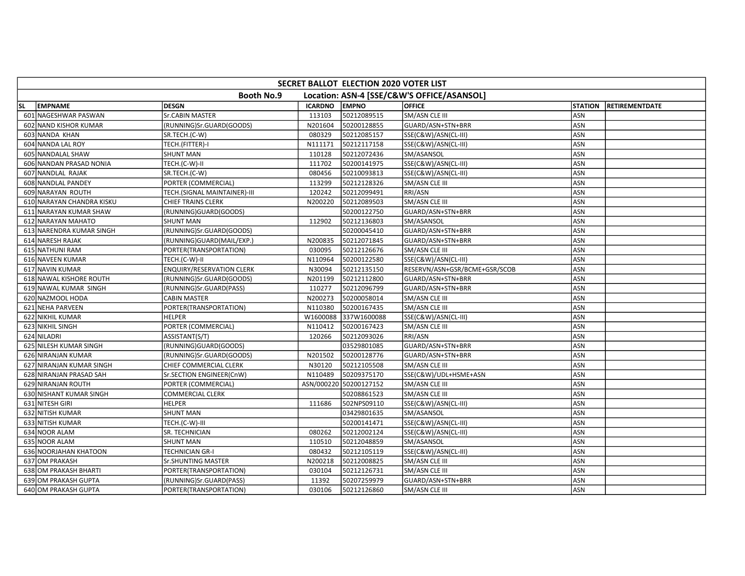| SECRET BALLOT ELECTION 2020 VOTER LIST |                                  |                |                        |                                            |                |                       |  |  |  |
|----------------------------------------|----------------------------------|----------------|------------------------|--------------------------------------------|----------------|-----------------------|--|--|--|
|                                        | <b>Booth No.9</b>                |                |                        | Location: ASN-4 [SSE/C&W'S OFFICE/ASANSOL] |                |                       |  |  |  |
| <b>EMPNAME</b><br><b>SL</b>            | <b>DESGN</b>                     | <b>ICARDNO</b> | <b>EMPNO</b>           | <b>OFFICE</b>                              | <b>STATION</b> | <b>RETIREMENTDATE</b> |  |  |  |
| 601 NAGESHWAR PASWAN                   | Sr.CABIN MASTER                  | 113103         | 50212089515            | SM/ASN CLE III                             | ASN            |                       |  |  |  |
| 602 NAND KISHOR KUMAR                  | (RUNNING)Sr.GUARD(GOODS)         | N201604        | 50200128855            | GUARD/ASN+STN+BRR                          | <b>ASN</b>     |                       |  |  |  |
| 603 NANDA KHAN                         | SR.TECH.(C-W)                    | 080329         | 50212085157            | SSE(C&W)/ASN(CL-III)                       | <b>ASN</b>     |                       |  |  |  |
| 604 NANDA LAL ROY                      | TECH.(FITTER)-I                  | N111171        | 50212117158            | SSE(C&W)/ASN(CL-III)                       | <b>ASN</b>     |                       |  |  |  |
| 605 NANDALAL SHAW                      | <b>SHUNT MAN</b>                 | 110128         | 50212072436            | SM/ASANSOL                                 | ASN            |                       |  |  |  |
| 606 NANDAN PRASAD NONIA                | TECH.(C-W)-II                    | 111702         | 50200141975            | SSE(C&W)/ASN(CL-III)                       | ASN            |                       |  |  |  |
| 607 NANDLAL RAJAK                      | SR.TECH.(C-W)                    | 080456         | 50210093813            | SSE(C&W)/ASN(CL-III)                       | ASN            |                       |  |  |  |
| 608 NANDLAL PANDEY                     | PORTER (COMMERCIAL)              | 113299         | 50212128326            | SM/ASN CLE III                             | <b>ASN</b>     |                       |  |  |  |
| 609 NARAYAN ROUTH                      | TECH.(SIGNAL MAINTAINER)-III     | 120242         | 50212099491            | RRI/ASN                                    | ASN            |                       |  |  |  |
| 610 NARAYAN CHANDRA KISKU              | <b>CHIEF TRAINS CLERK</b>        | N200220        | 50212089503            | SM/ASN CLE III                             | ASN            |                       |  |  |  |
| 611 NARAYAN KUMAR SHAW                 | (RUNNING)GUARD(GOODS)            |                | 50200122750            | GUARD/ASN+STN+BRR                          | ASN            |                       |  |  |  |
| 612 NARAYAN MAHATO                     | <b>SHUNT MAN</b>                 | 112902         | 50212136803            | SM/ASANSOL                                 | ASN            |                       |  |  |  |
| 613 NARENDRA KUMAR SINGH               | (RUNNING)Sr.GUARD(GOODS)         |                | 50200045410            | GUARD/ASN+STN+BRR                          | ASN            |                       |  |  |  |
| 614 NARESH RAJAK                       | (RUNNING)GUARD(MAIL/EXP.)        | N200835        | 50212071845            | GUARD/ASN+STN+BRR                          | ASN            |                       |  |  |  |
| 615 NATHUNI RAM                        | PORTER(TRANSPORTATION)           | 030095         | 50212126676            | SM/ASN CLE III                             | ASN            |                       |  |  |  |
| 616 NAVEEN KUMAR                       | TECH.(C-W)-II                    | N110964        | 50200122580            | SSE(C&W)/ASN(CL-III)                       | <b>ASN</b>     |                       |  |  |  |
| 617 NAVIN KUMAR                        | <b>ENQUIRY/RESERVATION CLERK</b> | N30094         | 50212135150            | RESERVN/ASN+GSR/BCME+GSR/SCOB              | ASN            |                       |  |  |  |
| 618 NAWAL KISHORE ROUTH                | (RUNNING)Sr.GUARD(GOODS)         | N201199        | 50212112800            | GUARD/ASN+STN+BRR                          | ASN            |                       |  |  |  |
| 619 NAWAL KUMAR SINGH                  | (RUNNING)Sr.GUARD(PASS)          | 110277         | 50212096799            | GUARD/ASN+STN+BRR                          | ASN            |                       |  |  |  |
| 620 NAZMOOL HODA                       | <b>CABIN MASTER</b>              | N200273        | 50200058014            | SM/ASN CLE III                             | ASN            |                       |  |  |  |
| 621 NEHA PARVEEN                       | PORTER(TRANSPORTATION)           | N110380        | 50200167435            | SM/ASN CLE III                             | ASN            |                       |  |  |  |
| 622 NIKHIL KUMAR                       | <b>HELPER</b>                    | W1600088       | 337W1600088            | SSE(C&W)/ASN(CL-III)                       | ASN            |                       |  |  |  |
| 623 NIKHIL SINGH                       | PORTER (COMMERCIAL)              | N110412        | 50200167423            | SM/ASN CLE III                             | ASN            |                       |  |  |  |
| 624 NILADRI                            | ASSISTANT(S/T)                   | 120266         | 50212093026            | RRI/ASN                                    | ASN            |                       |  |  |  |
| 625 NILESH KUMAR SINGH                 | (RUNNING)GUARD(GOODS)            |                | 03529801085            | GUARD/ASN+STN+BRR                          | ASN            |                       |  |  |  |
| 626 NIRANJAN KUMAR                     | (RUNNING)Sr.GUARD(GOODS)         | N201502        | 50200128776            | GUARD/ASN+STN+BRR                          | ASN            |                       |  |  |  |
| 627 NIRANJAN KUMAR SINGH               | CHIEF COMMERCIAL CLERK           | N30120         | 50212105508            | SM/ASN CLE III                             | ASN            |                       |  |  |  |
| 628 NIRANJAN PRASAD SAH                | Sr.SECTION ENGINEER(CnW)         | N110489        | 50209375170            | SSE(C&W)/UDL+HSME+ASN                      | <b>ASN</b>     |                       |  |  |  |
| 629 NIRANJAN ROUTH                     | PORTER (COMMERCIAL)              |                | ASN/000220 50200127152 | SM/ASN CLE III                             | ASN            |                       |  |  |  |
| 630 NISHANT KUMAR SINGH                | <b>COMMERCIAL CLERK</b>          |                | 50208861523            | SM/ASN CLE III                             | <b>ASN</b>     |                       |  |  |  |
| 631 NITESH GIRI                        | <b>HELPER</b>                    | 111686         | 502NPS09110            | SSE(C&W)/ASN(CL-III)                       | ASN            |                       |  |  |  |
| 632 NITISH KUMAR                       | <b>SHUNT MAN</b>                 |                | 03429801635            | SM/ASANSOL                                 | ASN            |                       |  |  |  |
| 633 NITISH KUMAR                       | TECH.(C-W)-III                   |                | 50200141471            | SSE(C&W)/ASN(CL-III)                       | ASN            |                       |  |  |  |
| 634 NOOR ALAM                          | SR. TECHNICIAN                   | 080262         | 50212002124            | SSE(C&W)/ASN(CL-III)                       | <b>ASN</b>     |                       |  |  |  |
| 635 NOOR ALAM                          | <b>SHUNT MAN</b>                 | 110510         | 50212048859            | SM/ASANSOL                                 | ASN            |                       |  |  |  |
| 636 NOORJAHAN KHATOON                  | <b>TECHNICIAN GR-I</b>           | 080432         | 50212105119            | SSE(C&W)/ASN(CL-III)                       | ASN            |                       |  |  |  |
| 637 OM PRAKASH                         | Sr.SHUNTING MASTER               | N200218        | 50212008825            | SM/ASN CLE III                             | ASN            |                       |  |  |  |
| 638 OM PRAKASH BHARTI                  | PORTER(TRANSPORTATION)           | 030104         | 50212126731            | SM/ASN CLE III                             | ASN            |                       |  |  |  |
| 639 OM PRAKASH GUPTA                   | (RUNNING)Sr.GUARD(PASS)          | 11392          | 50207259979            | GUARD/ASN+STN+BRR                          | ASN            |                       |  |  |  |
| 640 OM PRAKASH GUPTA                   | PORTER(TRANSPORTATION)           | 030106         | 50212126860            | SM/ASN CLE III                             | ASN            |                       |  |  |  |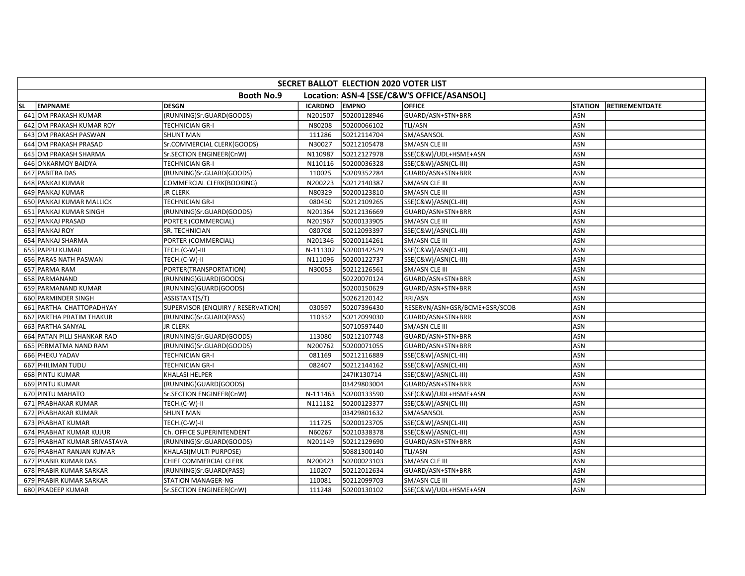|     | SECRET BALLOT ELECTION 2020 VOTER LIST                          |                                    |                |              |                               |                |                       |  |  |  |  |
|-----|-----------------------------------------------------------------|------------------------------------|----------------|--------------|-------------------------------|----------------|-----------------------|--|--|--|--|
|     | Location: ASN-4 [SSE/C&W'S OFFICE/ASANSOL]<br><b>Booth No.9</b> |                                    |                |              |                               |                |                       |  |  |  |  |
| SL. | <b>EMPNAME</b>                                                  | <b>DESGN</b>                       | <b>ICARDNO</b> | <b>EMPNO</b> | <b>OFFICE</b>                 | <b>STATION</b> | <b>RETIREMENTDATE</b> |  |  |  |  |
|     | 641 OM PRAKASH KUMAR                                            | (RUNNING)Sr.GUARD(GOODS)           | N201507        | 50200128946  | GUARD/ASN+STN+BRR             | ASN            |                       |  |  |  |  |
|     | 642 OM PRAKASH KUMAR ROY                                        | <b>TECHNICIAN GR-I</b>             | N80208         | 50200066102  | TLI/ASN                       | ASN            |                       |  |  |  |  |
|     | 643 OM PRAKASH PASWAN                                           | <b>SHUNT MAN</b>                   | 111286         | 50212114704  | SM/ASANSOL                    | ASN            |                       |  |  |  |  |
|     | 644 OM PRAKASH PRASAD                                           | Sr.COMMERCIAL CLERK(GOODS)         | N30027         | 50212105478  | SM/ASN CLE III                | ASN            |                       |  |  |  |  |
|     | 645 OM PRAKASH SHARMA                                           | Sr.SECTION ENGINEER(CnW)           | N110987        | 50212127978  | SSE(C&W)/UDL+HSME+ASN         | <b>ASN</b>     |                       |  |  |  |  |
|     | 646 ONKARMOY BAIDYA                                             | <b>TECHNICIAN GR-I</b>             | N110116        | 50200036328  | SSE(C&W)/ASN(CL-III)          | ASN            |                       |  |  |  |  |
|     | 647 PABITRA DAS                                                 | (RUNNING)Sr.GUARD(GOODS)           | 110025         | 50209352284  | GUARD/ASN+STN+BRR             | ASN            |                       |  |  |  |  |
|     | 648 PANKAJ KUMAR                                                | COMMERCIAL CLERK(BOOKING)          | N200223        | 50212140387  | SM/ASN CLE III                | ASN            |                       |  |  |  |  |
|     | 649 PANKAJ KUMAR                                                | <b>JR CLERK</b>                    | N80329         | 50200123810  | SM/ASN CLE III                | ASN            |                       |  |  |  |  |
|     | 650 PANKAJ KUMAR MALLICK                                        | <b>TECHNICIAN GR-I</b>             | 080450         | 50212109265  | SSE(C&W)/ASN(CL-III)          | ASN            |                       |  |  |  |  |
|     | 651 PANKAJ KUMAR SINGH                                          | (RUNNING)Sr.GUARD(GOODS)           | N201364        | 50212136669  | GUARD/ASN+STN+BRR             | <b>ASN</b>     |                       |  |  |  |  |
|     | 652 PANKAJ PRASAD                                               | PORTER (COMMERCIAL)                | N201967        | 50200133905  | SM/ASN CLE III                | ASN            |                       |  |  |  |  |
|     | 653 PANKAJ ROY                                                  | SR. TECHNICIAN                     | 080708         | 50212093397  | SSE(C&W)/ASN(CL-III)          | ASN            |                       |  |  |  |  |
|     | 654 PANKAJ SHARMA                                               | PORTER (COMMERCIAL)                | N201346        | 50200114261  | SM/ASN CLE III                | ASN            |                       |  |  |  |  |
|     | 655 PAPPU KUMAR                                                 | TECH.(C-W)-III                     | N-111302       | 50200142529  | SSE(C&W)/ASN(CL-III)          | ASN            |                       |  |  |  |  |
|     | 656 PARAS NATH PASWAN                                           | TECH.(C-W)-II                      | N111096        | 50200122737  | SSE(C&W)/ASN(CL-III)          | ASN            |                       |  |  |  |  |
|     | 657 PARMA RAM                                                   | PORTER(TRANSPORTATION)             | N30053         | 50212126561  | SM/ASN CLE III                | <b>ASN</b>     |                       |  |  |  |  |
|     | 658 PARMANAND                                                   | (RUNNING)GUARD(GOODS)              |                | 50220070124  | GUARD/ASN+STN+BRR             | <b>ASN</b>     |                       |  |  |  |  |
|     | 659 PARMANAND KUMAR                                             | (RUNNING)GUARD(GOODS)              |                | 50200150629  | GUARD/ASN+STN+BRR             | ASN            |                       |  |  |  |  |
|     | 660 PARMINDER SINGH                                             | ASSISTANT(S/T)                     |                | 50262120142  | RRI/ASN                       | ASN            |                       |  |  |  |  |
|     | 661 PARTHA CHATTOPADHYAY                                        | SUPERVISOR (ENQUIRY / RESERVATION) | 030597         | 50207396430  | RESERVN/ASN+GSR/BCME+GSR/SCOB | ASN            |                       |  |  |  |  |
|     | 662 PARTHA PRATIM THAKUR                                        | (RUNNING)Sr.GUARD(PASS)            | 110352         | 50212099030  | GUARD/ASN+STN+BRR             | ASN            |                       |  |  |  |  |
|     | 663 PARTHA SANYAL                                               | <b>JR CLERK</b>                    |                | 50710597440  | SM/ASN CLE III                | ASN            |                       |  |  |  |  |
|     | 664 PATAN PILLI SHANKAR RAO                                     | (RUNNING)Sr.GUARD(GOODS)           | 113080         | 50212107748  | GUARD/ASN+STN+BRR             | ASN            |                       |  |  |  |  |
|     | 665 PERMATMA NAND RAM                                           | (RUNNING)Sr.GUARD(GOODS)           | N200762        | 50200071055  | GUARD/ASN+STN+BRR             | ASN            |                       |  |  |  |  |
|     | 666 PHEKU YADAV                                                 | <b>TECHNICIAN GR-I</b>             | 081169         | 50212116889  | SSE(C&W)/ASN(CL-III)          | ASN            |                       |  |  |  |  |
|     | 667 PHILIMAN TUDU                                               | <b>TECHNICIAN GR-I</b>             | 082407         | 50212144162  | SSE(C&W)/ASN(CL-III)          | ASN            |                       |  |  |  |  |
|     | 668 PINTU KUMAR                                                 | KHALASI HELPER                     |                | 247IK130714  | SSE(C&W)/ASN(CL-III)          | ASN            |                       |  |  |  |  |
|     | 669 PINTU KUMAR                                                 | (RUNNING)GUARD(GOODS)              |                | 03429803004  | GUARD/ASN+STN+BRR             | ASN            |                       |  |  |  |  |
|     | 670 PINTU MAHATO                                                | Sr.SECTION ENGINEER(CnW)           | N-111463       | 50200133590  | SSE(C&W)/UDL+HSME+ASN         | <b>ASN</b>     |                       |  |  |  |  |
|     | 671 PRABHAKAR KUMAR                                             | TECH.(C-W)-II                      | N111182        | 50200123377  | SSE(C&W)/ASN(CL-III)          | <b>ASN</b>     |                       |  |  |  |  |
|     | 672 PRABHAKAR KUMAR                                             | <b>SHUNT MAN</b>                   |                | 03429801632  | SM/ASANSOL                    | ASN            |                       |  |  |  |  |
|     | 673 PRABHAT KUMAR                                               | TECH.(C-W)-II                      | 111725         | 50200123705  | SSE(C&W)/ASN(CL-III)          | ASN            |                       |  |  |  |  |
|     | 674 PRABHAT KUMAR KUJUR                                         | Ch. OFFICE SUPERINTENDENT          | N60267         | 50210338378  | SSE(C&W)/ASN(CL-III)          | ASN            |                       |  |  |  |  |
|     | 675 PRABHAT KUMAR SRIVASTAVA                                    | (RUNNING)Sr.GUARD(GOODS)           | N201149        | 50212129690  | GUARD/ASN+STN+BRR             | ASN            |                       |  |  |  |  |
|     | 676 PRABHAT RANJAN KUMAR                                        | KHALASI(MULTI PURPOSE)             |                | 50881300140  | <b>TLI/ASN</b>                | ASN            |                       |  |  |  |  |
|     | 677 PRABIR KUMAR DAS                                            | CHIEF COMMERCIAL CLERK             | N200423        | 50200023103  | SM/ASN CLE III                | ASN            |                       |  |  |  |  |
|     | 678 PRABIR KUMAR SARKAR                                         | (RUNNING)Sr.GUARD(PASS)            | 110207         | 50212012634  | GUARD/ASN+STN+BRR             | ASN            |                       |  |  |  |  |
|     | 679 PRABIR KUMAR SARKAR                                         | <b>STATION MANAGER-NG</b>          | 110081         | 50212099703  | SM/ASN CLE III                | ASN            |                       |  |  |  |  |
|     | 680 PRADEEP KUMAR                                               | Sr.SECTION ENGINEER(CnW)           | 111248         | 50200130102  | SSE(C&W)/UDL+HSME+ASN         | ASN            |                       |  |  |  |  |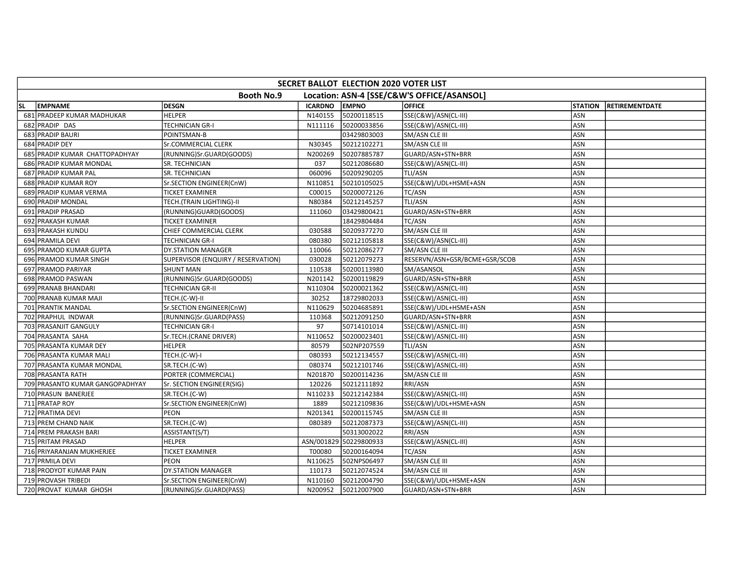|           | SECRET BALLOT ELECTION 2020 VOTER LIST                          |                                    |                |                        |                               |                |                       |  |  |  |
|-----------|-----------------------------------------------------------------|------------------------------------|----------------|------------------------|-------------------------------|----------------|-----------------------|--|--|--|
|           | <b>Booth No.9</b><br>Location: ASN-4 [SSE/C&W'S OFFICE/ASANSOL] |                                    |                |                        |                               |                |                       |  |  |  |
| <b>SL</b> | <b>EMPNAME</b>                                                  | <b>DESGN</b>                       | <b>ICARDNO</b> | <b>EMPNO</b>           | <b>OFFICE</b>                 | <b>STATION</b> | <b>RETIREMENTDATE</b> |  |  |  |
|           | 681 PRADEEP KUMAR MADHUKAR                                      | <b>HELPER</b>                      | N140155        | 50200118515            | SSE(C&W)/ASN(CL-III)          | ASN            |                       |  |  |  |
|           | 682 PRADIP DAS                                                  | <b>TECHNICIAN GR-I</b>             | N111116        | 50200033856            | SSE(C&W)/ASN(CL-III)          | ASN            |                       |  |  |  |
|           | 683 PRADIP BAURI                                                | POINTSMAN-B                        |                | 03429803003            | SM/ASN CLE III                | ASN            |                       |  |  |  |
|           | 684 PRADIP DEY                                                  | Sr.COMMERCIAL CLERK                | N30345         | 50212102271            | SM/ASN CLE III                | ASN            |                       |  |  |  |
|           | 685 PRADIP KUMAR CHATTOPADHYAY                                  | (RUNNING)Sr.GUARD(GOODS)           | N200269        | 50207885787            | GUARD/ASN+STN+BRR             | ASN            |                       |  |  |  |
|           | 686 PRADIP KUMAR MONDAL                                         | SR. TECHNICIAN                     | 037            | 50212086680            | SSE(C&W)/ASN(CL-III)          | ASN            |                       |  |  |  |
|           | 687 PRADIP KUMAR PAL                                            | SR. TECHNICIAN                     | 060096         | 50209290205            | TLI/ASN                       | ASN            |                       |  |  |  |
|           | 688 PRADIP KUMAR ROY                                            | Sr.SECTION ENGINEER(CnW)           | N110851        | 50210105025            | SSE(C&W)/UDL+HSME+ASN         | ASN            |                       |  |  |  |
|           | 689 PRADIP KUMAR VERMA                                          | <b>TICKET EXAMINER</b>             | C00015         | 50200072126            | TC/ASN                        | ASN            |                       |  |  |  |
|           | 690 PRADIP MONDAL                                               | TECH.(TRAIN LIGHTING)-II           | N80384         | 50212145257            | TLI/ASN                       | ASN            |                       |  |  |  |
|           | 691 PRADIP PRASAD                                               | (RUNNING)GUARD(GOODS)              | 111060         | 03429800421            | GUARD/ASN+STN+BRR             | ASN            |                       |  |  |  |
|           | 692 PRAKASH KUMAR                                               | <b>TICKET EXAMINER</b>             |                | 18429804484            | TC/ASN                        | ASN            |                       |  |  |  |
|           | 693 PRAKASH KUNDU                                               | CHIEF COMMERCIAL CLERK             | 030588         | 50209377270            | SM/ASN CLE III                | ASN            |                       |  |  |  |
|           | 694 PRAMILA DEVI                                                | <b>TECHNICIAN GR-I</b>             | 080380         | 50212105818            | SSE(C&W)/ASN(CL-III)          | ASN            |                       |  |  |  |
|           | 695 PRAMOD KUMAR GUPTA                                          | DY.STATION MANAGER                 | 110066         | 50212086277            | <b>SM/ASN CLE III</b>         | ASN            |                       |  |  |  |
|           | 696 PRAMOD KUMAR SINGH                                          | SUPERVISOR (ENQUIRY / RESERVATION) | 030028         | 50212079273            | RESERVN/ASN+GSR/BCME+GSR/SCOB | ASN            |                       |  |  |  |
|           | 697 PRAMOD PARIYAR                                              | <b>SHUNT MAN</b>                   | 110538         | 50200113980            | SM/ASANSOL                    | ASN            |                       |  |  |  |
|           | 698 PRAMOD PASWAN                                               | (RUNNING)Sr.GUARD(GOODS)           | N201142        | 50200119829            | GUARD/ASN+STN+BRR             | <b>ASN</b>     |                       |  |  |  |
|           | 699 PRANAB BHANDARI                                             | <b>TECHNICIAN GR-II</b>            | N110304        | 50200021362            | SSE(C&W)/ASN(CL-III)          | ASN            |                       |  |  |  |
|           | 700 PRANAB KUMAR MAJI                                           | TECH.(C-W)-II                      | 30252          | 18729802033            | SSE(C&W)/ASN(CL-III)          | ASN            |                       |  |  |  |
|           | 701 PRANTIK MANDAL                                              | Sr.SECTION ENGINEER(CnW)           | N110629        | 50204685891            | SSE(C&W)/UDL+HSME+ASN         | ASN            |                       |  |  |  |
|           | 702 PRAPHUL INDWAR                                              | (RUNNING)Sr.GUARD(PASS)            | 110368         | 50212091250            | GUARD/ASN+STN+BRR             | ASN            |                       |  |  |  |
|           | 703 PRASANJIT GANGULY                                           | <b>TECHNICIAN GR-I</b>             | 97             | 50714101014            | SSE(C&W)/ASN(CL-III)          | ASN            |                       |  |  |  |
|           | 704 PRASANTA SAHA                                               | Sr.TECH.(CRANE DRIVER)             | N110652        | 50200023401            | SSE(C&W)/ASN(CL-III)          | ASN            |                       |  |  |  |
|           | 705 PRASANTA KUMAR DEY                                          | <b>HELPER</b>                      | 80579          | 502NP207559            | TLI/ASN                       | ASN            |                       |  |  |  |
|           | 706 PRASANTA KUMAR MALI                                         | TECH.(C-W)-I                       | 080393         | 50212134557            | SSE(C&W)/ASN(CL-III)          | ASN            |                       |  |  |  |
|           | 707 PRASANTA KUMAR MONDAL                                       | SR.TECH.(C-W)                      | 080374         | 50212101746            | SSE(C&W)/ASN(CL-III)          | ASN            |                       |  |  |  |
|           | 708 PRASANTA RATH                                               | PORTER (COMMERCIAL)                | N201870        | 50200114236            | SM/ASN CLE III                | ASN            |                       |  |  |  |
|           | 709 PRASANTO KUMAR GANGOPADHYAY                                 | Sr. SECTION ENGINEER(SIG)          | 120226         | 50212111892            | RRI/ASN                       | ASN            |                       |  |  |  |
|           | 710 PRASUN BANERJEE                                             | SR.TECH.(C-W)                      | N110233        | 50212142384            | SSE(C&W)/ASN(CL-III)          | ASN            |                       |  |  |  |
|           | 711 PRATAP ROY                                                  | Sr.SECTION ENGINEER(CnW)           | 1889           | 50212109836            | SSE(C&W)/UDL+HSME+ASN         | <b>ASN</b>     |                       |  |  |  |
|           | 712 PRATIMA DEVI                                                | <b>PEON</b>                        | N201341        | 50200115745            | SM/ASN CLE III                | ASN            |                       |  |  |  |
|           | 713 PREM CHAND NAIK                                             | SR.TECH.(C-W)                      | 080389         | 50212087373            | SSE(C&W)/ASN(CL-III)          | ASN            |                       |  |  |  |
|           | 714 PREM PRAKASH BARI                                           | ASSISTANT(S/T)                     |                | 50313002022            | RRI/ASN                       | ASN            |                       |  |  |  |
|           | 715 PRITAM PRASAD                                               | <b>HELPER</b>                      |                | ASN/001829 50229800933 | SSE(C&W)/ASN(CL-III)          | ASN            |                       |  |  |  |
|           | 716 PRIYARANJAN MUKHERJEE                                       | <b>TICKET EXAMINER</b>             | T00080         | 50200164094            | <b>TC/ASN</b>                 | ASN            |                       |  |  |  |
|           | 717 PRMILA DEVI                                                 | PEON                               | N110625        | 502NPS06497            | SM/ASN CLE III                | ASN            |                       |  |  |  |
|           | 718 PRODYOT KUMAR PAIN                                          | <b>DY.STATION MANAGER</b>          | 110173         | 50212074524            | SM/ASN CLE III                | ASN            |                       |  |  |  |
|           | 719 PROVASH TRIBEDI                                             | Sr.SECTION ENGINEER(CnW)           | N110160        | 50212004790            | SSE(C&W)/UDL+HSME+ASN         | ASN            |                       |  |  |  |
|           | 720 PROVAT KUMAR GHOSH                                          | (RUNNING)Sr.GUARD(PASS)            | N200952        | 50212007900            | GUARD/ASN+STN+BRR             | ASN            |                       |  |  |  |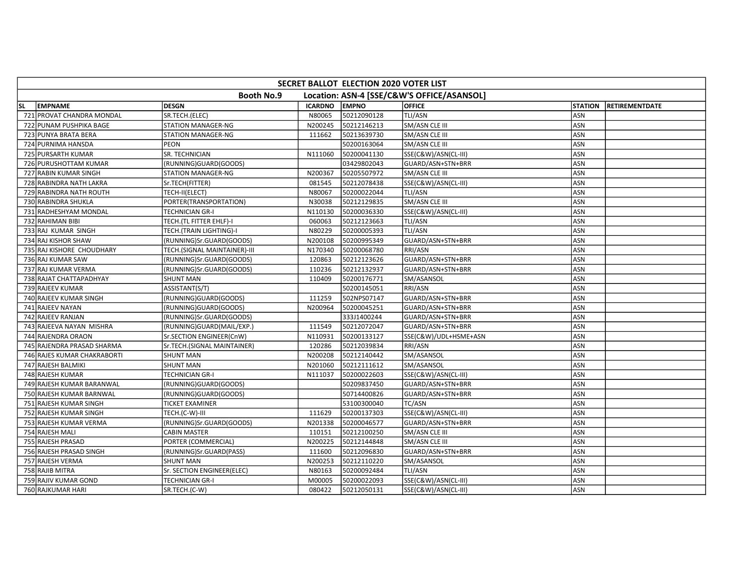| SECRET BALLOT ELECTION 2020 VOTER LIST |                              |                |              |                                            |                |                       |  |  |  |
|----------------------------------------|------------------------------|----------------|--------------|--------------------------------------------|----------------|-----------------------|--|--|--|
|                                        | <b>Booth No.9</b>            |                |              | Location: ASN-4 [SSE/C&W'S OFFICE/ASANSOL] |                |                       |  |  |  |
| <b>EMPNAME</b><br><b>SL</b>            | <b>DESGN</b>                 | <b>ICARDNO</b> | <b>EMPNO</b> | <b>OFFICE</b>                              | <b>STATION</b> | <b>RETIREMENTDATE</b> |  |  |  |
| 721 PROVAT CHANDRA MONDAL              | SR.TECH.(ELEC)               | N80065         | 50212090128  | TLI/ASN                                    | <b>ASN</b>     |                       |  |  |  |
| 722 PUNAM PUSHPIKA BAGE                | STATION MANAGER-NG           | N200245        | 50212146213  | SM/ASN CLE III                             | ASN            |                       |  |  |  |
| 723 PUNYA BRATA BERA                   | <b>STATION MANAGER-NG</b>    | 111662         | 50213639730  | SM/ASN CLE III                             | <b>ASN</b>     |                       |  |  |  |
| 724 PURNIMA HANSDA                     | <b>PEON</b>                  |                | 50200163064  | SM/ASN CLE III                             | ASN            |                       |  |  |  |
| 725 PURSARTH KUMAR                     | SR. TECHNICIAN               | N111060        | 50200041130  | SSE(C&W)/ASN(CL-III)                       | ASN            |                       |  |  |  |
| 726 PURUSHOTTAM KUMAR                  | (RUNNING)GUARD(GOODS)        |                | 03429802043  | GUARD/ASN+STN+BRR                          | ASN            |                       |  |  |  |
| 727 RABIN KUMAR SINGH                  | <b>STATION MANAGER-NG</b>    | N200367        | 50205507972  | SM/ASN CLE III                             | ASN            |                       |  |  |  |
| 728 RABINDRA NATH LAKRA                | Sr.TECH(FITTER)              | 081545         | 50212078438  | SSE(C&W)/ASN(CL-III)                       | <b>ASN</b>     |                       |  |  |  |
| 729 RABINDRA NATH ROUTH                | TECH-II(ELECT)               | N80067         | 50200022044  | TLI/ASN                                    | <b>ASN</b>     |                       |  |  |  |
| 730 RABINDRA SHUKLA                    | PORTER(TRANSPORTATION)       | N30038         | 50212129835  | SM/ASN CLE III                             | <b>ASN</b>     |                       |  |  |  |
| 731 RADHESHYAM MONDAL                  | <b>TECHNICIAN GR-I</b>       | N110130        | 50200036330  | SSE(C&W)/ASN(CL-III)                       | ASN            |                       |  |  |  |
| 732 RAHIMAN BIBI                       | TECH.(TL FITTER EHLF)-I      | 060063         | 50212123663  | TLI/ASN                                    | ASN            |                       |  |  |  |
| 733 RAJ KUMAR SINGH                    | TECH.(TRAIN LIGHTING)-I      | N80229         | 50200005393  | TLI/ASN                                    | ASN            |                       |  |  |  |
| 734 RAJ KISHOR SHAW                    | (RUNNING)Sr.GUARD(GOODS)     | N200108        | 50200995349  | GUARD/ASN+STN+BRR                          | ASN            |                       |  |  |  |
| 735 RAJ KISHORE CHOUDHARY              | TECH.(SIGNAL MAINTAINER)-III | N170340        | 50200068780  | RRI/ASN                                    | <b>ASN</b>     |                       |  |  |  |
| 736 RAJ KUMAR SAW                      | (RUNNING)Sr.GUARD(GOODS)     | 120863         | 50212123626  | GUARD/ASN+STN+BRR                          | <b>ASN</b>     |                       |  |  |  |
| 737 RAJ KUMAR VERMA                    | (RUNNING)Sr.GUARD(GOODS)     | 110236         | 50212132937  | GUARD/ASN+STN+BRR                          | ASN            |                       |  |  |  |
| 738 RAJAT CHATTAPADHYAY                | <b>SHUNT MAN</b>             | 110409         | 50200176771  | SM/ASANSOL                                 | ASN            |                       |  |  |  |
| 739 RAJEEV KUMAR                       | ASSISTANT(S/T)               |                | 50200145051  | RRI/ASN                                    | ASN            |                       |  |  |  |
| 740 RAJEEV KUMAR SINGH                 | (RUNNING)GUARD(GOODS)        | 111259         | 502NPS07147  | GUARD/ASN+STN+BRR                          | ASN            |                       |  |  |  |
| 741 RAJEEV NAYAN                       | (RUNNING)GUARD(GOODS)        | N200964        | 50200045251  | GUARD/ASN+STN+BRR                          | ASN            |                       |  |  |  |
| 742 RAJEEV RANJAN                      | (RUNNING)Sr.GUARD(GOODS)     |                | 333J1400244  | GUARD/ASN+STN+BRR                          | ASN            |                       |  |  |  |
| 743 RAJEEVA NAYAN MISHRA               | (RUNNING)GUARD(MAIL/EXP.)    | 111549         | 50212072047  | GUARD/ASN+STN+BRR                          | <b>ASN</b>     |                       |  |  |  |
| 744 RAJENDRA ORAON                     | Sr.SECTION ENGINEER(CnW)     | N110931        | 50200133127  | SSE(C&W)/UDL+HSME+ASN                      | ASN            |                       |  |  |  |
| 745 RAJENDRA PRASAD SHARMA             | Sr.TECH.(SIGNAL MAINTAINER)  | 120286         | 50212039834  | RRI/ASN                                    | ASN            |                       |  |  |  |
| 746 RAJES KUMAR CHAKRABORTI            | <b>SHUNT MAN</b>             | N200208        | 50212140442  | SM/ASANSOL                                 | ASN            |                       |  |  |  |
| 747 RAJESH BALMIKI                     | <b>SHUNT MAN</b>             | N201060        | 50212111612  | SM/ASANSOL                                 | ASN            |                       |  |  |  |
| 748 RAJESH KUMAR                       | <b>TECHNICIAN GR-I</b>       | N111037        | 50200022603  | SSE(C&W)/ASN(CL-III)                       | <b>ASN</b>     |                       |  |  |  |
| 749 RAJESH KUMAR BARANWAL              | (RUNNING)GUARD(GOODS)        |                | 50209837450  | GUARD/ASN+STN+BRR                          | <b>ASN</b>     |                       |  |  |  |
| 750 RAJESH KUMAR BARNWAL               | (RUNNING)GUARD(GOODS)        |                | 50714400826  | GUARD/ASN+STN+BRR                          | <b>ASN</b>     |                       |  |  |  |
| 751 RAJESH KUMAR SINGH                 | <b>TICKET EXAMINER</b>       |                | 53100300040  | TC/ASN                                     | <b>ASN</b>     |                       |  |  |  |
| 752 RAJESH KUMAR SINGH                 | TECH.(C-W)-III               | 111629         | 50200137303  | SSE(C&W)/ASN(CL-III)                       | ASN            |                       |  |  |  |
| 753 RAJESH KUMAR VERMA                 | (RUNNING)Sr.GUARD(GOODS)     | N201338        | 50200046577  | GUARD/ASN+STN+BRR                          | ASN            |                       |  |  |  |
| 754 RAJESH MALI                        | <b>CABIN MASTER</b>          | 110151         | 50212100250  | SM/ASN CLE III                             | <b>ASN</b>     |                       |  |  |  |
| 755 RAJESH PRASAD                      | PORTER (COMMERCIAL)          | N200225        | 50212144848  | SM/ASN CLE III                             | ASN            |                       |  |  |  |
| 756 RAJESH PRASAD SINGH                | (RUNNING)Sr.GUARD(PASS)      | 111600         | 50212096830  | GUARD/ASN+STN+BRR                          | ASN            |                       |  |  |  |
| 757 RAJESH VERMA                       | <b>SHUNT MAN</b>             | N200253        | 50212110220  | SM/ASANSOL                                 | ASN            |                       |  |  |  |
| 758 RAJIB MITRA                        | Sr. SECTION ENGINEER(ELEC)   | N80163         | 50200092484  | TLI/ASN                                    | ASN            |                       |  |  |  |
| 759 RAJIV KUMAR GOND                   | <b>TECHNICIAN GR-I</b>       | M00005         | 50200022093  | SSE(C&W)/ASN(CL-III)                       | ASN            |                       |  |  |  |
| 760 RAJKUMAR HARI                      | SR.TECH.(C-W)                | 080422         | 50212050131  | SSE(C&W)/ASN(CL-III)                       | ASN            |                       |  |  |  |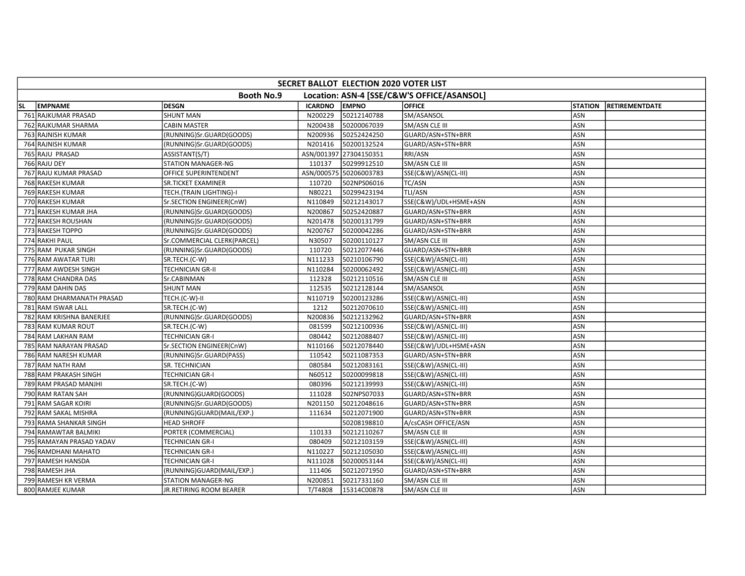| SECRET BALLOT ELECTION 2020 VOTER LIST |                             |                |                        |                                            |                |                       |  |  |  |
|----------------------------------------|-----------------------------|----------------|------------------------|--------------------------------------------|----------------|-----------------------|--|--|--|
|                                        | <b>Booth No.9</b>           |                |                        | Location: ASN-4 [SSE/C&W'S OFFICE/ASANSOL] |                |                       |  |  |  |
| <b>EMPNAME</b><br><b>SL</b>            | <b>DESGN</b>                | <b>ICARDNO</b> | <b>EMPNO</b>           | <b>OFFICE</b>                              | <b>STATION</b> | <b>RETIREMENTDATE</b> |  |  |  |
| 761 RAJKUMAR PRASAD                    | <b>SHUNT MAN</b>            | N200229        | 50212140788            | SM/ASANSOL                                 | ASN            |                       |  |  |  |
| 762 RAJKUMAR SHARMA                    | <b>CABIN MASTER</b>         | N200438        | 50200067039            | SM/ASN CLE III                             | <b>ASN</b>     |                       |  |  |  |
| 763 RAJNISH KUMAR                      | (RUNNING)Sr.GUARD(GOODS)    | N200936        | 50252424250            | GUARD/ASN+STN+BRR                          | <b>ASN</b>     |                       |  |  |  |
| 764 RAJNISH KUMAR                      | (RUNNING)Sr.GUARD(GOODS)    | N201416        | 50200132524            | GUARD/ASN+STN+BRR                          | <b>ASN</b>     |                       |  |  |  |
| 765 RAJU PRASAD                        | ASSISTANT(S/T)              |                | ASN/001397 27304150351 | RRI/ASN                                    | ASN            |                       |  |  |  |
| 766 RAJU DEY                           | <b>STATION MANAGER-NG</b>   | 110137         | 50299912510            | SM/ASN CLE III                             | ASN            |                       |  |  |  |
| 767 RAJU KUMAR PRASAD                  | OFFICE SUPERINTENDENT       |                | ASN/000575 50206003783 | SSE(C&W)/ASN(CL-III)                       | ASN            |                       |  |  |  |
| 768 RAKESH KUMAR                       | SR.TICKET EXAMINER          | 110720         | 502NPS06016            | TC/ASN                                     | ASN            |                       |  |  |  |
| 769 RAKESH KUMAR                       | TECH.(TRAIN LIGHTING)-I     | N80221         | 50299423194            | TLI/ASN                                    | ASN            |                       |  |  |  |
| 770 RAKESH KUMAR                       | Sr.SECTION ENGINEER(CnW)    | N110849        | 50212143017            | SSE(C&W)/UDL+HSME+ASN                      | <b>ASN</b>     |                       |  |  |  |
| 771 RAKESH KUMAR JHA                   | (RUNNING)Sr.GUARD(GOODS)    | N200867        | 50252420887            | GUARD/ASN+STN+BRR                          | <b>ASN</b>     |                       |  |  |  |
| 772 RAKESH ROUSHAN                     | (RUNNING)Sr.GUARD(GOODS)    | N201478        | 50200131799            | GUARD/ASN+STN+BRR                          | ASN            |                       |  |  |  |
| 773 RAKESH TOPPO                       | (RUNNING)Sr.GUARD(GOODS)    | N200767        | 50200042286            | GUARD/ASN+STN+BRR                          | ASN            |                       |  |  |  |
| 774 RAKHI PAUL                         | Sr.COMMERCIAL CLERK(PARCEL) | N30507         | 50200110127            | SM/ASN CLE III                             | ASN            |                       |  |  |  |
| 775 RAM PUKAR SINGH                    | (RUNNING)Sr.GUARD(GOODS)    | 110720         | 50212077446            | GUARD/ASN+STN+BRR                          | <b>ASN</b>     |                       |  |  |  |
| 776 RAM AWATAR TURI                    | SR.TECH.(C-W)               | N111233        | 50210106790            | SSE(C&W)/ASN(CL-III)                       | <b>ASN</b>     |                       |  |  |  |
| 777 RAM AWDESH SINGH                   | <b>TECHNICIAN GR-II</b>     | N110284        | 50200062492            | SSE(C&W)/ASN(CL-III)                       | <b>ASN</b>     |                       |  |  |  |
| 778 RAM CHANDRA DAS                    | Sr.CABINMAN                 | 112328         | 50212110516            | SM/ASN CLE III                             | ASN            |                       |  |  |  |
| 779 RAM DAHIN DAS                      | <b>SHUNT MAN</b>            | 112535         | 50212128144            | SM/ASANSOL                                 | ASN            |                       |  |  |  |
| 780 RAM DHARMANATH PRASAD              | TECH.(C-W)-II               | N110719        | 50200123286            | SSE(C&W)/ASN(CL-III)                       | ASN            |                       |  |  |  |
| 781 RAM ISWAR LALL                     | SR.TECH.(C-W)               | 1212           | 50212070610            | SSE(C&W)/ASN(CL-III)                       | ASN            |                       |  |  |  |
| 782 RAM KRISHNA BANERJEE               | (RUNNING)Sr.GUARD(GOODS)    | N200836        | 50212132962            | GUARD/ASN+STN+BRR                          | <b>ASN</b>     |                       |  |  |  |
| 783 RAM KUMAR ROUT                     | SR.TECH.(C-W)               | 081599         | 50212100936            | SSE(C&W)/ASN(CL-III)                       | ASN            |                       |  |  |  |
| 784 RAM LAKHAN RAM                     | <b>TECHNICIAN GR-I</b>      | 080442         | 50212088407            | SSE(C&W)/ASN(CL-III)                       | <b>ASN</b>     |                       |  |  |  |
| 785 RAM NARAYAN PRASAD                 | Sr.SECTION ENGINEER(CnW)    | N110166        | 50212078440            | SSE(C&W)/UDL+HSME+ASN                      | <b>ASN</b>     |                       |  |  |  |
| 786 RAM NARESH KUMAR                   | (RUNNING)Sr.GUARD(PASS)     | 110542         | 50211087353            | GUARD/ASN+STN+BRR                          | ASN            |                       |  |  |  |
| 787 RAM NATH RAM                       | SR. TECHNICIAN              | 080584         | 50212083161            | SSE(C&W)/ASN(CL-III)                       | ASN            |                       |  |  |  |
| 788 RAM PRAKASH SINGH                  | <b>TECHNICIAN GR-I</b>      | N60512         | 50200099818            | SSE(C&W)/ASN(CL-III)                       | <b>ASN</b>     |                       |  |  |  |
| 789 RAM PRASAD MANJHI                  | SR.TECH.(C-W)               | 080396         | 50212139993            | SSE(C&W)/ASN(CL-III)                       | <b>ASN</b>     |                       |  |  |  |
| 790 RAM RATAN SAH                      | (RUNNING)GUARD(GOODS)       | 111028         | 502NPS07033            | GUARD/ASN+STN+BRR                          | ASN            |                       |  |  |  |
| 791 RAM SAGAR KOIRI                    | (RUNNING)Sr.GUARD(GOODS)    | N201150        | 50212048616            | GUARD/ASN+STN+BRR                          | <b>ASN</b>     |                       |  |  |  |
| 792 RAM SAKAL MISHRA                   | (RUNNING)GUARD(MAIL/EXP.)   | 111634         | 50212071900            | GUARD/ASN+STN+BRR                          | ASN            |                       |  |  |  |
| 793 RAMA SHANKAR SINGH                 | <b>HEAD SHROFF</b>          |                | 50208198810            | A/csCASH OFFICE/ASN                        | ASN            |                       |  |  |  |
| 794 RAMAWTAR BALMIKI                   | PORTER (COMMERCIAL)         | 110133         | 50212110267            | SM/ASN CLE III                             | ASN            |                       |  |  |  |
| 795 RAMAYAN PRASAD YADAV               | <b>TECHNICIAN GR-I</b>      | 080409         | 50212103159            | SSE(C&W)/ASN(CL-III)                       | ASN            |                       |  |  |  |
| 796 RAMDHANI MAHATO                    | <b>TECHNICIAN GR-I</b>      | N110227        | 50212105030            | SSE(C&W)/ASN(CL-III)                       | <b>ASN</b>     |                       |  |  |  |
| 797 RAMESH HANSDA                      | <b>TECHNICIAN GR-I</b>      | N111028        | 50200053144            | SSE(C&W)/ASN(CL-III)                       | <b>ASN</b>     |                       |  |  |  |
| 798 RAMESH JHA                         | (RUNNING)GUARD(MAIL/EXP.)   | 111406         | 50212071950            | GUARD/ASN+STN+BRR                          | ASN            |                       |  |  |  |
| 799 RAMESH KR VERMA                    | STATION MANAGER-NG          | N200851        | 50217331160            | SM/ASN CLE III                             | ASN            |                       |  |  |  |
| 800 RAMJEE KUMAR                       | JR.RETIRING ROOM BEARER     | T/T4808        | 15314C00878            | SM/ASN CLE III                             | ASN            |                       |  |  |  |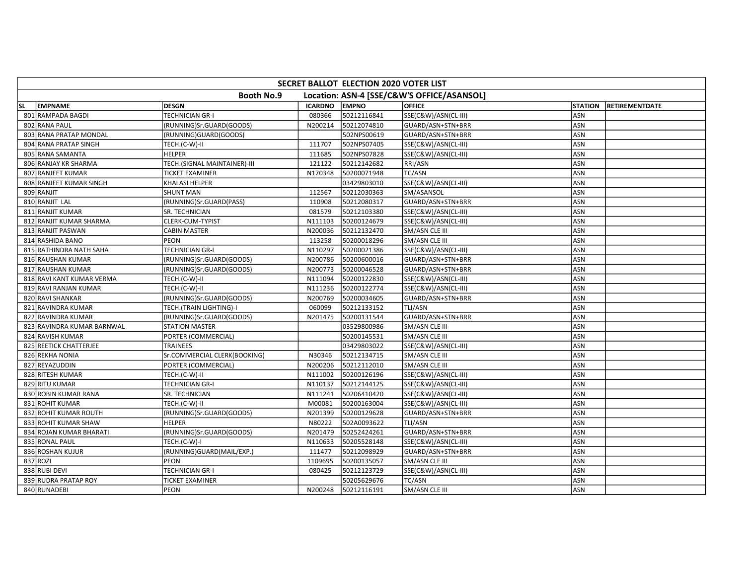| SECRET BALLOT ELECTION 2020 VOTER LIST |                              |                |              |                                            |                |                       |  |  |  |
|----------------------------------------|------------------------------|----------------|--------------|--------------------------------------------|----------------|-----------------------|--|--|--|
|                                        | <b>Booth No.9</b>            |                |              | Location: ASN-4 [SSE/C&W'S OFFICE/ASANSOL] |                |                       |  |  |  |
| <b>EMPNAME</b><br>lsl.                 | <b>DESGN</b>                 | <b>ICARDNO</b> | <b>EMPNO</b> | <b>OFFICE</b>                              | <b>STATION</b> | <b>RETIREMENTDATE</b> |  |  |  |
| 801 RAMPADA BAGDI                      | <b>TECHNICIAN GR-I</b>       | 080366         | 50212116841  | SSE(C&W)/ASN(CL-III)                       | ASN            |                       |  |  |  |
| 802 RANA PAUL                          | (RUNNING)Sr.GUARD(GOODS)     | N200214        | 50212074810  | GUARD/ASN+STN+BRR                          | ASN            |                       |  |  |  |
| 803 RANA PRATAP MONDAL                 | (RUNNING)GUARD(GOODS)        |                | 502NPS00619  | GUARD/ASN+STN+BRR                          | <b>ASN</b>     |                       |  |  |  |
| 804 RANA PRATAP SINGH                  | TECH.(C-W)-II                | 111707         | 502NPS07405  | SSE(C&W)/ASN(CL-III)                       | <b>ASN</b>     |                       |  |  |  |
| 805 RANA SAMANTA                       | <b>HELPER</b>                | 111685         | 502NPS07828  | SSE(C&W)/ASN(CL-III)                       | ASN            |                       |  |  |  |
| 806 RANJAY KR SHARMA                   | TECH.(SIGNAL MAINTAINER)-III | 121122         | 50212142682  | RRI/ASN                                    | ASN            |                       |  |  |  |
| 807 RANJEET KUMAR                      | <b>TICKET EXAMINER</b>       | N170348        | 50200071948  | TC/ASN                                     | ASN            |                       |  |  |  |
| 808 RANJEET KUMAR SINGH                | KHALASI HELPER               |                | 03429803010  | SSE(C&W)/ASN(CL-III)                       | ASN            |                       |  |  |  |
| 809 RANJIT                             | <b>SHUNT MAN</b>             | 112567         | 50212030363  | SM/ASANSOL                                 | ASN            |                       |  |  |  |
| 810 RANJIT LAL                         | (RUNNING)Sr.GUARD(PASS)      | 110908         | 50212080317  | GUARD/ASN+STN+BRR                          | <b>ASN</b>     |                       |  |  |  |
| 811 RANJIT KUMAR                       | SR. TECHNICIAN               | 081579         | 50212103380  | SSE(C&W)/ASN(CL-III)                       | ASN            |                       |  |  |  |
| 812 RANJIT KUMAR SHARMA                | CLERK-CUM-TYPIST             | N111103        | 50200124679  | SSE(C&W)/ASN(CL-III)                       | ASN            |                       |  |  |  |
| 813 RANJIT PASWAN                      | <b>CABIN MASTER</b>          | N200036        | 50212132470  | SM/ASN CLE III                             | ASN            |                       |  |  |  |
| 814 RASHIDA BANO                       | PEON                         | 113258         | 50200018296  | SM/ASN CLE III                             | ASN            |                       |  |  |  |
| 815 RATHINDRA NATH SAHA                | <b>TECHNICIAN GR-I</b>       | N110297        | 50200021386  | SSE(C&W)/ASN(CL-III)                       | ASN            |                       |  |  |  |
| 816 RAUSHAN KUMAR                      | (RUNNING)Sr.GUARD(GOODS)     | N200786        | 50200600016  | GUARD/ASN+STN+BRR                          | <b>ASN</b>     |                       |  |  |  |
| 817 RAUSHAN KUMAR                      | (RUNNING)Sr.GUARD(GOODS)     | N200773        | 50200046528  | GUARD/ASN+STN+BRR                          | <b>ASN</b>     |                       |  |  |  |
| 818 RAVI KANT KUMAR VERMA              | TECH.(C-W)-II                | N111094        | 50200122830  | SSE(C&W)/ASN(CL-III)                       | ASN            |                       |  |  |  |
| 819 RAVI RANJAN KUMAR                  | TECH.(C-W)-II                | N111236        | 50200122774  | SSE(C&W)/ASN(CL-III)                       | ASN            |                       |  |  |  |
| 820 RAVI SHANKAR                       | (RUNNING)Sr.GUARD(GOODS)     | N200769        | 50200034605  | GUARD/ASN+STN+BRR                          | ASN            |                       |  |  |  |
| 821 RAVINDRA KUMAR                     | TECH.(TRAIN LIGHTING)-I      | 060099         | 50212133152  | TLI/ASN                                    | ASN            |                       |  |  |  |
| 822 RAVINDRA KUMAR                     | (RUNNING)Sr.GUARD(GOODS)     | N201475        | 50200131544  | GUARD/ASN+STN+BRR                          | <b>ASN</b>     |                       |  |  |  |
| 823 RAVINDRA KUMAR BARNWAL             | <b>STATION MASTER</b>        |                | 03529800986  | SM/ASN CLE III                             | ASN            |                       |  |  |  |
| 824 RAVISH KUMAR                       | PORTER (COMMERCIAL)          |                | 50200145531  | SM/ASN CLE III                             | <b>ASN</b>     |                       |  |  |  |
| 825 REETICK CHATTERJEE                 | <b>TRAINEES</b>              |                | 03429803022  | SSE(C&W)/ASN(CL-III)                       | ASN            |                       |  |  |  |
| 826 REKHA NONIA                        | Sr.COMMERCIAL CLERK(BOOKING) | N30346         | 50212134715  | SM/ASN CLE III                             | ASN            |                       |  |  |  |
| 827 REYAZUDDIN                         | PORTER (COMMERCIAL)          | N200206        | 50212112010  | SM/ASN CLE III                             | ASN            |                       |  |  |  |
| 828 RITESH KUMAR                       | TECH.(C-W)-II                | N111002        | 50200126196  | SSE(C&W)/ASN(CL-III)                       | <b>ASN</b>     |                       |  |  |  |
| 829 RITU KUMAR                         | <b>TECHNICIAN GR-I</b>       | N110137        | 50212144125  | SSE(C&W)/ASN(CL-III)                       | <b>ASN</b>     |                       |  |  |  |
| 830 ROBIN KUMAR RANA                   | SR. TECHNICIAN               | N111241        | 50206410420  | SSE(C&W)/ASN(CL-III)                       | <b>ASN</b>     |                       |  |  |  |
| 831 ROHIT KUMAR                        | TECH.(C-W)-II                | M00081         | 50200163004  | SSE(C&W)/ASN(CL-III)                       | ASN            |                       |  |  |  |
| 832 ROHIT KUMAR ROUTH                  | (RUNNING)Sr.GUARD(GOODS)     | N201399        | 50200129628  | GUARD/ASN+STN+BRR                          | ASN            |                       |  |  |  |
| 833 ROHIT KUMAR SHAW                   | <b>HELPER</b>                | N80222         | 502A0093622  | TLI/ASN                                    | ASN            |                       |  |  |  |
| 834 ROJAN KUMAR BHARATI                | (RUNNING)Sr.GUARD(GOODS)     | N201479        | 50252424261  | GUARD/ASN+STN+BRR                          | ASN            |                       |  |  |  |
| 835 RONAL PAUL                         | TECH.(C-W)-I                 | N110633        | 50205528148  | SSE(C&W)/ASN(CL-III)                       | ASN            |                       |  |  |  |
| 836 ROSHAN KUJUR                       | (RUNNING)GUARD(MAIL/EXP.)    | 111477         | 50212098929  | GUARD/ASN+STN+BRR                          | <b>ASN</b>     |                       |  |  |  |
| 837 ROZI                               | <b>PEON</b>                  | 1109695        | 50200135057  | SM/ASN CLE III                             | ASN            |                       |  |  |  |
| 838 RUBI DEVI                          | <b>TECHNICIAN GR-I</b>       | 080425         | 50212123729  | SSE(C&W)/ASN(CL-III)                       | ASN            |                       |  |  |  |
| 839 RUDRA PRATAP ROY                   | <b>TICKET EXAMINER</b>       |                | 50205629676  | TC/ASN                                     | ASN            |                       |  |  |  |
| 840 RUNADEBI                           | PEON                         | N200248        | 50212116191  | SM/ASN CLE III                             | ASN            |                       |  |  |  |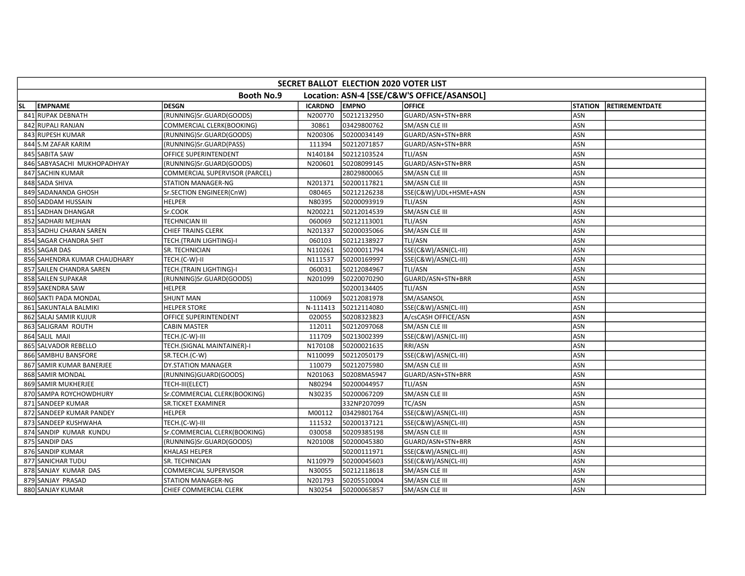|     | SECRET BALLOT ELECTION 2020 VOTER LIST |                                 |                |              |                                            |                |                       |  |  |  |
|-----|----------------------------------------|---------------------------------|----------------|--------------|--------------------------------------------|----------------|-----------------------|--|--|--|
|     |                                        | <b>Booth No.9</b>               |                |              | Location: ASN-4 [SSE/C&W'S OFFICE/ASANSOL] |                |                       |  |  |  |
| SL. | <b>EMPNAME</b>                         | <b>DESGN</b>                    | <b>ICARDNO</b> | <b>EMPNO</b> | <b>OFFICE</b>                              | <b>STATION</b> | <b>RETIREMENTDATE</b> |  |  |  |
|     | 841 RUPAK DEBNATH                      | (RUNNING)Sr.GUARD(GOODS)        | N200770        | 50212132950  | GUARD/ASN+STN+BRR                          | ASN            |                       |  |  |  |
|     | 842 RUPALI RANJAN                      | COMMERCIAL CLERK(BOOKING)       | 30861          | 03429800762  | SM/ASN CLE III                             | ASN            |                       |  |  |  |
|     | 843 RUPESH KUMAR                       | (RUNNING)Sr.GUARD(GOODS)        | N200306        | 50200034149  | GUARD/ASN+STN+BRR                          | <b>ASN</b>     |                       |  |  |  |
|     | 844 S.M ZAFAR KARIM                    | (RUNNING)Sr.GUARD(PASS)         | 111394         | 50212071857  | GUARD/ASN+STN+BRR                          | <b>ASN</b>     |                       |  |  |  |
|     | 845 SABITA SAW                         | OFFICE SUPERINTENDENT           | N140184        | 50212103524  | TLI/ASN                                    | ASN            |                       |  |  |  |
|     | 846 SABYASACHI MUKHOPADHYAY            | (RUNNING)Sr.GUARD(GOODS)        | N200601        | 50208099145  | GUARD/ASN+STN+BRR                          | ASN            |                       |  |  |  |
|     | 847 SACHIN KUMAR                       | COMMERCIAL SUPERVISOR (PARCEL)  |                | 28029800065  | SM/ASN CLE III                             | ASN            |                       |  |  |  |
|     | 848 SADA SHIVA                         | <b>STATION MANAGER-NG</b>       | N201371        | 50200117821  | SM/ASN CLE III                             | ASN            |                       |  |  |  |
|     | 849 SADANANDA GHOSH                    | Sr.SECTION ENGINEER(CnW)        | 080465         | 50212126238  | SSE(C&W)/UDL+HSME+ASN                      | ASN            |                       |  |  |  |
|     | 850 SADDAM HUSSAIN                     | <b>HELPER</b>                   | N80395         | 50200093919  | TLI/ASN                                    | ASN            |                       |  |  |  |
|     | 851 SADHAN DHANGAR                     | Sr.COOK                         | N200221        | 50212014539  | <b>SM/ASN CLE III</b>                      | <b>ASN</b>     |                       |  |  |  |
|     | 852 SADHARI MEJHAN                     | <b>TECHNICIAN III</b>           | 060069         | 50212113001  | TLI/ASN                                    | ASN            |                       |  |  |  |
|     | 853 SADHU CHARAN SAREN                 | <b>CHIEF TRAINS CLERK</b>       | N201337        | 50200035066  | SM/ASN CLE III                             | ASN            |                       |  |  |  |
|     | 854 SAGAR CHANDRA SHIT                 | TECH.(TRAIN LIGHTING)-I         | 060103         | 50212138927  | TLI/ASN                                    | ASN            |                       |  |  |  |
|     | 855 SAGAR DAS                          | SR. TECHNICIAN                  | N110261        | 50200011794  | SSE(C&W)/ASN(CL-III)                       | ASN            |                       |  |  |  |
|     | 856 SAHENDRA KUMAR CHAUDHARY           | TECH.(C-W)-II                   | N111537        | 50200169997  | SSE(C&W)/ASN(CL-III)                       | ASN            |                       |  |  |  |
|     | 857 SAILEN CHANDRA SAREN               | <b>TECH.</b> (TRAIN LIGHTING)-I | 060031         | 50212084967  | <b>TLI/ASN</b>                             | <b>ASN</b>     |                       |  |  |  |
|     | 858 SAILEN SUPAKAR                     | (RUNNING)Sr.GUARD(GOODS)        | N201099        | 50220070290  | GUARD/ASN+STN+BRR                          | ASN            |                       |  |  |  |
|     | 859 SAKENDRA SAW                       | <b>HELPER</b>                   |                | 50200134405  | TLI/ASN                                    | ASN            |                       |  |  |  |
|     | 860 SAKTI PADA MONDAL                  | <b>SHUNT MAN</b>                | 110069         | 50212081978  | SM/ASANSOL                                 | ASN            |                       |  |  |  |
|     | 861 SAKUNTALA BALMIKI                  | <b>HELPER STORE</b>             | N-111413       | 50212114080  | SSE(C&W)/ASN(CL-III)                       | ASN            |                       |  |  |  |
|     | 862 SALAJ SAMIR KUJUR                  | OFFICE SUPERINTENDENT           | 020055         | 50208323823  | A/csCASH OFFICE/ASN                        | <b>ASN</b>     |                       |  |  |  |
|     | 863 SALIGRAM ROUTH                     | <b>CABIN MASTER</b>             | 112011         | 50212097068  | SM/ASN CLE III                             | ASN            |                       |  |  |  |
|     | 864 SALIL MAJI                         | TECH.(C-W)-III                  | 111709         | 50213002399  | SSE(C&W)/ASN(CL-III)                       | ASN            |                       |  |  |  |
|     | 865 SALVADOR REBELLO                   | TECH.(SIGNAL MAINTAINER)-I      | N170108        | 50200021635  | RRI/ASN                                    | <b>ASN</b>     |                       |  |  |  |
|     | 866 SAMBHU BANSFORE                    | SR.TECH.(C-W)                   | N110099        | 50212050179  | SSE(C&W)/ASN(CL-III)                       | ASN            |                       |  |  |  |
|     | 867 SAMIR KUMAR BANERJEE               | <b>DY.STATION MANAGER</b>       | 110079         | 50212075980  | <b>SM/ASN CLE III</b>                      | ASN            |                       |  |  |  |
|     | 868 SAMIR MONDAL                       | (RUNNING)GUARD(GOODS)           | N201063        | 50208MA5947  | GUARD/ASN+STN+BRR                          | ASN            |                       |  |  |  |
|     | 869 SAMIR MUKHERJEE                    | TECH-III(ELECT)                 | N80294         | 50200044957  | <b>TLI/ASN</b>                             | ASN            |                       |  |  |  |
|     | 870 SAMPA ROYCHOWDHURY                 | Sr.COMMERCIAL CLERK(BOOKING)    | N30235         | 50200067209  | SM/ASN CLE III                             | ASN            |                       |  |  |  |
|     | 871 SANDEEP KUMAR                      | <b>SR.TICKET EXAMINER</b>       |                | 332NP207099  | <b>TC/ASN</b>                              | <b>ASN</b>     |                       |  |  |  |
|     | 872 SANDEEP KUMAR PANDEY               | <b>HELPER</b>                   | M00112         | 03429801764  | SSE(C&W)/ASN(CL-III)                       | ASN            |                       |  |  |  |
|     | 873 SANDEEP KUSHWAHA                   | TECH.(C-W)-III                  | 111532         | 50200137121  | SSE(C&W)/ASN(CL-III)                       | ASN            |                       |  |  |  |
|     | 874 SANDIP KUMAR KUNDU                 | Sr.COMMERCIAL CLERK(BOOKING)    | 030058         | 50209385198  | SM/ASN CLE III                             | ASN            |                       |  |  |  |
|     | 875 SANDIP DAS                         | (RUNNING)Sr.GUARD(GOODS)        | N201008        | 50200045380  | GUARD/ASN+STN+BRR                          | ASN            |                       |  |  |  |
|     | 876 SANDIP KUMAR                       | <b>KHALASI HELPER</b>           |                | 50200111971  | SSE(C&W)/ASN(CL-III)                       | <b>ASN</b>     |                       |  |  |  |
|     | 877 SANICHAR TUDU                      | SR. TECHNICIAN                  | N110979        | 50200045603  | SSE(C&W)/ASN(CL-III)                       | ASN            |                       |  |  |  |
|     | 878 SANJAY KUMAR DAS                   | <b>COMMERCIAL SUPERVISOR</b>    | N30055         | 50212118618  | SM/ASN CLE III                             | ASN            |                       |  |  |  |
|     | 879 SANJAY PRASAD                      | <b>STATION MANAGER-NG</b>       | N201793        | 50205510004  | SM/ASN CLE III                             | ASN            |                       |  |  |  |
|     | 880 SANJAY KUMAR                       | CHIEF COMMERCIAL CLERK          | N30254         | 50200065857  | SM/ASN CLE III                             | ASN            |                       |  |  |  |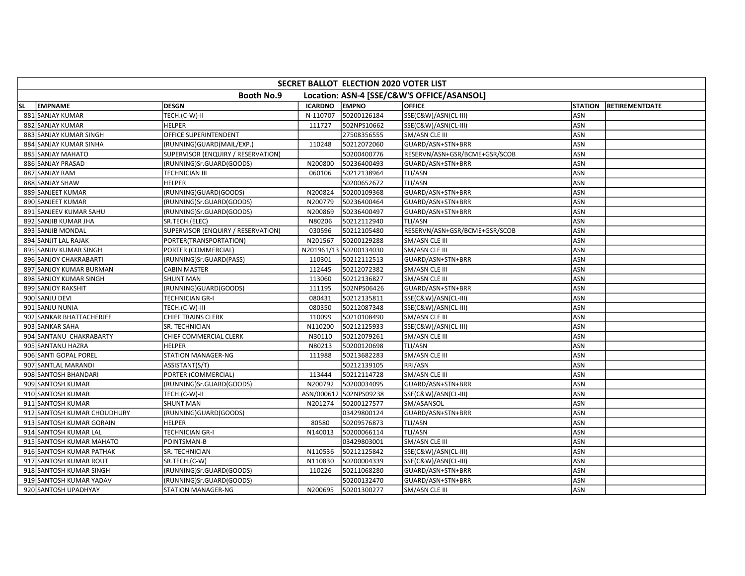|           | SECRET BALLOT ELECTION 2020 VOTER LIST |                                    |                |                        |                                            |                |                       |  |  |  |
|-----------|----------------------------------------|------------------------------------|----------------|------------------------|--------------------------------------------|----------------|-----------------------|--|--|--|
|           |                                        | <b>Booth No.9</b>                  |                |                        | Location: ASN-4 [SSE/C&W'S OFFICE/ASANSOL] |                |                       |  |  |  |
| <b>SL</b> | <b>EMPNAME</b>                         | <b>DESGN</b>                       | <b>ICARDNO</b> | <b>EMPNO</b>           | <b>OFFICE</b>                              | <b>STATION</b> | <b>RETIREMENTDATE</b> |  |  |  |
|           | 881 SANJAY KUMAR                       | TECH.(C-W)-II                      | N-110707       | 50200126184            | SSE(C&W)/ASN(CL-III)                       | ASN            |                       |  |  |  |
|           | 882 SANJAY KUMAR                       | <b>HELPER</b>                      | 111727         | 502NPS10662            | SSE(C&W)/ASN(CL-III)                       | ASN            |                       |  |  |  |
|           | 883 SANJAY KUMAR SINGH                 | OFFICE SUPERINTENDENT              |                | 27508356555            | SM/ASN CLE III                             | ASN            |                       |  |  |  |
|           | 884 SANJAY KUMAR SINHA                 | (RUNNING)GUARD(MAIL/EXP.)          | 110248         | 50212072060            | GUARD/ASN+STN+BRR                          | <b>ASN</b>     |                       |  |  |  |
|           | 885 SANJAY MAHATO                      | SUPERVISOR (ENQUIRY / RESERVATION) |                | 50200400776            | RESERVN/ASN+GSR/BCME+GSR/SCOB              | <b>ASN</b>     |                       |  |  |  |
|           | 886 SANJAY PRASAD                      | (RUNNING)Sr.GUARD(GOODS)           | N200800        | 50236400493            | GUARD/ASN+STN+BRR                          | ASN            |                       |  |  |  |
|           | 887 SANJAY RAM                         | <b>TECHNICIAN III</b>              | 060106         | 50212138964            | TLI/ASN                                    | ASN            |                       |  |  |  |
|           | 888 SANJAY SHAW                        | <b>HELPER</b>                      |                | 50200652672            | TLI/ASN                                    | ASN            |                       |  |  |  |
|           | 889 SANJEET KUMAR                      | (RUNNING)GUARD(GOODS)              | N200824        | 50200109368            | GUARD/ASN+STN+BRR                          | ASN            |                       |  |  |  |
|           | 890 SANJEET KUMAR                      | (RUNNING)Sr.GUARD(GOODS)           | N200779        | 50236400464            | GUARD/ASN+STN+BRR                          | ASN            |                       |  |  |  |
|           | 891 SANJEEV KUMAR SAHU                 | (RUNNING)Sr.GUARD(GOODS)           | N200869        | 50236400497            | GUARD/ASN+STN+BRR                          | <b>ASN</b>     |                       |  |  |  |
|           | 892 SANJIB KUMAR JHA                   | SR.TECH.(ELEC)                     | N80206         | 50212112940            | TLI/ASN                                    | ASN            |                       |  |  |  |
|           | 893 SANJIB MONDAL                      | SUPERVISOR (ENQUIRY / RESERVATION) | 030596         | 50212105480            | RESERVN/ASN+GSR/BCME+GSR/SCOB              | ASN            |                       |  |  |  |
|           | 894 SANJIT LAL RAJAK                   | PORTER(TRANSPORTATION)             | N201567        | 50200129288            | SM/ASN CLE III                             | ASN            |                       |  |  |  |
|           | 895 SANJIV KUMAR SINGH                 | PORTER (COMMERCIAL)                |                | N201961/13 50200134030 | SM/ASN CLE III                             | ASN            |                       |  |  |  |
|           | 896 SANJOY CHAKRABARTI                 | (RUNNING)Sr.GUARD(PASS)            | 110301         | 50212112513            | GUARD/ASN+STN+BRR                          | ASN            |                       |  |  |  |
|           | 897 SANJOY KUMAR BURMAN                | <b>CABIN MASTER</b>                | 112445         | 50212072382            | SM/ASN CLE III                             | ASN            |                       |  |  |  |
|           | 898 SANJOY KUMAR SINGH                 | <b>SHUNT MAN</b>                   | 113060         | 50212136827            | SM/ASN CLE III                             | ASN            |                       |  |  |  |
|           | 899 SANJOY RAKSHIT                     | (RUNNING)GUARD(GOODS)              | 111195         | 502NPS06426            | GUARD/ASN+STN+BRR                          | ASN            |                       |  |  |  |
|           | 900 SANJU DEVI                         | <b>TECHNICIAN GR-I</b>             | 080431         | 50212135811            | SSE(C&W)/ASN(CL-III)                       | ASN            |                       |  |  |  |
|           | 901 SANJU NUNIA                        | TECH.(C-W)-III                     | 080350         | 50212087348            | SSE(C&W)/ASN(CL-III)                       | ASN            |                       |  |  |  |
|           | 902 SANKAR BHATTACHERJEE               | <b>CHIEF TRAINS CLERK</b>          | 110099         | 50210108490            | SM/ASN CLE III                             | ASN            |                       |  |  |  |
|           | 903 SANKAR SAHA                        | SR. TECHNICIAN                     | N110200        | 50212125933            | SSE(C&W)/ASN(CL-III)                       | <b>ASN</b>     |                       |  |  |  |
|           | 904 SANTANU CHAKRABARTY                | CHIEF COMMERCIAL CLERK             | N30110         | 50212079261            | SM/ASN CLE III                             | ASN            |                       |  |  |  |
|           | 905 SANTANU HAZRA                      | <b>HELPER</b>                      | N80213         | 50200120698            | TLI/ASN                                    | ASN            |                       |  |  |  |
|           | 906 SANTI GOPAL POREL                  | <b>STATION MANAGER-NG</b>          | 111988         | 50213682283            | SM/ASN CLE III                             | ASN            |                       |  |  |  |
|           | 907 SANTLAL MARANDI                    | ASSISTANT(S/T)                     |                | 50212139105            | RRI/ASN                                    | ASN            |                       |  |  |  |
|           | 908 SANTOSH BHANDARI                   | PORTER (COMMERCIAL)                | 113444         | 50212114728            | SM/ASN CLE III                             | ASN            |                       |  |  |  |
|           | 909 SANTOSH KUMAR                      | (RUNNING)Sr.GUARD(GOODS)           | N200792        | 50200034095            | GUARD/ASN+STN+BRR                          | ASN            |                       |  |  |  |
|           | 910 SANTOSH KUMAR                      | TECH.(C-W)-II                      |                | ASN/000612 502NPS09238 | SSE(C&W)/ASN(CL-III)                       | ASN            |                       |  |  |  |
|           | 911 SANTOSH KUMAR                      | <b>SHUNT MAN</b>                   | N201274        | 50200127577            | SM/ASANSOL                                 | ASN            |                       |  |  |  |
|           | 912 SANTOSH KUMAR CHOUDHURY            | (RUNNING)GUARD(GOODS)              |                | 03429800124            | GUARD/ASN+STN+BRR                          | ASN            |                       |  |  |  |
|           | 913 SANTOSH KUMAR GORAIN               | <b>HELPER</b>                      | 80580          | 50209576873            | TLI/ASN                                    | ASN            |                       |  |  |  |
|           | 914 SANTOSH KUMAR LAL                  | <b>TECHNICIAN GR-I</b>             | N140013        | 50200066114            | TLI/ASN                                    | ASN            |                       |  |  |  |
|           | 915 SANTOSH KUMAR MAHATO               | POINTSMAN-B                        |                | 03429803001            | SM/ASN CLE III                             | ASN            |                       |  |  |  |
|           | 916 SANTOSH KUMAR PATHAK               | SR. TECHNICIAN                     | N110536        | 50212125842            | SSE(C&W)/ASN(CL-III)                       | ASN            |                       |  |  |  |
|           | 917 SANTOSH KUMAR ROUT                 | SR.TECH.(C-W)                      | N110830        | 50200004339            | SSE(C&W)/ASN(CL-III)                       | ASN            |                       |  |  |  |
|           | 918 SANTOSH KUMAR SINGH                | (RUNNING)Sr.GUARD(GOODS)           | 110226         | 50211068280            | GUARD/ASN+STN+BRR                          | ASN            |                       |  |  |  |
|           | 919 SANTOSH KUMAR YADAV                | (RUNNING)Sr.GUARD(GOODS)           |                | 50200132470            | GUARD/ASN+STN+BRR                          | ASN            |                       |  |  |  |
|           | 920 SANTOSH UPADHYAY                   | <b>STATION MANAGER-NG</b>          | N200695        | 50201300277            | SM/ASN CLE III                             | ASN            |                       |  |  |  |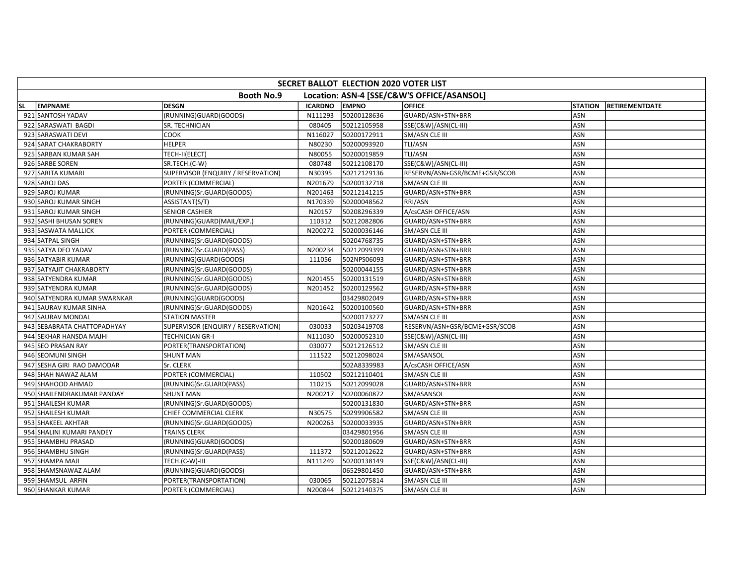|     | SECRET BALLOT ELECTION 2020 VOTER LIST                          |                                    |                |              |                               |                |                       |  |  |  |  |
|-----|-----------------------------------------------------------------|------------------------------------|----------------|--------------|-------------------------------|----------------|-----------------------|--|--|--|--|
|     | Location: ASN-4 [SSE/C&W'S OFFICE/ASANSOL]<br><b>Booth No.9</b> |                                    |                |              |                               |                |                       |  |  |  |  |
| SL. | <b>EMPNAME</b>                                                  | <b>DESGN</b>                       | <b>ICARDNO</b> | <b>EMPNO</b> | <b>OFFICE</b>                 | <b>STATION</b> | <b>RETIREMENTDATE</b> |  |  |  |  |
|     | 921 SANTOSH YADAV                                               | (RUNNING)GUARD(GOODS)              | N111293        | 50200128636  | GUARD/ASN+STN+BRR             | ASN            |                       |  |  |  |  |
|     | 922 SARASWATI BAGDI                                             | SR. TECHNICIAN                     | 080405         | 50212105958  | SSE(C&W)/ASN(CL-III)          | ASN            |                       |  |  |  |  |
|     | 923 SARASWATI DEVI                                              | <b>COOK</b>                        | N116027        | 50200172911  | <b>SM/ASN CLE III</b>         | ASN            |                       |  |  |  |  |
|     | 924 SARAT CHAKRABORTY                                           | <b>HELPER</b>                      | N80230         | 50200093920  | TLI/ASN                       | ASN            |                       |  |  |  |  |
|     | 925 SARBAN KUMAR SAH                                            | TECH-II(ELECT)                     | N80055         | 50200019859  | TLI/ASN                       | <b>ASN</b>     |                       |  |  |  |  |
|     | 926 SARBE SOREN                                                 | SR.TECH.(C-W)                      | 080748         | 50212108170  | SSE(C&W)/ASN(CL-III)          | ASN            |                       |  |  |  |  |
|     | 927 SARITA KUMARI                                               | SUPERVISOR (ENQUIRY / RESERVATION) | N30395         | 50212129136  | RESERVN/ASN+GSR/BCME+GSR/SCOB | ASN            |                       |  |  |  |  |
|     | 928 SAROJ DAS                                                   | PORTER (COMMERCIAL)                | N201679        | 50200132718  | SM/ASN CLE III                | ASN            |                       |  |  |  |  |
|     | 929 SAROJ KUMAR                                                 | (RUNNING)Sr.GUARD(GOODS)           | N201463        | 50212141215  | GUARD/ASN+STN+BRR             | ASN            |                       |  |  |  |  |
|     | 930 SAROJ KUMAR SINGH                                           | ASSISTANT(S/T)                     | N170339        | 50200048562  | RRI/ASN                       | ASN            |                       |  |  |  |  |
|     | 931 SAROJ KUMAR SINGH                                           | <b>SENIOR CASHIER</b>              | N20157         | 50208296339  | A/csCASH OFFICE/ASN           | ASN            |                       |  |  |  |  |
|     | 932 SASHI BHUSAN SOREN                                          | (RUNNING)GUARD(MAIL/EXP.)          | 110312         | 50212082806  | GUARD/ASN+STN+BRR             | ASN            |                       |  |  |  |  |
|     | 933 SASWATA MALLICK                                             | PORTER (COMMERCIAL)                | N200272        | 50200036146  | SM/ASN CLE III                | ASN            |                       |  |  |  |  |
|     | 934 SATPAL SINGH                                                | (RUNNING)Sr.GUARD(GOODS)           |                | 50204768735  | GUARD/ASN+STN+BRR             | ASN            |                       |  |  |  |  |
|     | 935 SATYA DEO YADAV                                             | (RUNNING)Sr.GUARD(PASS)            | N200234        | 50212099399  | GUARD/ASN+STN+BRR             | ASN            |                       |  |  |  |  |
|     | 936 SATYABIR KUMAR                                              | (RUNNING)GUARD(GOODS)              | 111056         | 502NPS06093  | GUARD/ASN+STN+BRR             | ASN            |                       |  |  |  |  |
|     | 937 SATYAJIT CHAKRABORTY                                        | (RUNNING)Sr.GUARD(GOODS)           |                | 50200044155  | GUARD/ASN+STN+BRR             | ASN            |                       |  |  |  |  |
|     | 938 SATYENDRA KUMAR                                             | (RUNNING)Sr.GUARD(GOODS)           | N201455        | 50200131519  | GUARD/ASN+STN+BRR             | ASN            |                       |  |  |  |  |
|     | 939 SATYENDRA KUMAR                                             | (RUNNING)Sr.GUARD(GOODS)           | N201452        | 50200129562  | GUARD/ASN+STN+BRR             | <b>ASN</b>     |                       |  |  |  |  |
|     | 940 SATYENDRA KUMAR SWARNKAR                                    | (RUNNING)GUARD(GOODS)              |                | 03429802049  | GUARD/ASN+STN+BRR             | ASN            |                       |  |  |  |  |
|     | 941 SAURAV KUMAR SINHA                                          | (RUNNING)Sr.GUARD(GOODS)           | N201642        | 50200100560  | GUARD/ASN+STN+BRR             | ASN            |                       |  |  |  |  |
|     | 942 SAURAV MONDAL                                               | <b>STATION MASTER</b>              |                | 50200173277  | SM/ASN CLE III                | ASN            |                       |  |  |  |  |
|     | 943 SEBABRATA CHATTOPADHYAY                                     | SUPERVISOR (ENQUIRY / RESERVATION) | 030033         | 50203419708  | RESERVN/ASN+GSR/BCME+GSR/SCOB | ASN            |                       |  |  |  |  |
|     | 944 SEKHAR HANSDA MAJHI                                         | <b>TECHNICIAN GR-I</b>             | N111030        | 50200052310  | SSE(C&W)/ASN(CL-III)          | ASN            |                       |  |  |  |  |
|     | 945 SEO PRASAN RAY                                              | PORTER(TRANSPORTATION)             | 030077         | 50212126512  | SM/ASN CLE III                | ASN            |                       |  |  |  |  |
|     | 946 SEOMUNI SINGH                                               | <b>SHUNT MAN</b>                   | 111522         | 50212098024  | SM/ASANSOL                    | ASN            |                       |  |  |  |  |
|     | 947 SESHA GIRI RAO DAMODAR                                      | Sr. CLERK                          |                | 502A8339983  | A/csCASH OFFICE/ASN           | ASN            |                       |  |  |  |  |
|     | 948 SHAH NAWAZ ALAM                                             | PORTER (COMMERCIAL)                | 110502         | 50212110401  | SM/ASN CLE III                | ASN            |                       |  |  |  |  |
|     | 949 SHAHOOD AHMAD                                               | (RUNNING)Sr.GUARD(PASS)            | 110215         | 50212099028  | GUARD/ASN+STN+BRR             | ASN            |                       |  |  |  |  |
|     | 950 SHAILENDRAKUMAR PANDAY                                      | <b>SHUNT MAN</b>                   | N200217        | 50200060872  | SM/ASANSOL                    | <b>ASN</b>     |                       |  |  |  |  |
|     | 951 SHAILESH KUMAR                                              | (RUNNING)Sr.GUARD(GOODS)           |                | 50200131830  | GUARD/ASN+STN+BRR             | <b>ASN</b>     |                       |  |  |  |  |
|     | 952 SHAILESH KUMAR                                              | CHIEF COMMERCIAL CLERK             | N30575         | 50299906582  | SM/ASN CLE III                | ASN            |                       |  |  |  |  |
|     | 953 SHAKEEL AKHTAR                                              | (RUNNING)Sr.GUARD(GOODS)           | N200263        | 50200033935  | GUARD/ASN+STN+BRR             | ASN            |                       |  |  |  |  |
|     | 954 SHALINI KUMARI PANDEY                                       | <b>TRAINS CLERK</b>                |                | 03429801956  | SM/ASN CLE III                | ASN            |                       |  |  |  |  |
|     | 955 SHAMBHU PRASAD                                              | (RUNNING)GUARD(GOODS)              |                | 50200180609  | GUARD/ASN+STN+BRR             | ASN            |                       |  |  |  |  |
|     | 956 SHAMBHU SINGH                                               | (RUNNING)Sr.GUARD(PASS)            | 111372         | 50212012622  | GUARD/ASN+STN+BRR             | <b>ASN</b>     |                       |  |  |  |  |
|     | 957 SHAMPA MAJI                                                 | TECH.(C-W)-III                     | N111249        | 50200138149  | SSE(C&W)/ASN(CL-III)          | ASN            |                       |  |  |  |  |
|     | 958 SHAMSNAWAZ ALAM                                             | (RUNNING)GUARD(GOODS)              |                | 06529801450  | GUARD/ASN+STN+BRR             | ASN            |                       |  |  |  |  |
|     | 959 SHAMSUL ARFIN                                               | PORTER(TRANSPORTATION)             | 030065         | 50212075814  | SM/ASN CLE III                | ASN            |                       |  |  |  |  |
|     | 960 SHANKAR KUMAR                                               | PORTER (COMMERCIAL)                | N200844        | 50212140375  | SM/ASN CLE III                | ASN            |                       |  |  |  |  |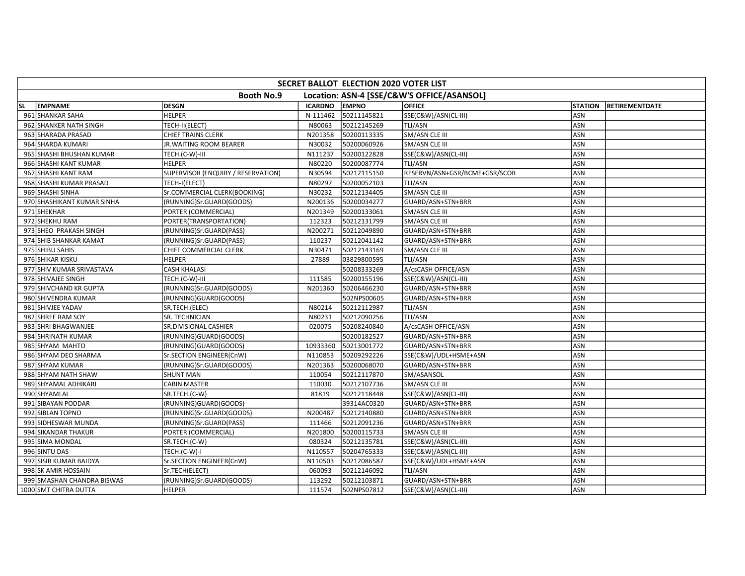| SECRET BALLOT ELECTION 2020 VOTER LIST                          |                            |                                    |                |              |                               |                |                       |  |  |
|-----------------------------------------------------------------|----------------------------|------------------------------------|----------------|--------------|-------------------------------|----------------|-----------------------|--|--|
| Location: ASN-4 [SSE/C&W'S OFFICE/ASANSOL]<br><b>Booth No.9</b> |                            |                                    |                |              |                               |                |                       |  |  |
| SL.                                                             | <b>EMPNAME</b>             | <b>DESGN</b>                       | <b>ICARDNO</b> | <b>EMPNO</b> | <b>OFFICE</b>                 | <b>STATION</b> | <b>RETIREMENTDATE</b> |  |  |
|                                                                 | 961 SHANKAR SAHA           | <b>HELPER</b>                      | N-111462       | 50211145821  | SSE(C&W)/ASN(CL-III)          | ASN            |                       |  |  |
|                                                                 | 962 SHANKER NATH SINGH     | TECH-II(ELECT)                     | N80063         | 50212145269  | TLI/ASN                       | ASN            |                       |  |  |
|                                                                 | 963 SHARADA PRASAD         | <b>CHIEF TRAINS CLERK</b>          | N201358        | 50200113335  | SM/ASN CLE III                | ASN            |                       |  |  |
|                                                                 | 964 SHARDA KUMARI          | JR. WAITING ROOM BEARER            | N30032         | 50200060926  | <b>SM/ASN CLE III</b>         | <b>ASN</b>     |                       |  |  |
|                                                                 | 965 SHASHI BHUSHAN KUMAR   | TECH.(C-W)-III                     | N111237        | 50200122828  | SSE(C&W)/ASN(CL-III)          | <b>ASN</b>     |                       |  |  |
|                                                                 | 966 SHASHI KANT KUMAR      | <b>HELPER</b>                      | N80220         | 50200087774  | TLI/ASN                       | ASN            |                       |  |  |
|                                                                 | 967 SHASHI KANT RAM        | SUPERVISOR (ENQUIRY / RESERVATION) | N30594         | 50212115150  | RESERVN/ASN+GSR/BCME+GSR/SCOB | ASN            |                       |  |  |
|                                                                 | 968 SHASHI KUMAR PRASAD    | TECH-I(ELECT)                      | N80297         | 50200052103  | TLI/ASN                       | ASN            |                       |  |  |
|                                                                 | 969 SHASHI SINHA           | Sr.COMMERCIAL CLERK(BOOKING)       | N30232         | 50212134405  | SM/ASN CLE III                | ASN            |                       |  |  |
|                                                                 | 970 SHASHIKANT KUMAR SINHA | (RUNNING)Sr.GUARD(GOODS)           | N200136        | 50200034277  | GUARD/ASN+STN+BRR             | <b>ASN</b>     |                       |  |  |
|                                                                 | 971 SHEKHAR                | PORTER (COMMERCIAL)                | N201349        | 50200133061  | SM/ASN CLE III                | <b>ASN</b>     |                       |  |  |
|                                                                 | 972 SHEKHU RAM             | PORTER(TRANSPORTATION)             | 112323         | 50212131799  | SM/ASN CLE III                | ASN            |                       |  |  |
|                                                                 | 973 SHEO PRAKASH SINGH     | (RUNNING)Sr.GUARD(PASS)            | N200271        | 50212049890  | GUARD/ASN+STN+BRR             | ASN            |                       |  |  |
|                                                                 | 974 SHIB SHANKAR KAMAT     | (RUNNING)Sr.GUARD(PASS)            | 110237         | 50212041142  | GUARD/ASN+STN+BRR             | ASN            |                       |  |  |
|                                                                 | 975 SHIBU SAHIS            | CHIEF COMMERCIAL CLERK             | N30471         | 50212143169  | SM/ASN CLE III                | ASN            |                       |  |  |
|                                                                 | 976 SHIKAR KISKU           | <b>HELPER</b>                      | 27889          | 03829800595  | TLI/ASN                       | ASN            |                       |  |  |
|                                                                 | 977 SHIV KUMAR SRIVASTAVA  | <b>CASH KHALASI</b>                |                | 50208333269  | A/csCASH OFFICE/ASN           | ASN            |                       |  |  |
|                                                                 | 978 SHIVAJEE SINGH         | TECH.(C-W)-III                     | 111585         | 50200155196  | SSE(C&W)/ASN(CL-III)          | ASN            |                       |  |  |
|                                                                 | 979 SHIVCHAND KR GUPTA     | (RUNNING)Sr.GUARD(GOODS)           | N201360        | 50206466230  | GUARD/ASN+STN+BRR             | ASN            |                       |  |  |
|                                                                 | 980 SHIVENDRA KUMAR        | (RUNNING)GUARD(GOODS)              |                | 502NPS00605  | GUARD/ASN+STN+BRR             | ASN            |                       |  |  |
|                                                                 | 981 SHIVJEE YADAV          | SR.TECH.(ELEC)                     | N80214         | 50212112987  | TLI/ASN                       | ASN            |                       |  |  |
|                                                                 | 982 SHREE RAM SOY          | SR. TECHNICIAN                     | N80231         | 50212090256  | TLI/ASN                       | <b>ASN</b>     |                       |  |  |
|                                                                 | 983 SHRI BHAGWANJEE        | SR.DIVISIONAL CASHIER              | 020075         | 50208240840  | A/csCASH OFFICE/ASN           | ASN            |                       |  |  |
|                                                                 | 984 SHRINATH KUMAR         | (RUNNING)GUARD(GOODS)              |                | 50200182527  | GUARD/ASN+STN+BRR             | ASN            |                       |  |  |
|                                                                 | 985 SHYAM MAHTO            | (RUNNING)GUARD(GOODS)              | 10933360       | 50213001772  | GUARD/ASN+STN+BRR             | ASN            |                       |  |  |
|                                                                 | 986 SHYAM DEO SHARMA       | Sr.SECTION ENGINEER(CnW)           | N110853        | 50209292226  | SSE(C&W)/UDL+HSME+ASN         | ASN            |                       |  |  |
|                                                                 | 987 SHYAM KUMAR            | (RUNNING)Sr.GUARD(GOODS)           | N201363        | 50200068070  | GUARD/ASN+STN+BRR             | ASN            |                       |  |  |
|                                                                 | 988 SHYAM NATH SHAW        | <b>SHUNT MAN</b>                   | 110054         | 50212117870  | SM/ASANSOL                    | <b>ASN</b>     |                       |  |  |
|                                                                 | 989 SHYAMAL ADHIKARI       | <b>CABIN MASTER</b>                | 110030         | 50212107736  | SM/ASN CLE III                | ASN            |                       |  |  |
|                                                                 | 990 SHYAMLAL               | SR.TECH.(C-W)                      | 81819          | 50212118448  | SSE(C&W)/ASN(CL-III)          | ASN            |                       |  |  |
|                                                                 | 991 SIBAYAN PODDAR         | (RUNNING)GUARD(GOODS)              |                | 39314AC0320  | GUARD/ASN+STN+BRR             | ASN            |                       |  |  |
|                                                                 | 992 SIBLAN TOPNO           | (RUNNING)Sr.GUARD(GOODS)           | N200487        | 50212140880  | GUARD/ASN+STN+BRR             | ASN            |                       |  |  |
|                                                                 | 993 SIDHESWAR MUNDA        | (RUNNING)Sr.GUARD(PASS)            | 111466         | 50212091236  | GUARD/ASN+STN+BRR             | ASN            |                       |  |  |
|                                                                 | 994 SIKANDAR THAKUR        | PORTER (COMMERCIAL)                | N201800        | 50200115733  | SM/ASN CLE III                | ASN            |                       |  |  |
|                                                                 | 995 SIMA MONDAL            | SR.TECH.(C-W)                      | 080324         | 50212135781  | SSE(C&W)/ASN(CL-III)          | ASN            |                       |  |  |
|                                                                 | 996 SINTU DAS              | TECH.(C-W)-I                       | N110557        | 50204765333  | SSE(C&W)/ASN(CL-III)          | ASN            |                       |  |  |
|                                                                 | 997 SISIR KUMAR BAIDYA     | Sr.SECTION ENGINEER(CnW)           | N110503        | 50212086587  | SSE(C&W)/UDL+HSME+ASN         | ASN            |                       |  |  |
|                                                                 | 998 SK AMIR HOSSAIN        | Sr.TECH(ELECT)                     | 060093         | 50212146092  | TLI/ASN                       | ASN            |                       |  |  |
|                                                                 | 999 SMASHAN CHANDRA BISWAS | (RUNNING)Sr.GUARD(GOODS)           | 113292         | 50212103871  | GUARD/ASN+STN+BRR             | ASN            |                       |  |  |
|                                                                 | 1000 SMT CHITRA DUTTA      | <b>HELPER</b>                      | 111574         | 502NPS07812  | SSE(C&W)/ASN(CL-III)          | ASN            |                       |  |  |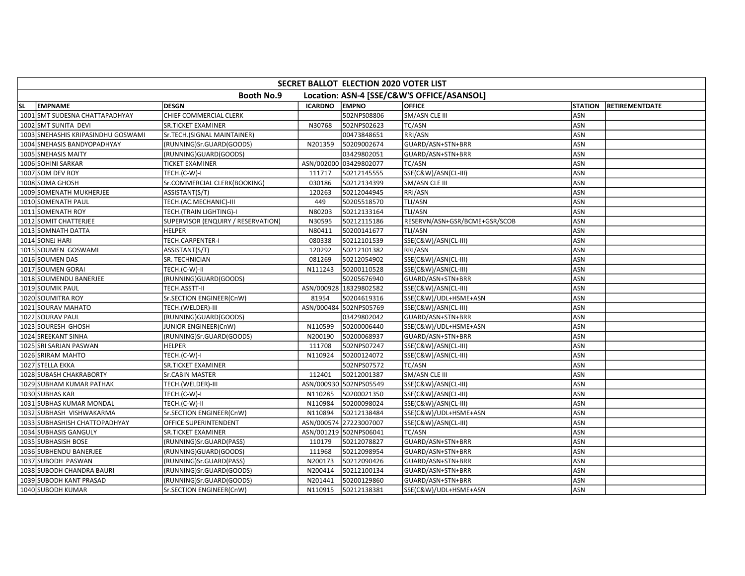| SECRET BALLOT ELECTION 2020 VOTER LIST                          |                                    |                                    |                |                        |                               |                |                       |  |  |
|-----------------------------------------------------------------|------------------------------------|------------------------------------|----------------|------------------------|-------------------------------|----------------|-----------------------|--|--|
| <b>Booth No.9</b><br>Location: ASN-4 [SSE/C&W'S OFFICE/ASANSOL] |                                    |                                    |                |                        |                               |                |                       |  |  |
| <b>SL</b>                                                       | <b>EMPNAME</b>                     | <b>DESGN</b>                       | <b>ICARDNO</b> | <b>EMPNO</b>           | <b>OFFICE</b>                 | <b>STATION</b> | <b>RETIREMENTDATE</b> |  |  |
|                                                                 | 1001 SMT SUDESNA CHATTAPADHYAY     | CHIEF COMMERCIAL CLERK             |                | 502NPS08806            | SM/ASN CLE III                | ASN            |                       |  |  |
|                                                                 | 1002 SMT SUNITA DEVI               | <b>SR.TICKET EXAMINER</b>          | N30768         | 502NPS02623            | <b>TC/ASN</b>                 | ASN            |                       |  |  |
|                                                                 | 1003 SNEHASHIS KRIPASINDHU GOSWAMI | Sr.TECH.(SIGNAL MAINTAINER)        |                | 00473848651            | RRI/ASN                       | ASN            |                       |  |  |
|                                                                 | 1004 SNEHASIS BANDYOPADHYAY        | (RUNNING)Sr.GUARD(GOODS)           | N201359        | 50209002674            | GUARD/ASN+STN+BRR             | ASN            |                       |  |  |
|                                                                 | 1005 SNEHASIS MAITY                | (RUNNING)GUARD(GOODS)              |                | 03429802051            | GUARD/ASN+STN+BRR             | ASN            |                       |  |  |
|                                                                 | 1006 SOHINI SARKAR                 | <b>TICKET EXAMINER</b>             |                | ASN/002000 03429802077 | TC/ASN                        | ASN            |                       |  |  |
|                                                                 | 1007 SOM DEV ROY                   | TECH.(C-W)-I                       | 111717         | 50212145555            | SSE(C&W)/ASN(CL-III)          | ASN            |                       |  |  |
|                                                                 | 1008 SOMA GHOSH                    | Sr.COMMERCIAL CLERK(BOOKING)       | 030186         | 50212134399            | SM/ASN CLE III                | ASN            |                       |  |  |
|                                                                 | 1009 SOMENATH MUKHERJEE            | ASSISTANT(S/T)                     | 120263         | 50212044945            | RRI/ASN                       | ASN            |                       |  |  |
|                                                                 | 1010 SOMENATH PAUL                 | TECH.(AC.MECHANIC)-III             | 449            | 50205518570            | TLI/ASN                       | ASN            |                       |  |  |
|                                                                 | 1011 SOMENATH ROY                  | TECH.(TRAIN LIGHTING)-I            | N80203         | 50212133164            | TLI/ASN                       | <b>ASN</b>     |                       |  |  |
|                                                                 | 1012 SOMIT CHATTERJEE              | SUPERVISOR (ENQUIRY / RESERVATION) | N30595         | 50212115186            | RESERVN/ASN+GSR/BCME+GSR/SCOB | ASN            |                       |  |  |
|                                                                 | 1013 SOMNATH DATTA                 | <b>HELPER</b>                      | N80411         | 50200141677            | TLI/ASN                       | ASN            |                       |  |  |
|                                                                 | 1014 SONEJ HARI                    | TECH.CARPENTER-I                   | 080338         | 50212101539            | SSE(C&W)/ASN(CL-III)          | ASN            |                       |  |  |
|                                                                 | 1015 SOUMEN GOSWAMI                | ASSISTANT(S/T)                     | 120292         | 50212101382            | RRI/ASN                       | ASN            |                       |  |  |
|                                                                 | 1016 SOUMEN DAS                    | SR. TECHNICIAN                     | 081269         | 50212054902            | SSE(C&W)/ASN(CL-III)          | ASN            |                       |  |  |
|                                                                 | 1017 SOUMEN GORAI                  | TECH.(C-W)-II                      | N111243        | 50200110528            | SSE(C&W)/ASN(CL-III)          | <b>ASN</b>     |                       |  |  |
|                                                                 | 1018 SOUMENDU BANERJEE             | (RUNNING)GUARD(GOODS)              |                | 50205676940            | GUARD/ASN+STN+BRR             | ASN            |                       |  |  |
|                                                                 | 1019 SOUMIK PAUL                   | TECH.ASSTT-II                      |                | ASN/000928 18329802582 | SSE(C&W)/ASN(CL-III)          | ASN            |                       |  |  |
|                                                                 | 1020 SOUMITRA ROY                  | Sr.SECTION ENGINEER(CnW)           | 81954          | 50204619316            | SSE(C&W)/UDL+HSME+ASN         | ASN            |                       |  |  |
|                                                                 | 1021 SOURAV MAHATO                 | TECH.(WELDER)-III                  |                | ASN/000484 502NPS05769 | SSE(C&W)/ASN(CL-III)          | ASN            |                       |  |  |
|                                                                 | 1022 SOURAV PAUL                   | (RUNNING)GUARD(GOODS)              |                | 03429802042            | GUARD/ASN+STN+BRR             | ASN            |                       |  |  |
|                                                                 | 1023 SOURESH GHOSH                 | JUNIOR ENGINEER(CnW)               | N110599        | 50200006440            | SSE(C&W)/UDL+HSME+ASN         | ASN            |                       |  |  |
|                                                                 | 1024 SREEKANT SINHA                | (RUNNING)Sr.GUARD(GOODS)           | N200190        | 50200068937            | GUARD/ASN+STN+BRR             | <b>ASN</b>     |                       |  |  |
|                                                                 | 1025 SRI SARJAN PASWAN             | <b>HELPER</b>                      | 111708         | 502NPS07247            | SSE(C&W)/ASN(CL-III)          | <b>ASN</b>     |                       |  |  |
|                                                                 | 1026 SRIRAM MAHTO                  | TECH.(C-W)-I                       | N110924        | 50200124072            | SSE(C&W)/ASN(CL-III)          | ASN            |                       |  |  |
|                                                                 | 1027 STELLA EKKA                   | <b>SR.TICKET EXAMINER</b>          |                | 502NPS07572            | TC/ASN                        | ASN            |                       |  |  |
|                                                                 | 1028 SUBASH CHAKRABORTY            | Sr.CABIN MASTER                    | 112401         | 50212001387            | SM/ASN CLE III                | ASN            |                       |  |  |
|                                                                 | 1029 SUBHAM KUMAR PATHAK           | TECH.(WELDER)-III                  |                | ASN/000930 502NPS05549 | SSE(C&W)/ASN(CL-III)          | ASN            |                       |  |  |
|                                                                 | 1030 SUBHAS KAR                    | TECH.(C-W)-I                       | N110285        | 50200021350            | SSE(C&W)/ASN(CL-III)          | ASN            |                       |  |  |
|                                                                 | 1031 SUBHAS KUMAR MONDAL           | TECH.(C-W)-II                      | N110984        | 50200098024            | SSE(C&W)/ASN(CL-III)          | <b>ASN</b>     |                       |  |  |
|                                                                 | 1032 SUBHASH VISHWAKARMA           | Sr.SECTION ENGINEER(CnW)           | N110894        | 50212138484            | SSE(C&W)/UDL+HSME+ASN         | ASN            |                       |  |  |
|                                                                 | 1033 SUBHASHISH CHATTOPADHYAY      | OFFICE SUPERINTENDENT              |                | ASN/000574 27223007007 | SSE(C&W)/ASN(CL-III)          | ASN            |                       |  |  |
|                                                                 | 1034 SUBHASIS GANGULY              | <b>SR.TICKET EXAMINER</b>          |                | ASN/001219 502NPS06041 | TC/ASN                        | ASN            |                       |  |  |
|                                                                 | 1035 SUBHASISH BOSE                | (RUNNING)Sr.GUARD(PASS)            | 110179         | 50212078827            | GUARD/ASN+STN+BRR             | ASN            |                       |  |  |
|                                                                 | 1036 SUBHENDU BANERJEE             | (RUNNING)GUARD(GOODS)              | 111968         | 50212098954            | GUARD/ASN+STN+BRR             | <b>ASN</b>     |                       |  |  |
|                                                                 | 1037 SUBODH PASWAN                 | (RUNNING)Sr.GUARD(PASS)            | N200173        | 50212090426            | GUARD/ASN+STN+BRR             | ASN            |                       |  |  |
|                                                                 | 1038 SUBODH CHANDRA BAURI          | (RUNNING)Sr.GUARD(GOODS)           | N200414        | 50212100134            | GUARD/ASN+STN+BRR             | ASN            |                       |  |  |
|                                                                 | 1039 SUBODH KANT PRASAD            | (RUNNING)Sr.GUARD(GOODS)           | N201441        | 50200129860            | GUARD/ASN+STN+BRR             | ASN            |                       |  |  |
|                                                                 | 1040 SUBODH KUMAR                  | Sr.SECTION ENGINEER(CnW)           | N110915        | 50212138381            | SSE(C&W)/UDL+HSME+ASN         | ASN            |                       |  |  |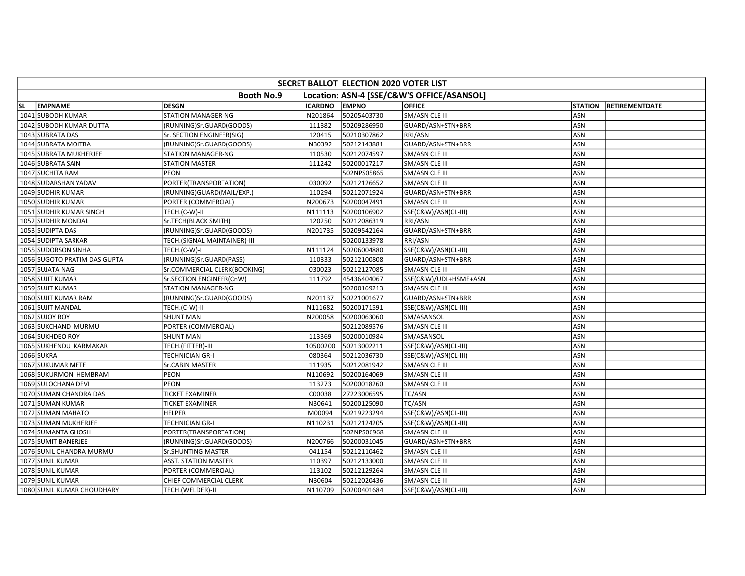| SECRET BALLOT ELECTION 2020 VOTER LIST |                                                                 |                              |                |              |                       |                |                       |  |  |  |
|----------------------------------------|-----------------------------------------------------------------|------------------------------|----------------|--------------|-----------------------|----------------|-----------------------|--|--|--|
|                                        | <b>Booth No.9</b><br>Location: ASN-4 [SSE/C&W'S OFFICE/ASANSOL] |                              |                |              |                       |                |                       |  |  |  |
| <b>SL</b>                              | <b>EMPNAME</b>                                                  | <b>DESGN</b>                 | <b>ICARDNO</b> | <b>EMPNO</b> | <b>OFFICE</b>         | <b>STATION</b> | <b>RETIREMENTDATE</b> |  |  |  |
|                                        | 1041 SUBODH KUMAR                                               | <b>STATION MANAGER-NG</b>    | N201864        | 50205403730  | SM/ASN CLE III        | ASN            |                       |  |  |  |
|                                        | 1042 SUBODH KUMAR DUTTA                                         | (RUNNING)Sr.GUARD(GOODS)     | 111382         | 50209286950  | GUARD/ASN+STN+BRR     | ASN            |                       |  |  |  |
|                                        | 1043 SUBRATA DAS                                                | Sr. SECTION ENGINEER(SIG)    | 120415         | 50210307862  | RRI/ASN               | ASN            |                       |  |  |  |
|                                        | 1044 SUBRATA MOITRA                                             | (RUNNING)Sr.GUARD(GOODS)     | N30392         | 50212143881  | GUARD/ASN+STN+BRR     | ASN            |                       |  |  |  |
|                                        | 1045 SUBRATA MUKHERJEE                                          | STATION MANAGER-NG           | 110530         | 50212074597  | SM/ASN CLE III        | ASN            |                       |  |  |  |
|                                        | 1046 SUBRATA SAIN                                               | <b>STATION MASTER</b>        | 111242         | 50200017217  | SM/ASN CLE III        | ASN            |                       |  |  |  |
|                                        | 1047 SUCHITA RAM                                                | PEON                         |                | 502NPS05865  | SM/ASN CLE III        | ASN            |                       |  |  |  |
|                                        | 1048 SUDARSHAN YADAV                                            | PORTER(TRANSPORTATION)       | 030092         | 50212126652  | SM/ASN CLE III        | ASN            |                       |  |  |  |
|                                        | 1049 SUDHIR KUMAR                                               | (RUNNING)GUARD(MAIL/EXP.)    | 110294         | 50212071924  | GUARD/ASN+STN+BRR     | ASN            |                       |  |  |  |
|                                        | 1050 SUDHIR KUMAR                                               | PORTER (COMMERCIAL)          | N200673        | 50200047491  | SM/ASN CLE III        | ASN            |                       |  |  |  |
|                                        | 1051 SUDHIR KUMAR SINGH                                         | TECH.(C-W)-II                | N111113        | 50200106902  | SSE(C&W)/ASN(CL-III)  | <b>ASN</b>     |                       |  |  |  |
|                                        | 1052 SUDHIR MONDAL                                              | Sr.TECH(BLACK SMITH)         | 120250         | 50212086319  | RRI/ASN               | ASN            |                       |  |  |  |
|                                        | 1053 SUDIPTA DAS                                                | (RUNNING)Sr.GUARD(GOODS)     | N201735        | 50209542164  | GUARD/ASN+STN+BRR     | ASN            |                       |  |  |  |
|                                        | 1054 SUDIPTA SARKAR                                             | TECH.(SIGNAL MAINTAINER)-III |                | 50200133978  | RRI/ASN               | ASN            |                       |  |  |  |
|                                        | 1055 SUDORSON SINHA                                             | TECH.(C-W)-I                 | N111124        | 50206004880  | SSE(C&W)/ASN(CL-III)  | ASN            |                       |  |  |  |
|                                        | 1056 SUGOTO PRATIM DAS GUPTA                                    | (RUNNING)Sr.GUARD(PASS)      | 110333         | 50212100808  | GUARD/ASN+STN+BRR     | ASN            |                       |  |  |  |
|                                        | 1057 SUJATA NAG                                                 | Sr.COMMERCIAL CLERK(BOOKING) | 030023         | 50212127085  | SM/ASN CLE III        | <b>ASN</b>     |                       |  |  |  |
|                                        | 1058 SUJIT KUMAR                                                | Sr.SECTION ENGINEER(CnW)     | 111792         | 45436404067  | SSE(C&W)/UDL+HSME+ASN | ASN            |                       |  |  |  |
|                                        | 1059 SUJIT KUMAR                                                | STATION MANAGER-NG           |                | 50200169213  | SM/ASN CLE III        | ASN            |                       |  |  |  |
|                                        | 1060 SUJIT KUMAR RAM                                            | (RUNNING)Sr.GUARD(GOODS)     | N201137        | 50221001677  | GUARD/ASN+STN+BRR     | ASN            |                       |  |  |  |
|                                        | 1061 SUJIT MANDAL                                               | TECH.(C-W)-II                | N111682        | 50200171591  | SSE(C&W)/ASN(CL-III)  | ASN            |                       |  |  |  |
|                                        | 1062 SUJOY ROY                                                  | <b>SHUNT MAN</b>             | N200058        | 50200063060  | SM/ASANSOL            | <b>ASN</b>     |                       |  |  |  |
|                                        | 1063 SUKCHAND MURMU                                             | PORTER (COMMERCIAL)          |                | 50212089576  | SM/ASN CLE III        | ASN            |                       |  |  |  |
|                                        | 1064 SUKHDEO ROY                                                | <b>SHUNT MAN</b>             | 113369         | 50200010984  | SM/ASANSOL            | <b>ASN</b>     |                       |  |  |  |
|                                        | 1065 SUKHENDU KARMAKAR                                          | TECH.(FITTER)-III            | 10500200       | 50213002211  | SSE(C&W)/ASN(CL-III)  | <b>ASN</b>     |                       |  |  |  |
|                                        | 1066 SUKRA                                                      | <b>TECHNICIAN GR-I</b>       | 080364         | 50212036730  | SSE(C&W)/ASN(CL-III)  | ASN            |                       |  |  |  |
|                                        | 1067 SUKUMAR METE                                               | <b>Sr.CABIN MASTER</b>       | 111935         | 50212081942  | SM/ASN CLE III        | ASN            |                       |  |  |  |
|                                        | 1068 SUKURMONI HEMBRAM                                          | PEON                         | N110692        | 50200164069  | SM/ASN CLE III        | ASN            |                       |  |  |  |
|                                        | 1069 SULOCHANA DEVI                                             | PEON                         | 113273         | 50200018260  | SM/ASN CLE III        | ASN            |                       |  |  |  |
|                                        | 1070 SUMAN CHANDRA DAS                                          | <b>TICKET EXAMINER</b>       | C00038         | 27223006595  | TC/ASN                | ASN            |                       |  |  |  |
|                                        | 1071 SUMAN KUMAR                                                | <b>TICKET EXAMINER</b>       | N30641         | 50200125090  | <b>TC/ASN</b>         | <b>ASN</b>     |                       |  |  |  |
|                                        | 1072 SUMAN MAHATO                                               | <b>HELPER</b>                | M00094         | 50219223294  | SSE(C&W)/ASN(CL-III)  | ASN            |                       |  |  |  |
|                                        | 1073 SUMAN MUKHERJEE                                            | <b>TECHNICIAN GR-I</b>       | N110231        | 50212124205  | SSE(C&W)/ASN(CL-III)  | ASN            |                       |  |  |  |
|                                        | 1074 SUMANTA GHOSH                                              | PORTER(TRANSPORTATION)       |                | 502NPS06968  | SM/ASN CLE III        | ASN            |                       |  |  |  |
|                                        | 1075 SUMIT BANERJEE                                             | (RUNNING)Sr.GUARD(GOODS)     | N200766        | 50200031045  | GUARD/ASN+STN+BRR     | ASN            |                       |  |  |  |
|                                        | 1076 SUNIL CHANDRA MURMU                                        | Sr.SHUNTING MASTER           | 041154         | 50212110462  | SM/ASN CLE III        | <b>ASN</b>     |                       |  |  |  |
|                                        | 1077 SUNIL KUMAR                                                | <b>ASST. STATION MASTER</b>  | 110397         | 50212133000  | SM/ASN CLE III        | ASN            |                       |  |  |  |
|                                        | 1078 SUNIL KUMAR                                                | PORTER (COMMERCIAL)          | 113102         | 50212129264  | SM/ASN CLE III        | ASN            |                       |  |  |  |
|                                        | 1079 SUNIL KUMAR                                                | CHIEF COMMERCIAL CLERK       | N30604         | 50212020436  | SM/ASN CLE III        | ASN            |                       |  |  |  |
|                                        | 1080 SUNIL KUMAR CHOUDHARY                                      | TECH.(WELDER)-II             | N110709        | 50200401684  | SSE(C&W)/ASN(CL-III)  | ASN            |                       |  |  |  |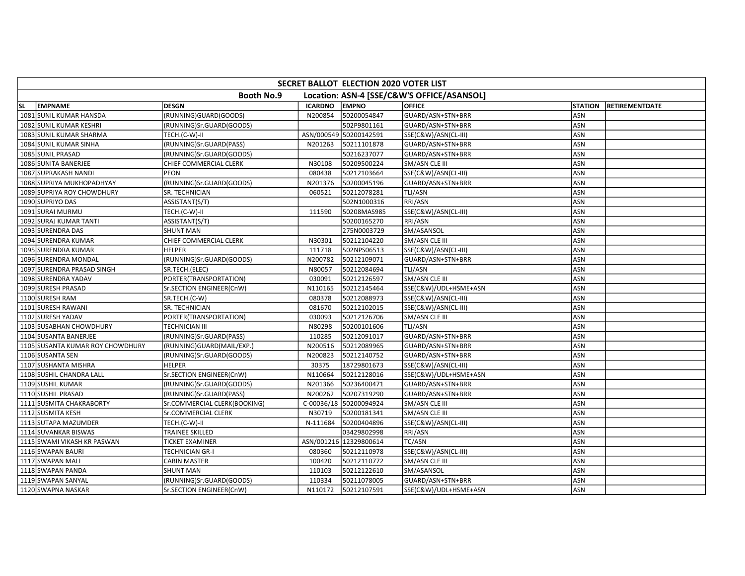| SECRET BALLOT ELECTION 2020 VOTER LIST                          |                                  |                              |                |                        |                       |                |                       |  |  |
|-----------------------------------------------------------------|----------------------------------|------------------------------|----------------|------------------------|-----------------------|----------------|-----------------------|--|--|
| <b>Booth No.9</b><br>Location: ASN-4 [SSE/C&W'S OFFICE/ASANSOL] |                                  |                              |                |                        |                       |                |                       |  |  |
| <b>SL</b>                                                       | <b>EMPNAME</b>                   | <b>DESGN</b>                 | <b>ICARDNO</b> | <b>EMPNO</b>           | <b>OFFICE</b>         | <b>STATION</b> | <b>RETIREMENTDATE</b> |  |  |
|                                                                 | 1081 SUNIL KUMAR HANSDA          | (RUNNING)GUARD(GOODS)        | N200854        | 50200054847            | GUARD/ASN+STN+BRR     | ASN            |                       |  |  |
|                                                                 | 1082 SUNIL KUMAR KESHRI          | (RUNNING)Sr.GUARD(GOODS)     |                | 502P9801161            | GUARD/ASN+STN+BRR     | ASN            |                       |  |  |
|                                                                 | 1083 SUNIL KUMAR SHARMA          | TECH.(C-W)-II                |                | ASN/000549 50200142591 | SSE(C&W)/ASN(CL-III)  | ASN            |                       |  |  |
|                                                                 | 1084 SUNIL KUMAR SINHA           | (RUNNING)Sr.GUARD(PASS)      | N201263        | 50211101878            | GUARD/ASN+STN+BRR     | ASN            |                       |  |  |
|                                                                 | 1085 SUNIL PRASAD                | (RUNNING)Sr.GUARD(GOODS)     |                | 50216237077            | GUARD/ASN+STN+BRR     | ASN            |                       |  |  |
|                                                                 | 1086 SUNITA BANERJEE             | CHIEF COMMERCIAL CLERK       | N30108         | 50209500224            | SM/ASN CLE III        | ASN            |                       |  |  |
|                                                                 | 1087 SUPRAKASH NANDI             | PEON                         | 080438         | 50212103664            | SSE(C&W)/ASN(CL-III)  | ASN            |                       |  |  |
|                                                                 | 1088 SUPRIYA MUKHOPADHYAY        | (RUNNING)Sr.GUARD(GOODS)     | N201376        | 50200045196            | GUARD/ASN+STN+BRR     | ASN            |                       |  |  |
|                                                                 | 1089 SUPRIYA ROY CHOWDHURY       | SR. TECHNICIAN               | 060521         | 50212078281            | TLI/ASN               | ASN            |                       |  |  |
|                                                                 | 1090 SUPRIYO DAS                 | ASSISTANT(S/T)               |                | 502N1000316            | RRI/ASN               | ASN            |                       |  |  |
|                                                                 | 1091 SURAI MURMU                 | TECH.(C-W)-II                | 111590         | 50208MAS985            | SSE(C&W)/ASN(CL-III)  | ASN            |                       |  |  |
|                                                                 | 1092 SURAJ KUMAR TANTI           | ASSISTANT(S/T)               |                | 50200165270            | RRI/ASN               | ASN            |                       |  |  |
|                                                                 | 1093 SURENDRA DAS                | <b>SHUNT MAN</b>             |                | 275N0003729            | SM/ASANSOL            | ASN            |                       |  |  |
|                                                                 | 1094 SURENDRA KUMAR              | CHIEF COMMERCIAL CLERK       | N30301         | 50212104220            | SM/ASN CLE III        | ASN            |                       |  |  |
|                                                                 | 1095 SURENDRA KUMAR              | <b>HELPER</b>                | 111718         | 502NPS06513            | SSE(C&W)/ASN(CL-III)  | ASN            |                       |  |  |
|                                                                 | 1096 SURENDRA MONDAL             | (RUNNING)Sr.GUARD(GOODS)     | N200782        | 50212109071            | GUARD/ASN+STN+BRR     | ASN            |                       |  |  |
|                                                                 | 1097 SURENDRA PRASAD SINGH       | SR.TECH.(ELEC)               | N80057         | 50212084694            | <b>TLI/ASN</b>        | ASN            |                       |  |  |
|                                                                 | 1098 SURENDRA YADAV              | PORTER(TRANSPORTATION)       | 030091         | 50212126597            | SM/ASN CLE III        | ASN            |                       |  |  |
|                                                                 | 1099 SURESH PRASAD               | Sr.SECTION ENGINEER(CnW)     | N110165        | 50212145464            | SSE(C&W)/UDL+HSME+ASN | ASN            |                       |  |  |
|                                                                 | 1100 SURESH RAM                  | SR.TECH.(C-W)                | 080378         | 50212088973            | SSE(C&W)/ASN(CL-III)  | ASN            |                       |  |  |
|                                                                 | 1101 SURESH RAWANI               | SR. TECHNICIAN               | 081670         | 50212102015            | SSE(C&W)/ASN(CL-III)  | ASN            |                       |  |  |
|                                                                 | 1102 SURESH YADAV                | PORTER(TRANSPORTATION)       | 030093         | 50212126706            | SM/ASN CLE III        | ASN            |                       |  |  |
|                                                                 | 1103 SUSABHAN CHOWDHURY          | <b>TECHNICIAN III</b>        | N80298         | 50200101606            | <b>TLI/ASN</b>        | ASN            |                       |  |  |
|                                                                 | 1104 SUSANTA BANERJEE            | (RUNNING)Sr.GUARD(PASS)      | 110285         | 50212091017            | GUARD/ASN+STN+BRR     | ASN            |                       |  |  |
|                                                                 | 1105 SUSANTA KUMAR ROY CHOWDHURY | (RUNNING)GUARD(MAIL/EXP.)    | N200516        | 50212089965            | GUARD/ASN+STN+BRR     | <b>ASN</b>     |                       |  |  |
|                                                                 | 1106 SUSANTA SEN                 | (RUNNING)Sr.GUARD(GOODS)     | N200823        | 50212140752            | GUARD/ASN+STN+BRR     | ASN            |                       |  |  |
|                                                                 | 1107 SUSHANTA MISHRA             | <b>HELPER</b>                | 30375          | 18729801673            | SSE(C&W)/ASN(CL-III)  | ASN            |                       |  |  |
|                                                                 | 1108 SUSHIL CHANDRA LALL         | Sr.SECTION ENGINEER(CnW)     | N110664        | 50212128016            | SSE(C&W)/UDL+HSME+ASN | ASN            |                       |  |  |
|                                                                 | 1109 SUSHIL KUMAR                | (RUNNING)Sr.GUARD(GOODS)     | N201366        | 50236400471            | GUARD/ASN+STN+BRR     | ASN            |                       |  |  |
|                                                                 | 1110 SUSHIL PRASAD               | (RUNNING)Sr.GUARD(PASS)      | N200262        | 50207319290            | GUARD/ASN+STN+BRR     | ASN            |                       |  |  |
|                                                                 | 1111 SUSMITA CHAKRABORTY         | Sr.COMMERCIAL CLERK(BOOKING) |                | C-00036/18 50200094924 | SM/ASN CLE III        | <b>ASN</b>     |                       |  |  |
|                                                                 | 1112 SUSMITA KESH                | Sr.COMMERCIAL CLERK          | N30719         | 50200181341            | SM/ASN CLE III        | ASN            |                       |  |  |
|                                                                 | 1113 SUTAPA MAZUMDER             | TECH.(C-W)-II                | N-111684       | 50200404896            | SSE(C&W)/ASN(CL-III)  | ASN            |                       |  |  |
|                                                                 | 1114 SUVANKAR BISWAS             | <b>TRAINEE SKILLED</b>       |                | 03429802998            | RRI/ASN               | ASN            |                       |  |  |
|                                                                 | 1115 SWAMI VIKASH KR PASWAN      | <b>TICKET EXAMINER</b>       |                | ASN/001216 12329800614 | TC/ASN                | ASN            |                       |  |  |
|                                                                 | 1116 SWAPAN BAURI                | <b>TECHNICIAN GR-I</b>       | 080360         | 50212110978            | SSE(C&W)/ASN(CL-III)  | <b>ASN</b>     |                       |  |  |
|                                                                 | 1117 SWAPAN MALI                 | <b>CABIN MASTER</b>          | 100420         | 50212110772            | SM/ASN CLE III        | ASN            |                       |  |  |
|                                                                 | 1118 SWAPAN PANDA                | <b>SHUNT MAN</b>             | 110103         | 50212122610            | SM/ASANSOL            | ASN            |                       |  |  |
|                                                                 | 1119 SWAPAN SANYAL               | (RUNNING)Sr.GUARD(GOODS)     | 110334         | 50211078005            | GUARD/ASN+STN+BRR     | ASN            |                       |  |  |
|                                                                 | 1120 SWAPNA NASKAR               | Sr.SECTION ENGINEER(CnW)     | N110172        | 50212107591            | SSE(C&W)/UDL+HSME+ASN | ASN            |                       |  |  |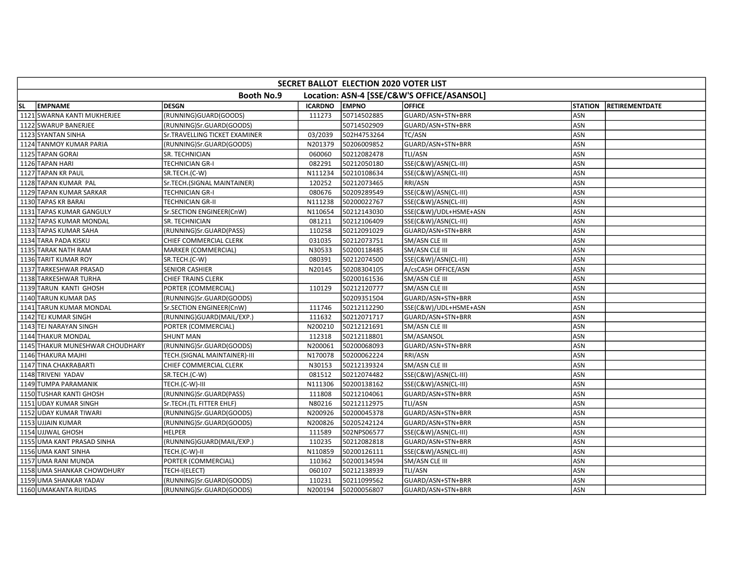| SECRET BALLOT ELECTION 2020 VOTER LIST                          |                                 |                                |                |              |                       |                |                       |  |
|-----------------------------------------------------------------|---------------------------------|--------------------------------|----------------|--------------|-----------------------|----------------|-----------------------|--|
| <b>Booth No.9</b><br>Location: ASN-4 [SSE/C&W'S OFFICE/ASANSOL] |                                 |                                |                |              |                       |                |                       |  |
| <b>SL</b>                                                       | <b>EMPNAME</b>                  | <b>DESGN</b>                   | <b>ICARDNO</b> | <b>EMPNO</b> | <b>OFFICE</b>         | <b>STATION</b> | <b>RETIREMENTDATE</b> |  |
|                                                                 | 1121 SWARNA KANTI MUKHERJEE     | (RUNNING)GUARD(GOODS)          | 111273         | 50714502885  | GUARD/ASN+STN+BRR     | ASN            |                       |  |
|                                                                 | 1122 SWARUP BANERJEE            | (RUNNING)Sr.GUARD(GOODS)       |                | 50714502909  | GUARD/ASN+STN+BRR     | ASN            |                       |  |
|                                                                 | 1123 SYANTAN SINHA              | Sr. TRAVELLING TICKET EXAMINER | 03/2039        | 502H4753264  | <b>TC/ASN</b>         | ASN            |                       |  |
|                                                                 | 1124 TANMOY KUMAR PARIA         | (RUNNING)Sr.GUARD(GOODS)       | N201379        | 50206009852  | GUARD/ASN+STN+BRR     | ASN            |                       |  |
|                                                                 | 1125 TAPAN GORAI                | SR. TECHNICIAN                 | 060060         | 50212082478  | TLI/ASN               | ASN            |                       |  |
|                                                                 | 1126 TAPAN HARI                 | <b>TECHNICIAN GR-I</b>         | 082291         | 50212050180  | SSE(C&W)/ASN(CL-III)  | ASN            |                       |  |
|                                                                 | 1127 TAPAN KR PAUL              | SR.TECH.(C-W)                  | N111234        | 50210108634  | SSE(C&W)/ASN(CL-III)  | ASN            |                       |  |
|                                                                 | 1128 TAPAN KUMAR PAL            | Sr.TECH.(SIGNAL MAINTAINER)    | 120252         | 50212073465  | RRI/ASN               | ASN            |                       |  |
|                                                                 | 1129 TAPAN KUMAR SARKAR         | <b>TECHNICIAN GR-I</b>         | 080676         | 50209289549  | SSE(C&W)/ASN(CL-III)  | ASN            |                       |  |
|                                                                 | 1130 TAPAS KR BARAI             | <b>TECHNICIAN GR-II</b>        | N111238        | 50200022767  | SSE(C&W)/ASN(CL-III)  | ASN            |                       |  |
|                                                                 | 1131 TAPAS KUMAR GANGULY        | Sr.SECTION ENGINEER(CnW)       | N110654        | 50212143030  | SSE(C&W)/UDL+HSME+ASN | ASN            |                       |  |
|                                                                 | 1132 TAPAS KUMAR MONDAL         | SR. TECHNICIAN                 | 081211         | 50212106409  | SSE(C&W)/ASN(CL-III)  | ASN            |                       |  |
|                                                                 | 1133 TAPAS KUMAR SAHA           | (RUNNING)Sr.GUARD(PASS)        | 110258         | 50212091029  | GUARD/ASN+STN+BRR     | ASN            |                       |  |
|                                                                 | 1134 TARA PADA KISKU            | CHIEF COMMERCIAL CLERK         | 031035         | 50212073751  | SM/ASN CLE III        | ASN            |                       |  |
|                                                                 | 1135 TARAK NATH RAM             | MARKER (COMMERCIAL)            | N30533         | 50200118485  | SM/ASN CLE III        | ASN            |                       |  |
|                                                                 | 1136 TARIT KUMAR ROY            | SR.TECH.(C-W)                  | 080391         | 50212074500  | SSE(C&W)/ASN(CL-III)  | ASN            |                       |  |
|                                                                 | 1137 TARKESHWAR PRASAD          | <b>SENIOR CASHIER</b>          | N20145         | 50208304105  | A/csCASH OFFICE/ASN   | <b>ASN</b>     |                       |  |
|                                                                 | 1138 TARKESHWAR TURHA           | <b>CHIEF TRAINS CLERK</b>      |                | 50200161536  | SM/ASN CLE III        | ASN            |                       |  |
|                                                                 | 1139 TARUN KANTI GHOSH          | PORTER (COMMERCIAL)            | 110129         | 50212120777  | SM/ASN CLE III        | ASN            |                       |  |
|                                                                 | 1140 TARUN KUMAR DAS            | (RUNNING)Sr.GUARD(GOODS)       |                | 50209351504  | GUARD/ASN+STN+BRR     | ASN            |                       |  |
|                                                                 | 1141 TARUN KUMAR MONDAL         | Sr.SECTION ENGINEER(CnW)       | 111746         | 50212112290  | SSE(C&W)/UDL+HSME+ASN | ASN            |                       |  |
|                                                                 | 1142 TEJ KUMAR SINGH            | (RUNNING)GUARD(MAIL/EXP.)      | 111632         | 50212071717  | GUARD/ASN+STN+BRR     | ASN            |                       |  |
|                                                                 | 1143 TEJ NARAYAN SINGH          | PORTER (COMMERCIAL)            | N200210        | 50212121691  | SM/ASN CLE III        | ASN            |                       |  |
|                                                                 | 1144 THAKUR MONDAL              | <b>SHUNT MAN</b>               | 112318         | 50212118801  | SM/ASANSOL            | <b>ASN</b>     |                       |  |
|                                                                 | 1145 THAKUR MUNESHWAR CHOUDHARY | (RUNNING)Sr.GUARD(GOODS)       | N200061        | 50200068093  | GUARD/ASN+STN+BRR     | ASN            |                       |  |
|                                                                 | 1146 THAKURA MAJHI              | TECH.(SIGNAL MAINTAINER)-III   | N170078        | 50200062224  | RRI/ASN               | ASN            |                       |  |
|                                                                 | 1147 TINA CHAKRABARTI           | CHIEF COMMERCIAL CLERK         | N30153         | 50212139324  | SM/ASN CLE III        | ASN            |                       |  |
|                                                                 | 1148 TRIVENI YADAV              | SR.TECH.(C-W)                  | 081512         | 50212074482  | SSE(C&W)/ASN(CL-III)  | ASN            |                       |  |
|                                                                 | 1149 TUMPA PARAMANIK            | TECH.(C-W)-III                 | N111306        | 50200138162  | SSE(C&W)/ASN(CL-III)  | ASN            |                       |  |
|                                                                 | 1150 TUSHAR KANTI GHOSH         | (RUNNING)Sr.GUARD(PASS)        | 111808         | 50212104061  | GUARD/ASN+STN+BRR     | ASN            |                       |  |
|                                                                 | 1151 UDAY KUMAR SINGH           | Sr.TECH.(TL FITTER EHLF)       | N80216         | 50212112975  | TLI/ASN               | ASN            |                       |  |
|                                                                 | 1152 UDAY KUMAR TIWARI          | (RUNNING)Sr.GUARD(GOODS)       | N200926        | 50200045378  | GUARD/ASN+STN+BRR     | ASN            |                       |  |
|                                                                 | 1153 UJJAIN KUMAR               | (RUNNING)Sr.GUARD(GOODS)       | N200826        | 50205242124  | GUARD/ASN+STN+BRR     | ASN            |                       |  |
|                                                                 | 1154 UJJWAL GHOSH               | <b>HELPER</b>                  | 111589         | 502NPS06577  | SSE(C&W)/ASN(CL-III)  | ASN            |                       |  |
|                                                                 | 1155 UMA KANT PRASAD SINHA      | (RUNNING)GUARD(MAIL/EXP.)      | 110235         | 50212082818  | GUARD/ASN+STN+BRR     | ASN            |                       |  |
|                                                                 | 1156 UMA KANT SINHA             | TECH.(C-W)-II                  | N110859        | 50200126111  | SSE(C&W)/ASN(CL-III)  | ASN            |                       |  |
|                                                                 | 1157 UMA RANI MUNDA             | PORTER (COMMERCIAL)            | 110362         | 50200134594  | SM/ASN CLE III        | ASN            |                       |  |
|                                                                 | 1158 UMA SHANKAR CHOWDHURY      | TECH-I(ELECT)                  | 060107         | 50212138939  | TLI/ASN               | ASN            |                       |  |
|                                                                 | 1159 UMA SHANKAR YADAV          | (RUNNING)Sr.GUARD(GOODS)       | 110231         | 50211099562  | GUARD/ASN+STN+BRR     | ASN            |                       |  |
|                                                                 | 1160 UMAKANTA RUIDAS            | (RUNNING)Sr.GUARD(GOODS)       | N200194        | 50200056807  | GUARD/ASN+STN+BRR     | <b>ASN</b>     |                       |  |